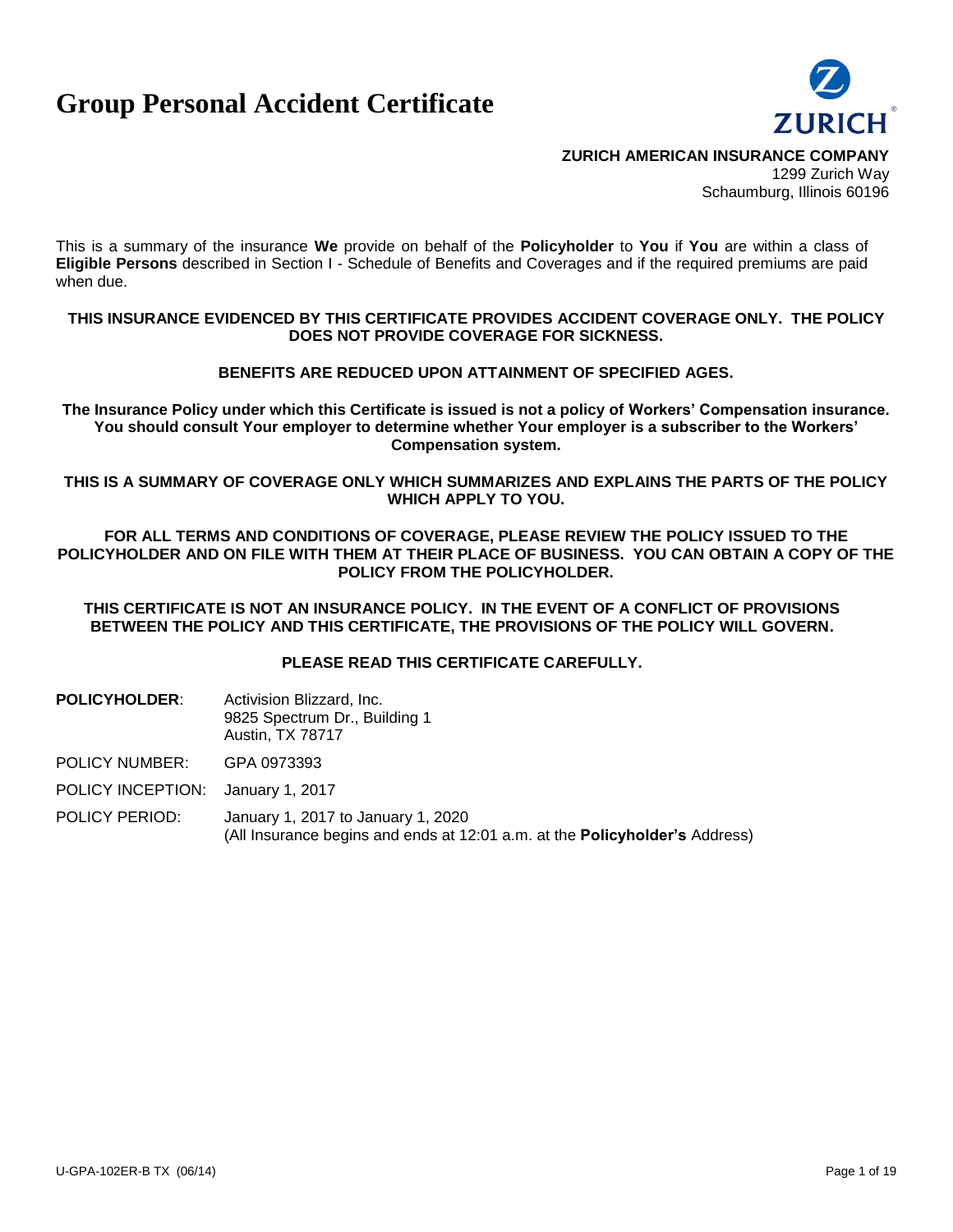# **Group Personal Accident Certificate**



**ZURICH AMERICAN INSURANCE COMPANY**

1299 Zurich Way Schaumburg, Illinois 60196

This is a summary of the insurance **We** provide on behalf of the **Policyholder** to **You** if **You** are within a class of **Eligible Persons** described in Section I - Schedule of Benefits and Coverages and if the required premiums are paid when due.

#### **THIS INSURANCE EVIDENCED BY THIS CERTIFICATE PROVIDES ACCIDENT COVERAGE ONLY. THE POLICY DOES NOT PROVIDE COVERAGE FOR SICKNESS.**

#### **BENEFITS ARE REDUCED UPON ATTAINMENT OF SPECIFIED AGES.**

**The Insurance Policy under which this Certificate is issued is not a policy of Workers' Compensation insurance. You should consult Your employer to determine whether Your employer is a subscriber to the Workers' Compensation system.**

**THIS IS A SUMMARY OF COVERAGE ONLY WHICH SUMMARIZES AND EXPLAINS THE PARTS OF THE POLICY WHICH APPLY TO YOU.**

**FOR ALL TERMS AND CONDITIONS OF COVERAGE, PLEASE REVIEW THE POLICY ISSUED TO THE POLICYHOLDER AND ON FILE WITH THEM AT THEIR PLACE OF BUSINESS. YOU CAN OBTAIN A COPY OF THE POLICY FROM THE POLICYHOLDER.**

**THIS CERTIFICATE IS NOT AN INSURANCE POLICY. IN THE EVENT OF A CONFLICT OF PROVISIONS BETWEEN THE POLICY AND THIS CERTIFICATE, THE PROVISIONS OF THE POLICY WILL GOVERN.**

**PLEASE READ THIS CERTIFICATE CAREFULLY.**

**POLICYHOLDER:** Activision Blizzard, Inc. 9825 Spectrum Dr., Building 1 Austin, TX 78717

POLICY NUMBER: GPA 0973393

POLICY INCEPTION: January 1, 2017

POLICY PERIOD: January 1, 2017 to January 1, 2020 (All Insurance begins and ends at 12:01 a.m. at the **Policyholder's** Address)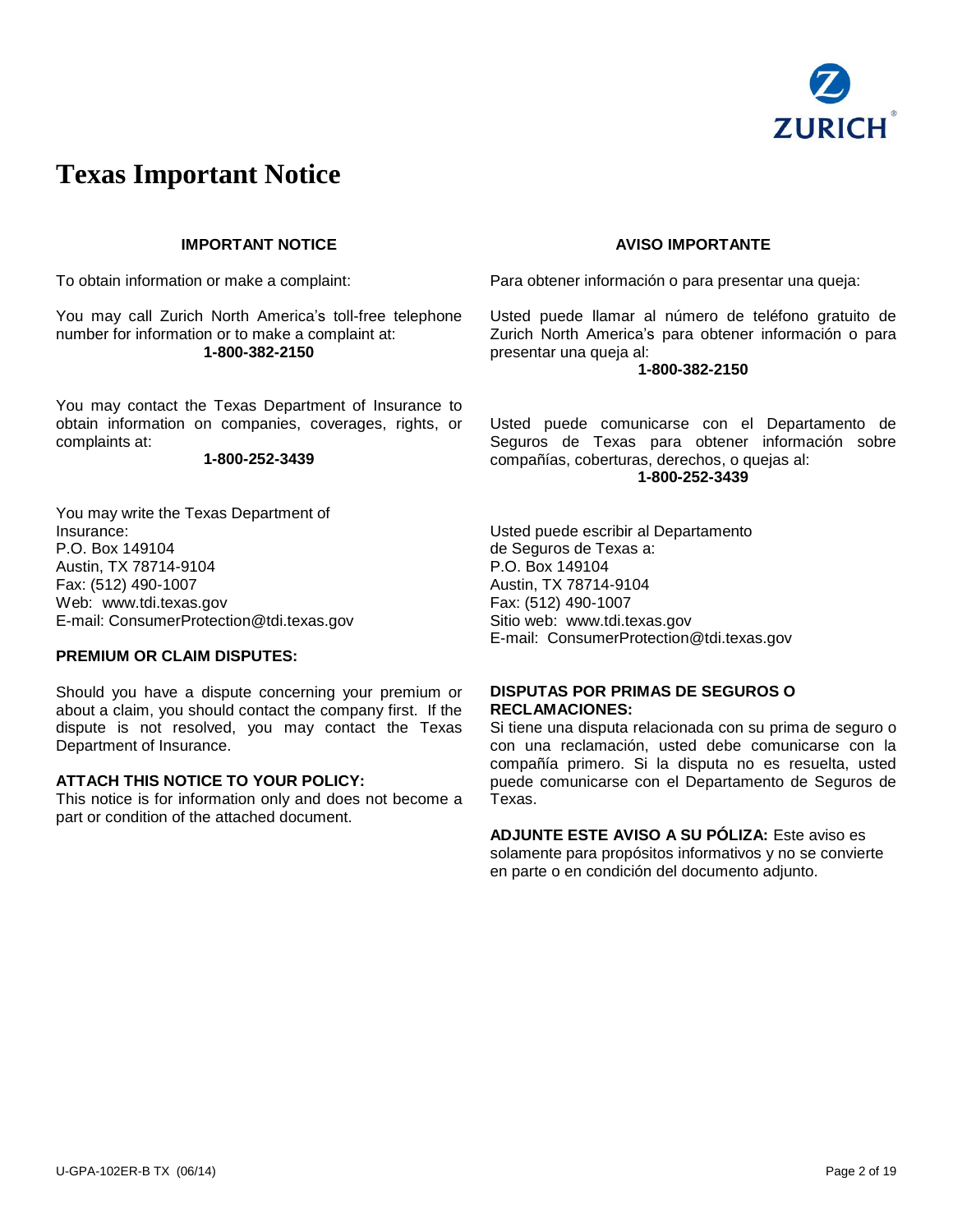

## **Texas Important Notice**

#### **IMPORTANT NOTICE**

To obtain information or make a complaint:

You may call Zurich North America's toll-free telephone number for information or to make a complaint at: **1-800-382-2150**

You may contact the Texas Department of Insurance to obtain information on companies, coverages, rights, or complaints at:

#### **1-800-252-3439**

You may write the Texas Department of Insurance: P.O. Box 149104 Austin, TX 78714-9104 Fax: (512) 490-1007 Web: [www.tdi.texas.gov](http://www.tdi.texas.gov/) E-mail: [ConsumerProtection@tdi.texas.gov](mailto:ConsumerProtection@tdi.texas.gov)

#### **PREMIUM OR CLAIM DISPUTES:**

Should you have a dispute concerning your premium or about a claim, you should contact the company first. If the dispute is not resolved, you may contact the Texas Department of Insurance.

#### **ATTACH THIS NOTICE TO YOUR POLICY:**

This notice is for information only and does not become a part or condition of the attached document.

#### **AVISO IMPORTANTE**

Para obtener información o para presentar una queja:

Usted puede llamar al número de teléfono gratuito de Zurich North America's para obtener información o para presentar una queja al:

#### **1-800-382-2150**

Usted puede comunicarse con el Departamento de Seguros de Texas para obtener información sobre compañías, coberturas, derechos, o quejas al: **1-800-252-3439**

Usted puede escribir al Departamento de Seguros de Texas a: P.O. Box 149104 Austin, TX 78714-9104 Fax: (512) 490-1007 Sitio web: [www.tdi.texas.gov](http://www.tdi.texas.gov/) E-mail: [ConsumerProtection@tdi.texas.gov](mailto:ConsumerProtection@tdi.texas.gov)

#### **DISPUTAS POR PRIMAS DE SEGUROS O RECLAMACIONES:**

Si tiene una disputa relacionada con su prima de seguro o con una reclamación, usted debe comunicarse con la compañía primero. Si la disputa no es resuelta, usted puede comunicarse con el Departamento de Seguros de Texas.

**ADJUNTE ESTE AVISO A SU PÓLIZA:** Este aviso es solamente para propósitos informativos y no se convierte en parte o en condición del documento adjunto.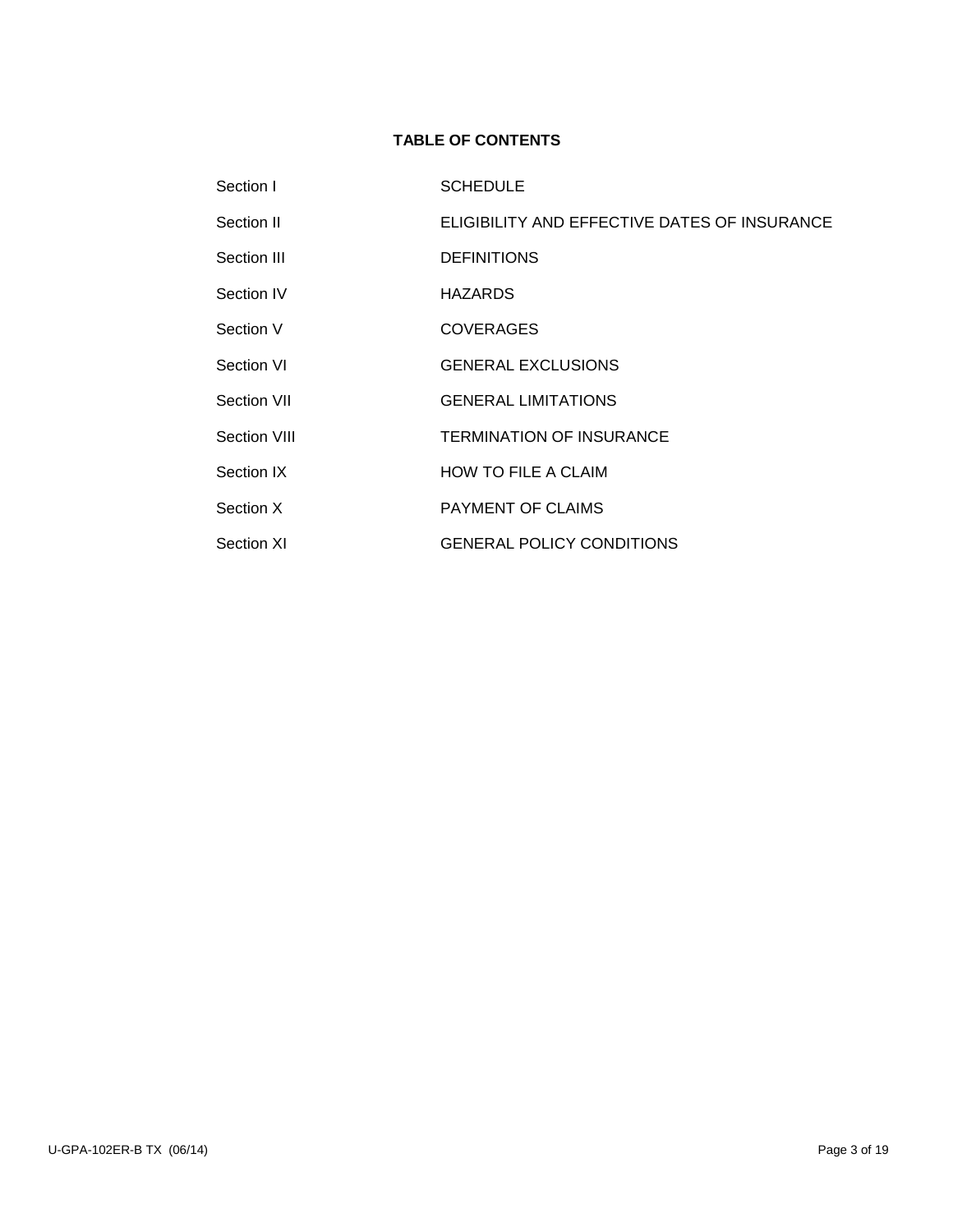## **TABLE OF CONTENTS**

| Section I    | <b>SCHEDULE</b>                              |
|--------------|----------------------------------------------|
| Section II   | ELIGIBILITY AND EFFECTIVE DATES OF INSURANCE |
| Section III  | <b>DEFINITIONS</b>                           |
| Section IV   | <b>HAZARDS</b>                               |
| Section V    | <b>COVERAGES</b>                             |
| Section VI   | <b>GENERAL EXCLUSIONS</b>                    |
| Section VII  | <b>GENERAL LIMITATIONS</b>                   |
| Section VIII | <b>TERMINATION OF INSURANCE</b>              |
| Section IX   | <b>HOW TO FILE A CLAIM</b>                   |
| Section X    | <b>PAYMENT OF CLAIMS</b>                     |
| Section XI   | <b>GENERAL POLICY CONDITIONS</b>             |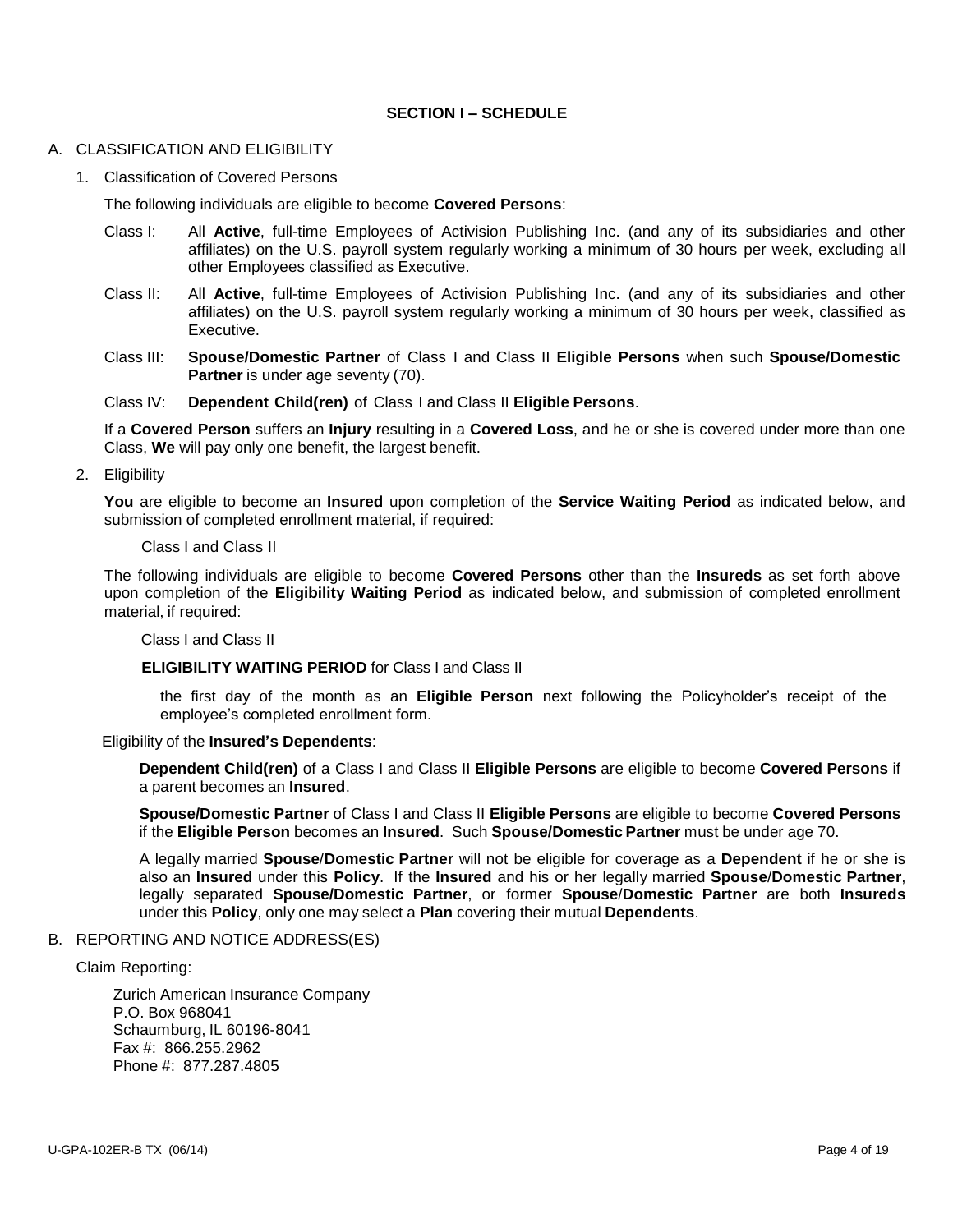### **SECTION I – SCHEDULE**

#### A. CLASSIFICATION AND ELIGIBILITY

1. Classification of Covered Persons

The following individuals are eligible to become **Covered Persons**:

- Class I: All **Active**, full-time Employees of Activision Publishing Inc. (and any of its subsidiaries and other affiliates) on the U.S. payroll system regularly working a minimum of 30 hours per week, excluding all other Employees classified as Executive.
- Class II: All **Active**, full-time Employees of Activision Publishing Inc. (and any of its subsidiaries and other affiliates) on the U.S. payroll system regularly working a minimum of 30 hours per week, classified as Executive.
- Class III: **Spouse/Domestic Partner** of Class I and Class II **Eligible Persons** when such **Spouse/Domestic Partner** is under age seventy (70).
- Class IV: **Dependent Child(ren)** of Class I and Class II **Eligible Persons**.

If a **Covered Person** suffers an **Injury** resulting in a **Covered Loss**, and he or she is covered under more than one Class, **We** will pay only one benefit, the largest benefit.

2. Eligibility

**You** are eligible to become an **Insured** upon completion of the **Service Waiting Period** as indicated below, and submission of completed enrollment material, if required:

#### Class I and Class II

The following individuals are eligible to become **Covered Persons** other than the **Insureds** as set forth above upon completion of the **Eligibility Waiting Period** as indicated below, and submission of completed enrollment material, if required:

Class I and Class II

**ELIGIBILITY WAITING PERIOD** for Class I and Class II

the first day of the month as an **Eligible Person** next following the Policyholder's receipt of the employee's completed enrollment form.

Eligibility of the **Insured's Dependents**:

**Dependent Child(ren)** of a Class I and Class II **Eligible Persons** are eligible to become **Covered Persons** if a parent becomes an **Insured**.

**Spouse/Domestic Partner** of Class I and Class II **Eligible Persons** are eligible to become **Covered Persons** if the **Eligible Person** becomes an **Insured**. Such **Spouse/Domestic Partner** must be under age 70.

A legally married **Spouse**/**Domestic Partner** will not be eligible for coverage as a **Dependent** if he or she is also an **Insured** under this **Policy**. If the **Insured** and his or her legally married **Spouse**/**Domestic Partner**, legally separated **Spouse/Domestic Partner**, or former **Spouse**/**Domestic Partner** are both **Insureds**  under this **Policy**, only one may select a **Plan** covering their mutual **Dependents**.

#### B. REPORTING AND NOTICE ADDRESS(ES)

Claim Reporting:

Zurich American Insurance Company P.O. Box 968041 Schaumburg, IL 60196-8041 Fax #: 866.255.2962 Phone #: 877.287.4805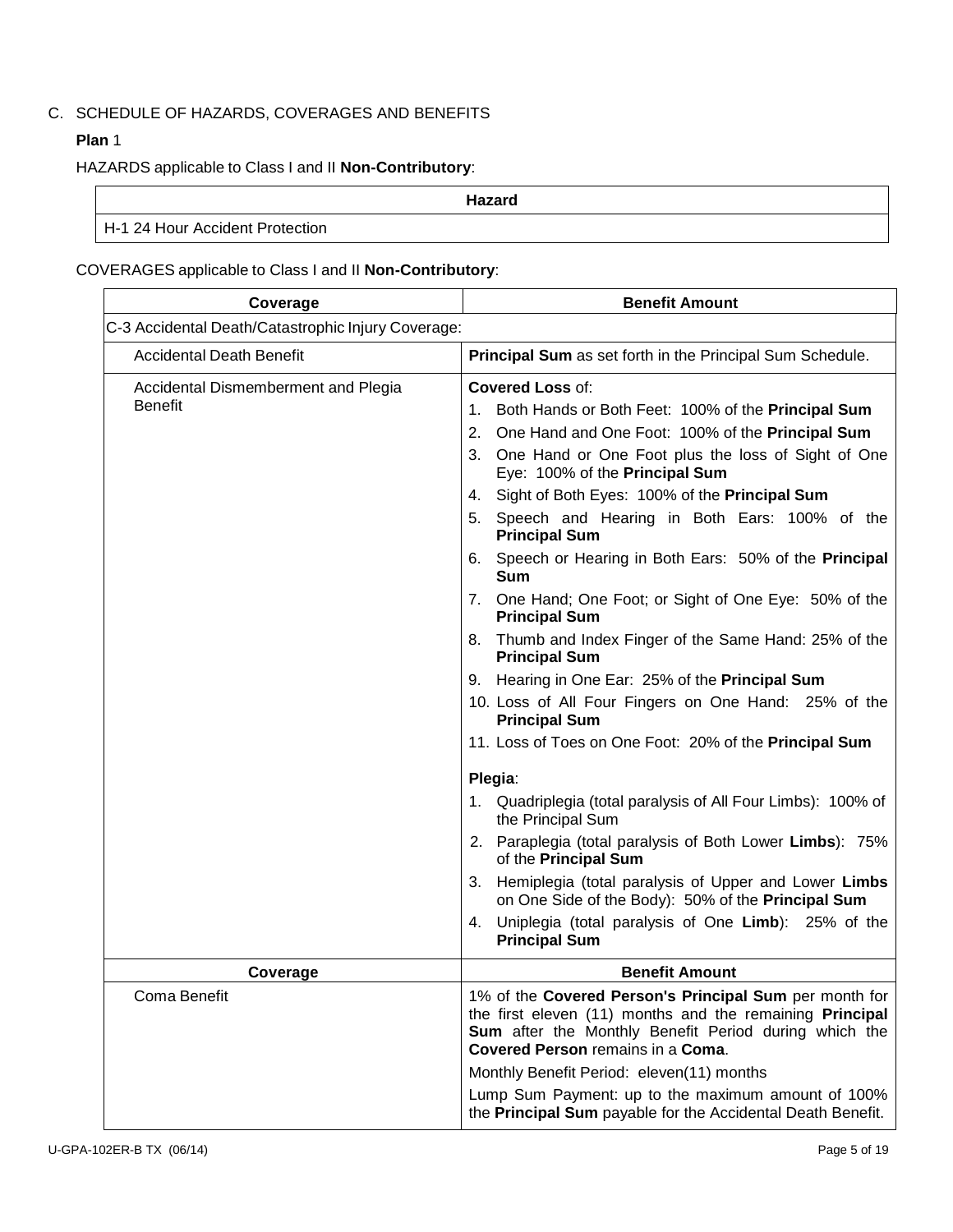## C. SCHEDULE OF HAZARDS, COVERAGES AND BENEFITS

## **Plan** 1

HAZARDS applicable to Class I and II **Non-Contributory**:

|                                 | Hazard |  |
|---------------------------------|--------|--|
| H-1 24 Hour Accident Protection |        |  |

## COVERAGES applicable to Class I and II **Non-Contributory**:

| Coverage                                                                                                                                                                                                                                                                      | <b>Benefit Amount</b>                                                                                             |  |
|-------------------------------------------------------------------------------------------------------------------------------------------------------------------------------------------------------------------------------------------------------------------------------|-------------------------------------------------------------------------------------------------------------------|--|
| C-3 Accidental Death/Catastrophic Injury Coverage:                                                                                                                                                                                                                            |                                                                                                                   |  |
| <b>Accidental Death Benefit</b>                                                                                                                                                                                                                                               | Principal Sum as set forth in the Principal Sum Schedule.                                                         |  |
| Accidental Dismemberment and Plegia                                                                                                                                                                                                                                           | <b>Covered Loss of:</b>                                                                                           |  |
| <b>Benefit</b>                                                                                                                                                                                                                                                                | Both Hands or Both Feet: 100% of the Principal Sum<br>1.                                                          |  |
|                                                                                                                                                                                                                                                                               | 2.<br>One Hand and One Foot: 100% of the Principal Sum                                                            |  |
|                                                                                                                                                                                                                                                                               | 3.<br>One Hand or One Foot plus the loss of Sight of One<br>Eye: 100% of the Principal Sum                        |  |
|                                                                                                                                                                                                                                                                               | Sight of Both Eyes: 100% of the Principal Sum<br>4.                                                               |  |
|                                                                                                                                                                                                                                                                               | Speech and Hearing in Both Ears: 100% of the<br>5.<br><b>Principal Sum</b>                                        |  |
|                                                                                                                                                                                                                                                                               | 6. Speech or Hearing in Both Ears: 50% of the Principal<br><b>Sum</b>                                             |  |
|                                                                                                                                                                                                                                                                               | 7. One Hand; One Foot; or Sight of One Eye: 50% of the<br><b>Principal Sum</b>                                    |  |
|                                                                                                                                                                                                                                                                               | 8. Thumb and Index Finger of the Same Hand: 25% of the<br><b>Principal Sum</b>                                    |  |
|                                                                                                                                                                                                                                                                               | 9. Hearing in One Ear: 25% of the Principal Sum                                                                   |  |
|                                                                                                                                                                                                                                                                               | 10. Loss of All Four Fingers on One Hand: 25% of the<br><b>Principal Sum</b>                                      |  |
|                                                                                                                                                                                                                                                                               | 11. Loss of Toes on One Foot: 20% of the Principal Sum                                                            |  |
|                                                                                                                                                                                                                                                                               | Plegia:                                                                                                           |  |
|                                                                                                                                                                                                                                                                               | 1. Quadriplegia (total paralysis of All Four Limbs): 100% of<br>the Principal Sum                                 |  |
|                                                                                                                                                                                                                                                                               | 2. Paraplegia (total paralysis of Both Lower Limbs): 75%<br>of the Principal Sum                                  |  |
|                                                                                                                                                                                                                                                                               | Hemiplegia (total paralysis of Upper and Lower Limbs<br>3.<br>on One Side of the Body): 50% of the Principal Sum  |  |
|                                                                                                                                                                                                                                                                               | 4. Uniplegia (total paralysis of One Limb): 25% of the<br><b>Principal Sum</b>                                    |  |
| Coverage                                                                                                                                                                                                                                                                      | <b>Benefit Amount</b>                                                                                             |  |
| Coma Benefit<br>1% of the Covered Person's Principal Sum per month for<br>the first eleven (11) months and the remaining Principal<br>Sum after the Monthly Benefit Period during which the<br>Covered Person remains in a Coma.<br>Monthly Benefit Period: eleven(11) months |                                                                                                                   |  |
|                                                                                                                                                                                                                                                                               | Lump Sum Payment: up to the maximum amount of 100%<br>the Principal Sum payable for the Accidental Death Benefit. |  |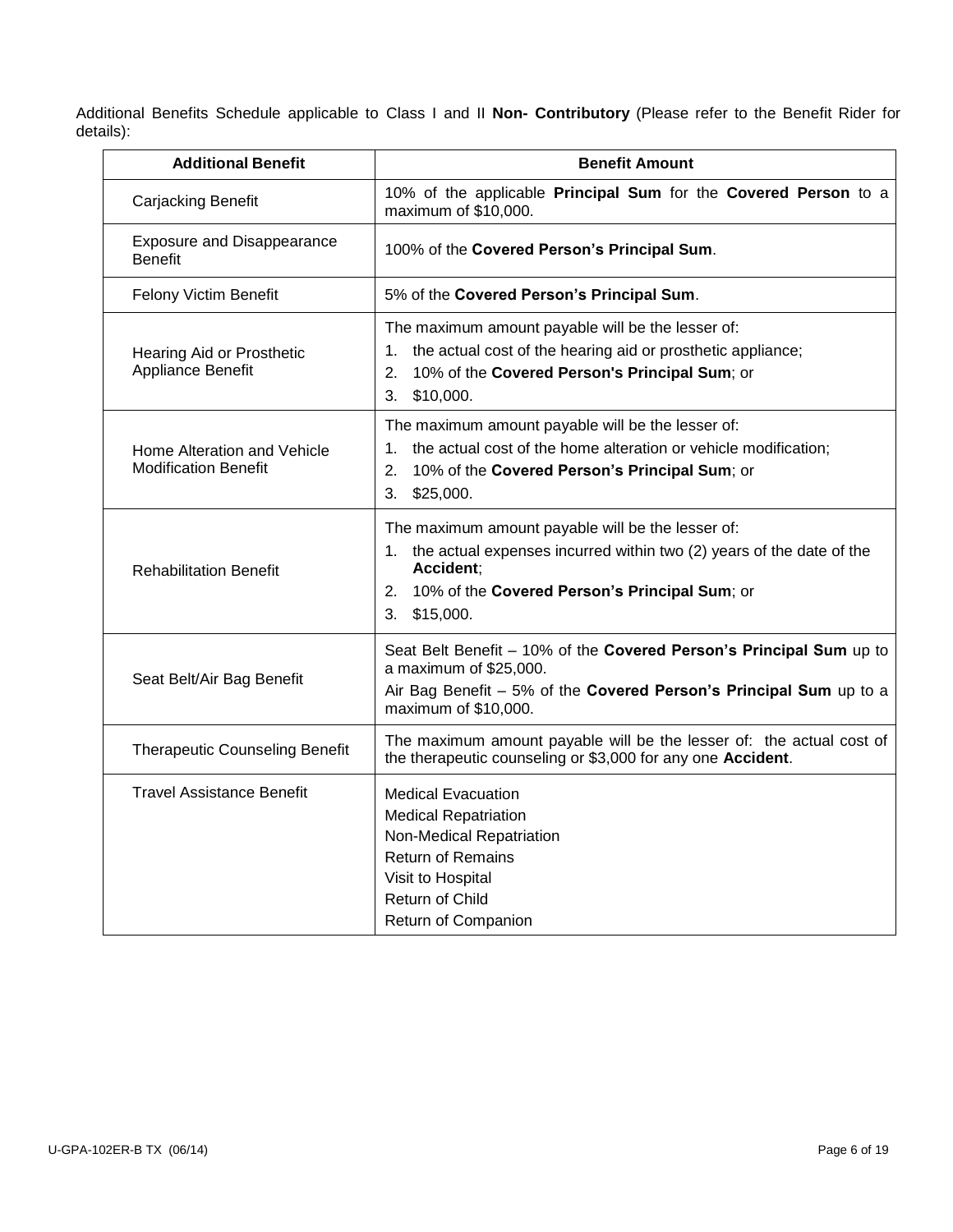Additional Benefits Schedule applicable to Class I and II **Non- Contributory** (Please refer to the Benefit Rider for details):

| <b>Additional Benefit</b>                                  | <b>Benefit Amount</b>                                                                                                                                                                                               |
|------------------------------------------------------------|---------------------------------------------------------------------------------------------------------------------------------------------------------------------------------------------------------------------|
| Carjacking Benefit                                         | 10% of the applicable Principal Sum for the Covered Person to a<br>maximum of \$10,000.                                                                                                                             |
| <b>Exposure and Disappearance</b><br><b>Benefit</b>        | 100% of the Covered Person's Principal Sum.                                                                                                                                                                         |
| Felony Victim Benefit                                      | 5% of the Covered Person's Principal Sum.                                                                                                                                                                           |
| Hearing Aid or Prosthetic<br>Appliance Benefit             | The maximum amount payable will be the lesser of:<br>1. the actual cost of the hearing aid or prosthetic appliance;<br>10% of the Covered Person's Principal Sum; or<br>2.<br>3.<br>\$10,000.                       |
| Home Alteration and Vehicle<br><b>Modification Benefit</b> | The maximum amount payable will be the lesser of:<br>the actual cost of the home alteration or vehicle modification;<br>1.<br>10% of the Covered Person's Principal Sum; or<br>2.<br>\$25,000.<br>3.                |
| <b>Rehabilitation Benefit</b>                              | The maximum amount payable will be the lesser of:<br>1. the actual expenses incurred within two (2) years of the date of the<br>Accident:<br>10% of the Covered Person's Principal Sum; or<br>2.<br>\$15,000.<br>3. |
| Seat Belt/Air Bag Benefit                                  | Seat Belt Benefit - 10% of the Covered Person's Principal Sum up to<br>a maximum of \$25,000.<br>Air Bag Benefit - 5% of the Covered Person's Principal Sum up to a<br>maximum of \$10,000.                         |
| <b>Therapeutic Counseling Benefit</b>                      | The maximum amount payable will be the lesser of: the actual cost of<br>the therapeutic counseling or \$3,000 for any one Accident.                                                                                 |
| Travel Assistance Benefit                                  | <b>Medical Evacuation</b><br><b>Medical Repatriation</b><br>Non-Medical Repatriation<br><b>Return of Remains</b><br>Visit to Hospital<br>Return of Child<br>Return of Companion                                     |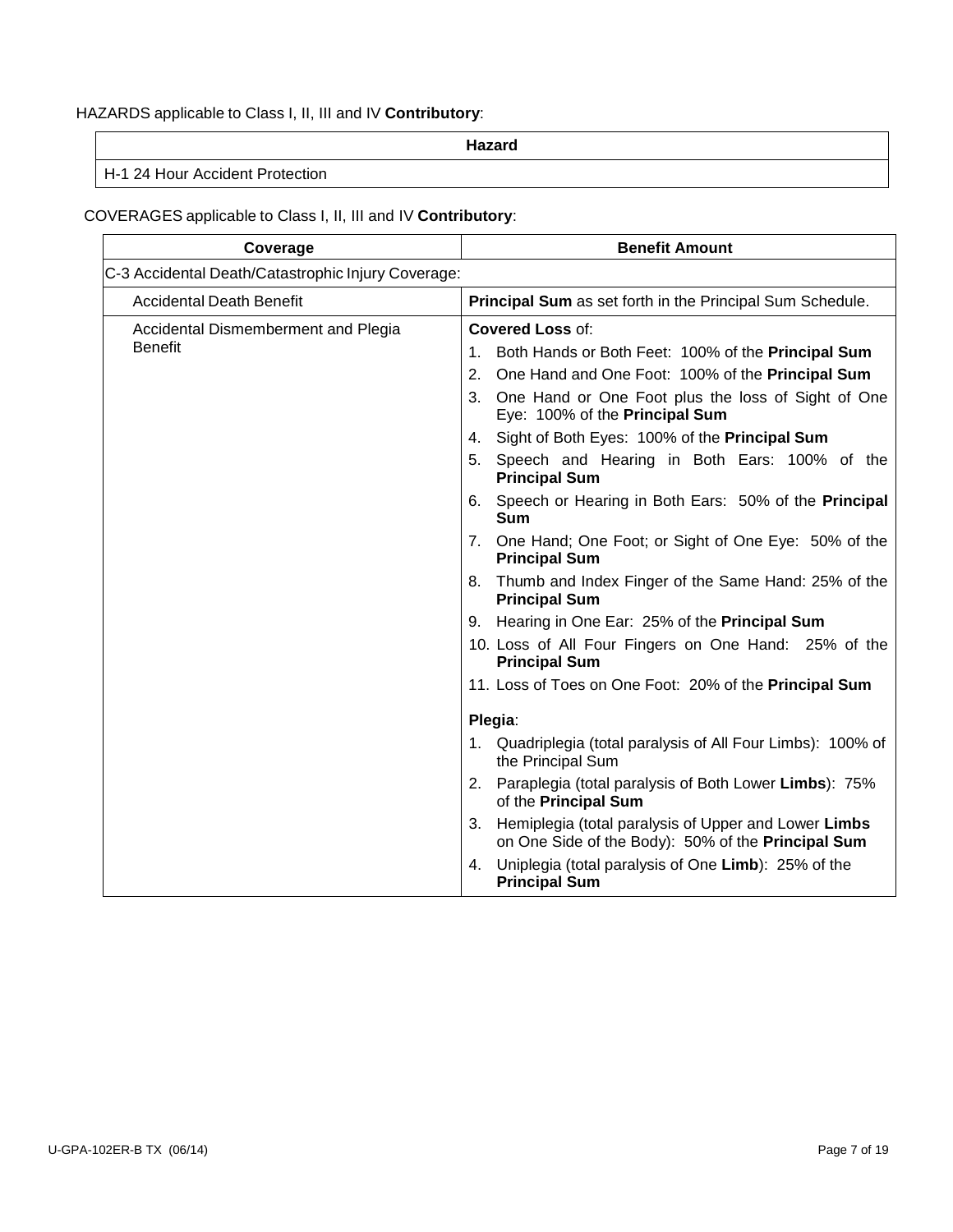## HAZARDS applicable to Class I, II, III and IV **Contributory**:

**Hazard**

H-1 24 Hour Accident Protection

## COVERAGES applicable to Class I, II, III and IV **Contributory**:

| Coverage                                           | <b>Benefit Amount</b>                                                                                            |
|----------------------------------------------------|------------------------------------------------------------------------------------------------------------------|
| C-3 Accidental Death/Catastrophic Injury Coverage: |                                                                                                                  |
| <b>Accidental Death Benefit</b>                    | Principal Sum as set forth in the Principal Sum Schedule.                                                        |
| Accidental Dismemberment and Plegia                | <b>Covered Loss of:</b>                                                                                          |
| <b>Benefit</b>                                     | 1. Both Hands or Both Feet: 100% of the Principal Sum                                                            |
|                                                    | One Hand and One Foot: 100% of the Principal Sum<br>2.                                                           |
|                                                    | 3. One Hand or One Foot plus the loss of Sight of One<br>Eye: 100% of the Principal Sum                          |
|                                                    | 4. Sight of Both Eyes: 100% of the Principal Sum                                                                 |
|                                                    | 5. Speech and Hearing in Both Ears: 100% of the<br><b>Principal Sum</b>                                          |
|                                                    | 6. Speech or Hearing in Both Ears: 50% of the Principal<br><b>Sum</b>                                            |
|                                                    | 7. One Hand; One Foot; or Sight of One Eye: 50% of the<br><b>Principal Sum</b>                                   |
|                                                    | 8. Thumb and Index Finger of the Same Hand: 25% of the<br><b>Principal Sum</b>                                   |
|                                                    | 9. Hearing in One Ear: 25% of the Principal Sum                                                                  |
|                                                    | 10. Loss of All Four Fingers on One Hand: 25% of the<br><b>Principal Sum</b>                                     |
|                                                    | 11. Loss of Toes on One Foot: 20% of the Principal Sum                                                           |
|                                                    | Plegia:                                                                                                          |
|                                                    | 1. Quadriplegia (total paralysis of All Four Limbs): 100% of<br>the Principal Sum                                |
|                                                    | 2. Paraplegia (total paralysis of Both Lower Limbs): 75%<br>of the Principal Sum                                 |
|                                                    | Hemiplegia (total paralysis of Upper and Lower Limbs<br>3.<br>on One Side of the Body): 50% of the Principal Sum |
|                                                    | Uniplegia (total paralysis of One Limb): 25% of the<br>4.<br><b>Principal Sum</b>                                |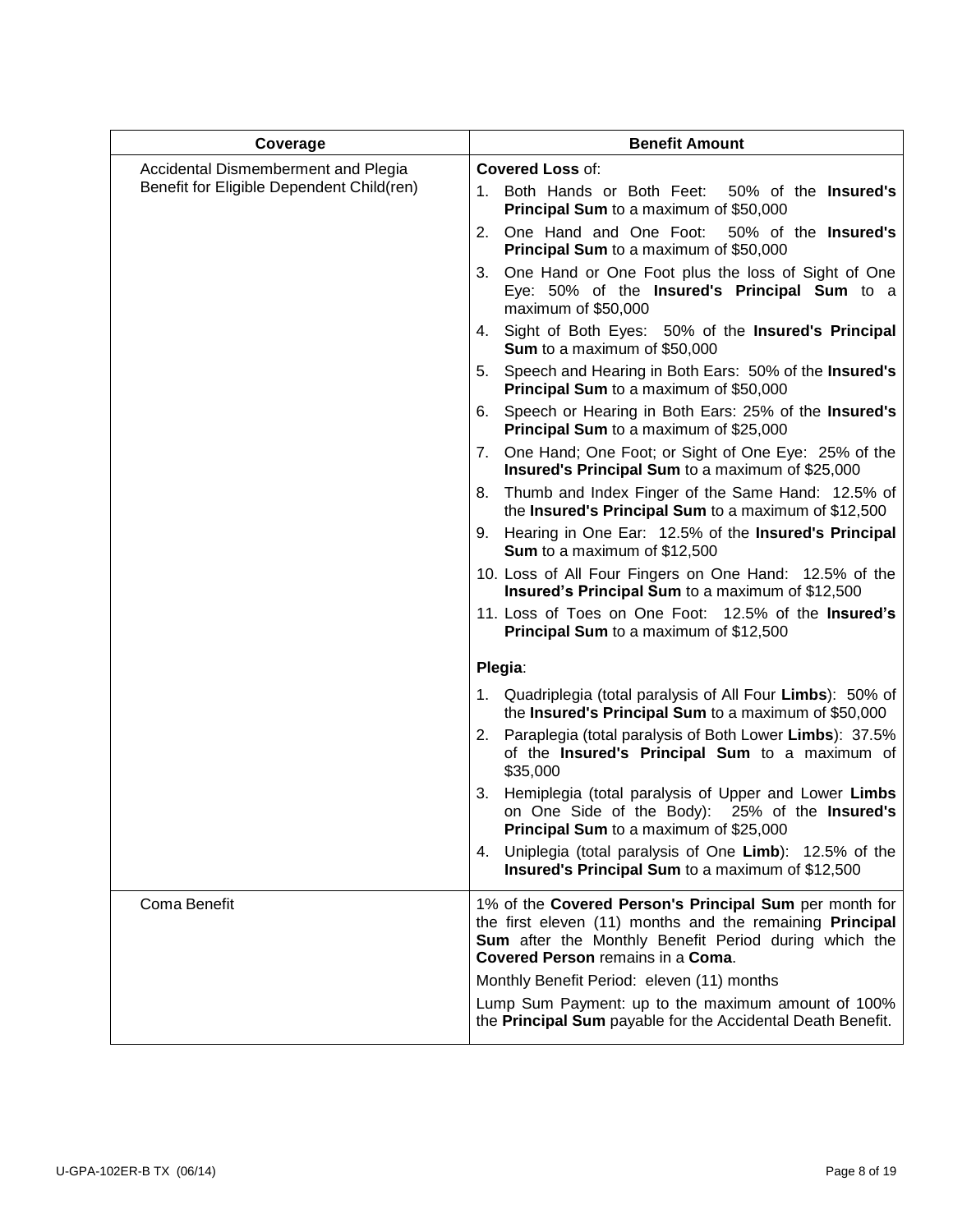| Coverage                                                                                                            | <b>Benefit Amount</b>                                                                                                                                                                                                   |  |  |
|---------------------------------------------------------------------------------------------------------------------|-------------------------------------------------------------------------------------------------------------------------------------------------------------------------------------------------------------------------|--|--|
| Accidental Dismemberment and Plegia                                                                                 | <b>Covered Loss of:</b>                                                                                                                                                                                                 |  |  |
| Benefit for Eligible Dependent Child(ren)                                                                           | 1. Both Hands or Both Feet:<br>50% of the Insured's<br>Principal Sum to a maximum of \$50,000                                                                                                                           |  |  |
|                                                                                                                     | 2. One Hand and One Foot:<br>50% of the Insured's<br><b>Principal Sum</b> to a maximum of \$50,000                                                                                                                      |  |  |
|                                                                                                                     | 3. One Hand or One Foot plus the loss of Sight of One<br>Eye: 50% of the Insured's Principal Sum to a<br>maximum of \$50,000                                                                                            |  |  |
|                                                                                                                     | 4. Sight of Both Eyes: 50% of the Insured's Principal<br><b>Sum</b> to a maximum of \$50,000                                                                                                                            |  |  |
|                                                                                                                     | 5. Speech and Hearing in Both Ears: 50% of the Insured's<br><b>Principal Sum</b> to a maximum of \$50,000                                                                                                               |  |  |
|                                                                                                                     | 6. Speech or Hearing in Both Ears: 25% of the Insured's<br>Principal Sum to a maximum of \$25,000                                                                                                                       |  |  |
|                                                                                                                     | 7. One Hand; One Foot; or Sight of One Eye: 25% of the<br>Insured's Principal Sum to a maximum of \$25,000                                                                                                              |  |  |
|                                                                                                                     | 8. Thumb and Index Finger of the Same Hand: 12.5% of<br>the Insured's Principal Sum to a maximum of \$12,500                                                                                                            |  |  |
|                                                                                                                     | 9. Hearing in One Ear: 12.5% of the Insured's Principal<br><b>Sum</b> to a maximum of \$12,500                                                                                                                          |  |  |
|                                                                                                                     | 10. Loss of All Four Fingers on One Hand: 12.5% of the<br>Insured's Principal Sum to a maximum of \$12,500                                                                                                              |  |  |
|                                                                                                                     | 11. Loss of Toes on One Foot: 12.5% of the Insured's<br>Principal Sum to a maximum of \$12,500                                                                                                                          |  |  |
|                                                                                                                     | Plegia:                                                                                                                                                                                                                 |  |  |
| 1. Quadriplegia (total paralysis of All Four Limbs): 50% of<br>the Insured's Principal Sum to a maximum of \$50,000 |                                                                                                                                                                                                                         |  |  |
|                                                                                                                     | 2. Paraplegia (total paralysis of Both Lower Limbs): 37.5%<br>of the Insured's Principal Sum to a maximum of<br>\$35,000                                                                                                |  |  |
|                                                                                                                     | 3. Hemiplegia (total paralysis of Upper and Lower Limbs<br>on One Side of the Body): 25% of the Insured's<br><b>Principal Sum</b> to a maximum of \$25,000                                                              |  |  |
|                                                                                                                     | 4. Uniplegia (total paralysis of One Limb): 12.5% of the<br><b>Insured's Principal Sum to a maximum of \$12,500</b>                                                                                                     |  |  |
| Coma Benefit                                                                                                        | 1% of the Covered Person's Principal Sum per month for<br>the first eleven (11) months and the remaining Principal<br>Sum after the Monthly Benefit Period during which the<br><b>Covered Person remains in a Coma.</b> |  |  |
|                                                                                                                     | Monthly Benefit Period: eleven (11) months<br>Lump Sum Payment: up to the maximum amount of 100%<br>the Principal Sum payable for the Accidental Death Benefit.                                                         |  |  |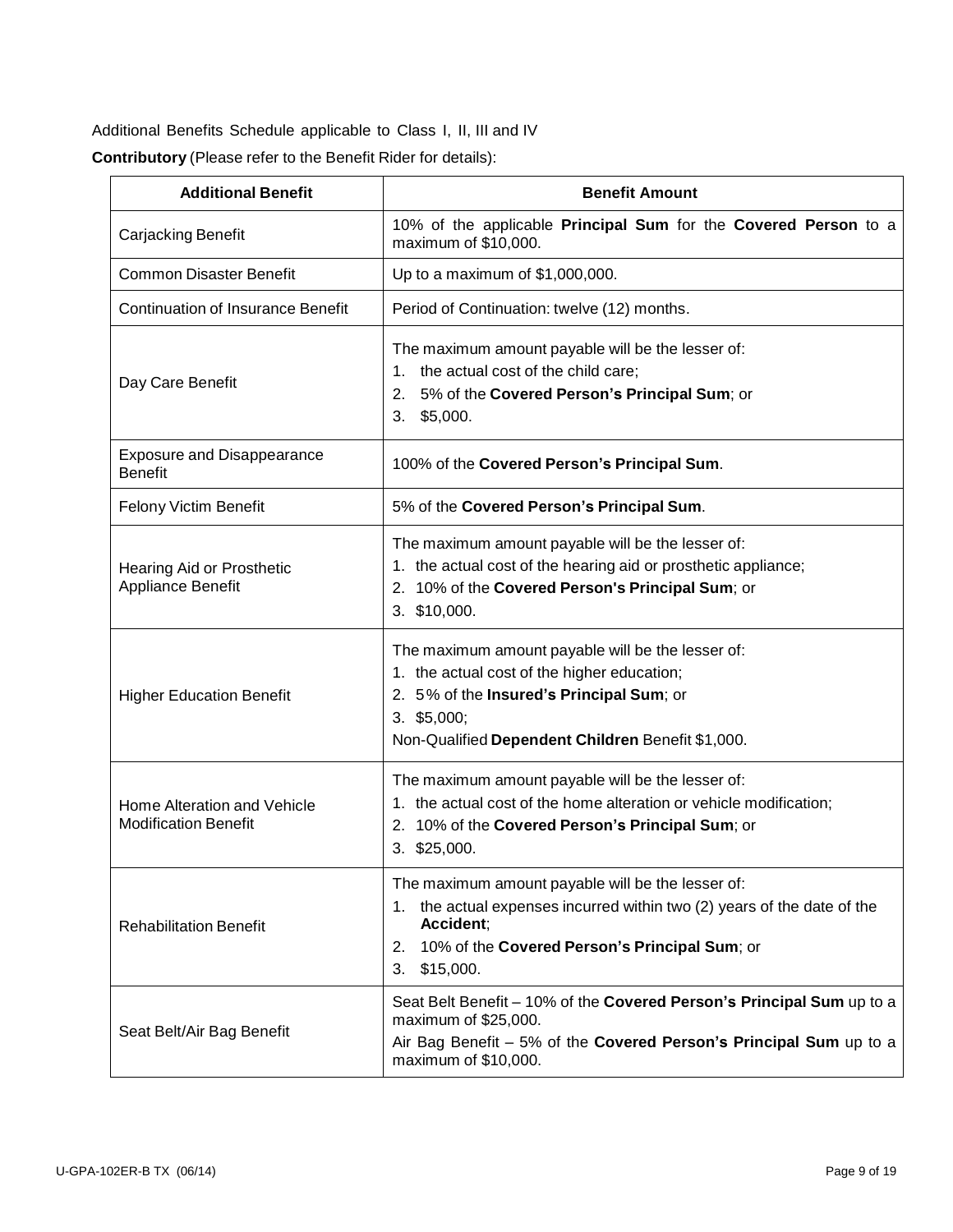Additional Benefits Schedule applicable to Class I, II, III and IV

| <b>Contributory</b> (Please refer to the Benefit Rider for details): |  |  |  |  |  |
|----------------------------------------------------------------------|--|--|--|--|--|
|----------------------------------------------------------------------|--|--|--|--|--|

| <b>Additional Benefit</b>                                  | <b>Benefit Amount</b>                                                                                                                                                                                                  |
|------------------------------------------------------------|------------------------------------------------------------------------------------------------------------------------------------------------------------------------------------------------------------------------|
| Carjacking Benefit                                         | 10% of the applicable Principal Sum for the Covered Person to a<br>maximum of \$10,000.                                                                                                                                |
| <b>Common Disaster Benefit</b>                             | Up to a maximum of \$1,000,000.                                                                                                                                                                                        |
| <b>Continuation of Insurance Benefit</b>                   | Period of Continuation: twelve (12) months.                                                                                                                                                                            |
| Day Care Benefit                                           | The maximum amount payable will be the lesser of:<br>1. the actual cost of the child care;<br>5% of the Covered Person's Principal Sum; or<br>2.<br>$3.$ \$5,000.                                                      |
| <b>Exposure and Disappearance</b><br><b>Benefit</b>        | 100% of the Covered Person's Principal Sum.                                                                                                                                                                            |
| Felony Victim Benefit                                      | 5% of the Covered Person's Principal Sum.                                                                                                                                                                              |
| Hearing Aid or Prosthetic<br>Appliance Benefit             | The maximum amount payable will be the lesser of:<br>1. the actual cost of the hearing aid or prosthetic appliance;<br>2. 10% of the Covered Person's Principal Sum; or<br>3. \$10,000.                                |
| <b>Higher Education Benefit</b>                            | The maximum amount payable will be the lesser of:<br>1. the actual cost of the higher education;<br>2. 5% of the Insured's Principal Sum; or<br>$3.$ \$5,000;<br>Non-Qualified Dependent Children Benefit \$1,000.     |
| Home Alteration and Vehicle<br><b>Modification Benefit</b> | The maximum amount payable will be the lesser of:<br>1. the actual cost of the home alteration or vehicle modification;<br>2. 10% of the Covered Person's Principal Sum; or<br>3. \$25,000.                            |
| <b>Rehabilitation Benefit</b>                              | The maximum amount payable will be the lesser of:<br>the actual expenses incurred within two (2) years of the date of the<br>1.<br>Accident;<br>10% of the Covered Person's Principal Sum; or<br>2.<br>3.<br>\$15,000. |
| Seat Belt/Air Bag Benefit                                  | Seat Belt Benefit - 10% of the Covered Person's Principal Sum up to a<br>maximum of \$25,000.<br>Air Bag Benefit - 5% of the Covered Person's Principal Sum up to a<br>maximum of \$10,000.                            |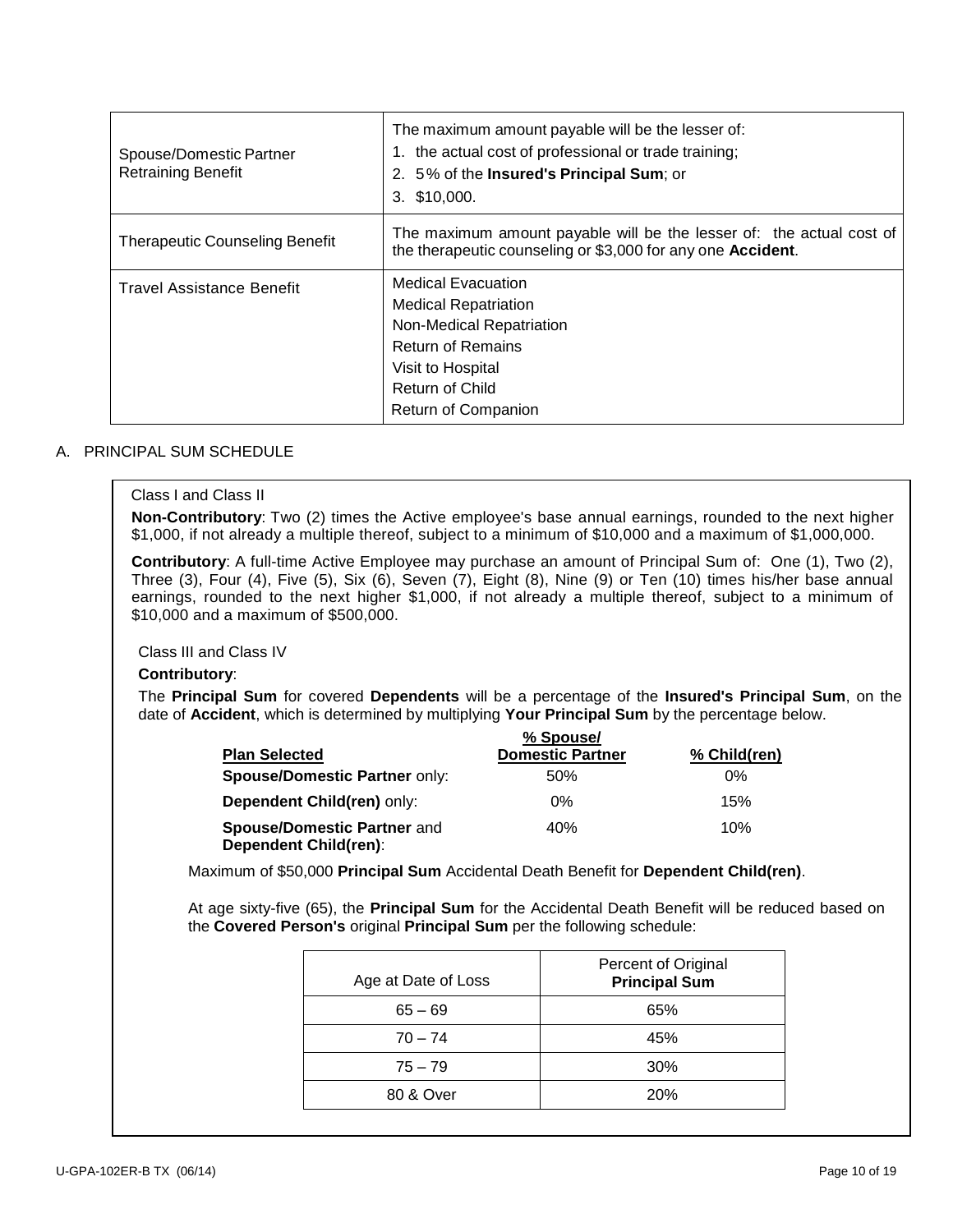| Spouse/Domestic Partner<br><b>Retraining Benefit</b> | The maximum amount payable will be the lesser of:<br>the actual cost of professional or trade training;<br>2. 5% of the <b>Insured's Principal Sum</b> ; or<br>\$10,000.<br>3.         |
|------------------------------------------------------|----------------------------------------------------------------------------------------------------------------------------------------------------------------------------------------|
| <b>Therapeutic Counseling Benefit</b>                | The maximum amount payable will be the lesser of: the actual cost of<br>the therapeutic counseling or \$3,000 for any one Accident.                                                    |
| Travel Assistance Benefit                            | <b>Medical Evacuation</b><br><b>Medical Repatriation</b><br>Non-Medical Repatriation<br><b>Return of Remains</b><br>Visit to Hospital<br><b>Return of Child</b><br>Return of Companion |

#### A. PRINCIPAL SUM SCHEDULE

#### Class I and Class II

**Non-Contributory**: Two (2) times the Active employee's base annual earnings, rounded to the next higher \$1,000, if not already a multiple thereof, subject to a minimum of \$10,000 and a maximum of \$1,000,000.

**Contributory**: A full-time Active Employee may purchase an amount of Principal Sum of: One (1), Two (2), Three (3), Four (4), Five (5), Six (6), Seven (7), Eight (8), Nine (9) or Ten (10) times his/her base annual earnings, rounded to the next higher \$1,000, if not already a multiple thereof, subject to a minimum of \$10,000 and a maximum of \$500,000.

Class III and Class IV

#### **Contributory**:

The **Principal Sum** for covered **Dependents** will be a percentage of the **Insured's Principal Sum**, on the date of **Accident**, which is determined by multiplying **Your Principal Sum** by the percentage below.

|                                                                    | % Spouse/               |              |
|--------------------------------------------------------------------|-------------------------|--------------|
| <b>Plan Selected</b>                                               | <b>Domestic Partner</b> | % Child(ren) |
| <b>Spouse/Domestic Partner only:</b>                               | 50%                     | 0%           |
| Dependent Child(ren) only:                                         | $0\%$                   | 15%          |
| <b>Spouse/Domestic Partner and</b><br><b>Dependent Child(ren):</b> | 40%                     | 10%          |

Maximum of \$50,000 **Principal Sum** Accidental Death Benefit for **Dependent Child(ren)**.

At age sixty-five (65), the **Principal Sum** for the Accidental Death Benefit will be reduced based on the **Covered Person's** original **Principal Sum** per the following schedule:

| Age at Date of Loss | Percent of Original<br><b>Principal Sum</b> |
|---------------------|---------------------------------------------|
| $65 - 69$           | 65%                                         |
| $70 - 74$           | 45%                                         |
| $75 - 79$           | 30%                                         |
| 80 & Over           | 20%                                         |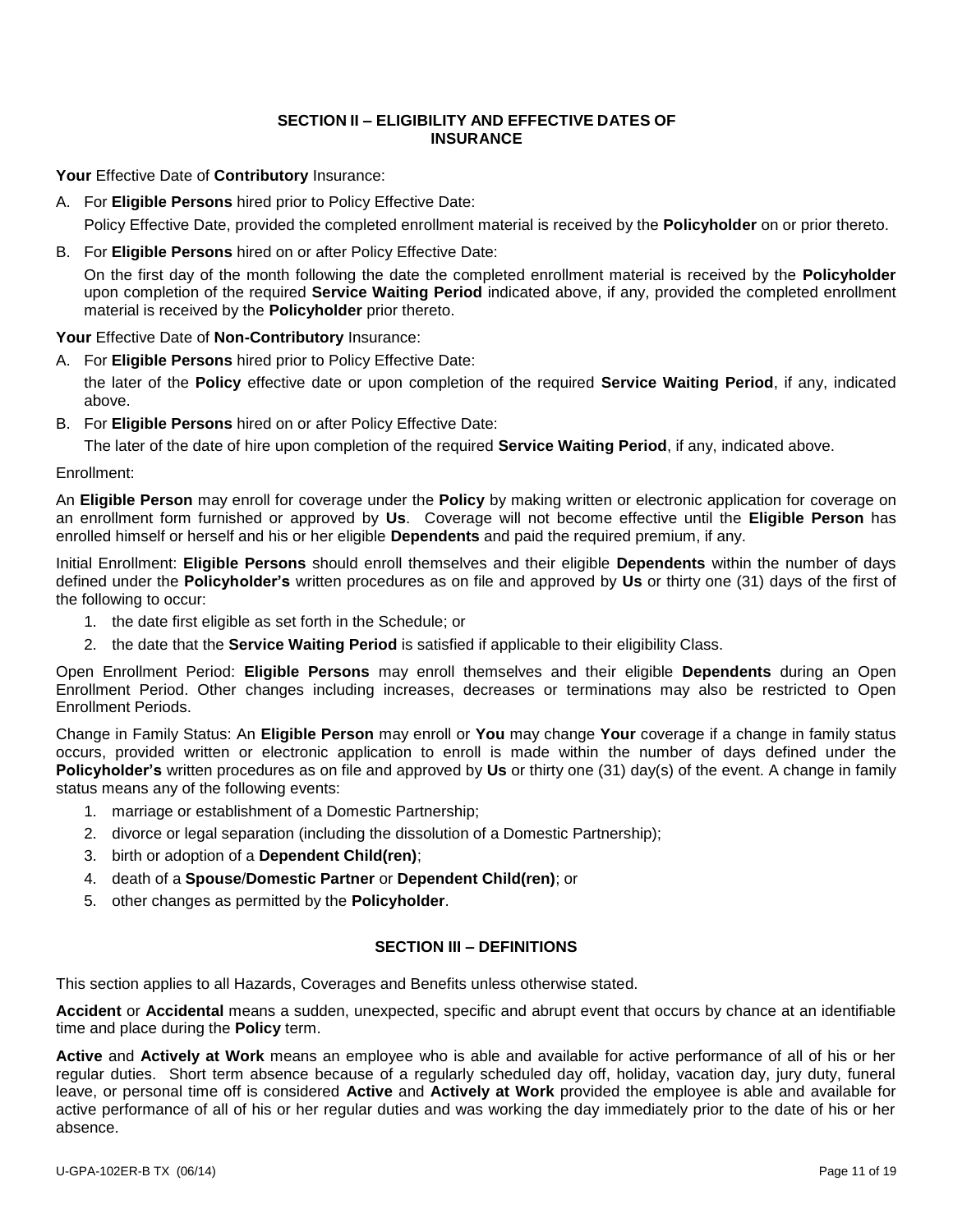### **SECTION II – ELIGIBILITY AND EFFECTIVE DATES OF INSURANCE**

**Your** Effective Date of **Contributory** Insurance:

- A. For **Eligible Persons** hired prior to Policy Effective Date: Policy Effective Date, provided the completed enrollment material is received by the **Policyholder** on or prior thereto.
- B. For **Eligible Persons** hired on or after Policy Effective Date:

On the first day of the month following the date the completed enrollment material is received by the **Policyholder** upon completion of the required **Service Waiting Period** indicated above, if any, provided the completed enrollment material is received by the **Policyholder** prior thereto.

#### **Your** Effective Date of **Non-Contributory** Insurance:

A. For **Eligible Persons** hired prior to Policy Effective Date:

the later of the **Policy** effective date or upon completion of the required **Service Waiting Period**, if any, indicated above.

B. For **Eligible Persons** hired on or after Policy Effective Date:

The later of the date of hire upon completion of the required **Service Waiting Period**, if any, indicated above.

Enrollment:

An **Eligible Person** may enroll for coverage under the **Policy** by making written or electronic application for coverage on an enrollment form furnished or approved by **Us**. Coverage will not become effective until the **Eligible Person** has enrolled himself or herself and his or her eligible **Dependents** and paid the required premium, if any.

Initial Enrollment: **Eligible Persons** should enroll themselves and their eligible **Dependents** within the number of days defined under the **Policyholder's** written procedures as on file and approved by **Us** or thirty one (31) days of the first of the following to occur:

- 1. the date first eligible as set forth in the Schedule; or
- 2. the date that the **Service Waiting Period** is satisfied if applicable to their eligibility Class.

Open Enrollment Period: **Eligible Persons** may enroll themselves and their eligible **Dependents** during an Open Enrollment Period. Other changes including increases, decreases or terminations may also be restricted to Open Enrollment Periods.

Change in Family Status: An **Eligible Person** may enroll or **You** may change **Your** coverage if a change in family status occurs, provided written or electronic application to enroll is made within the number of days defined under the **Policyholder's** written procedures as on file and approved by **Us** or thirty one (31) day(s) of the event. A change in family status means any of the following events:

- 1. marriage or establishment of a Domestic Partnership;
- 2. divorce or legal separation (including the dissolution of a Domestic Partnership);
- 3. birth or adoption of a **Dependent Child(ren)**;
- 4. death of a **Spouse**/**Domestic Partner** or **Dependent Child(ren)**; or
- 5. other changes as permitted by the **Policyholder**.

### **SECTION III – DEFINITIONS**

This section applies to all Hazards, Coverages and Benefits unless otherwise stated.

**Accident** or **Accidental** means a sudden, unexpected, specific and abrupt event that occurs by chance at an identifiable time and place during the **Policy** term.

**Active** and **Actively at Work** means an employee who is able and available for active performance of all of his or her regular duties. Short term absence because of a regularly scheduled day off, holiday, vacation day, jury duty, funeral leave, or personal time off is considered **Active** and **Actively at Work** provided the employee is able and available for active performance of all of his or her regular duties and was working the day immediately prior to the date of his or her absence.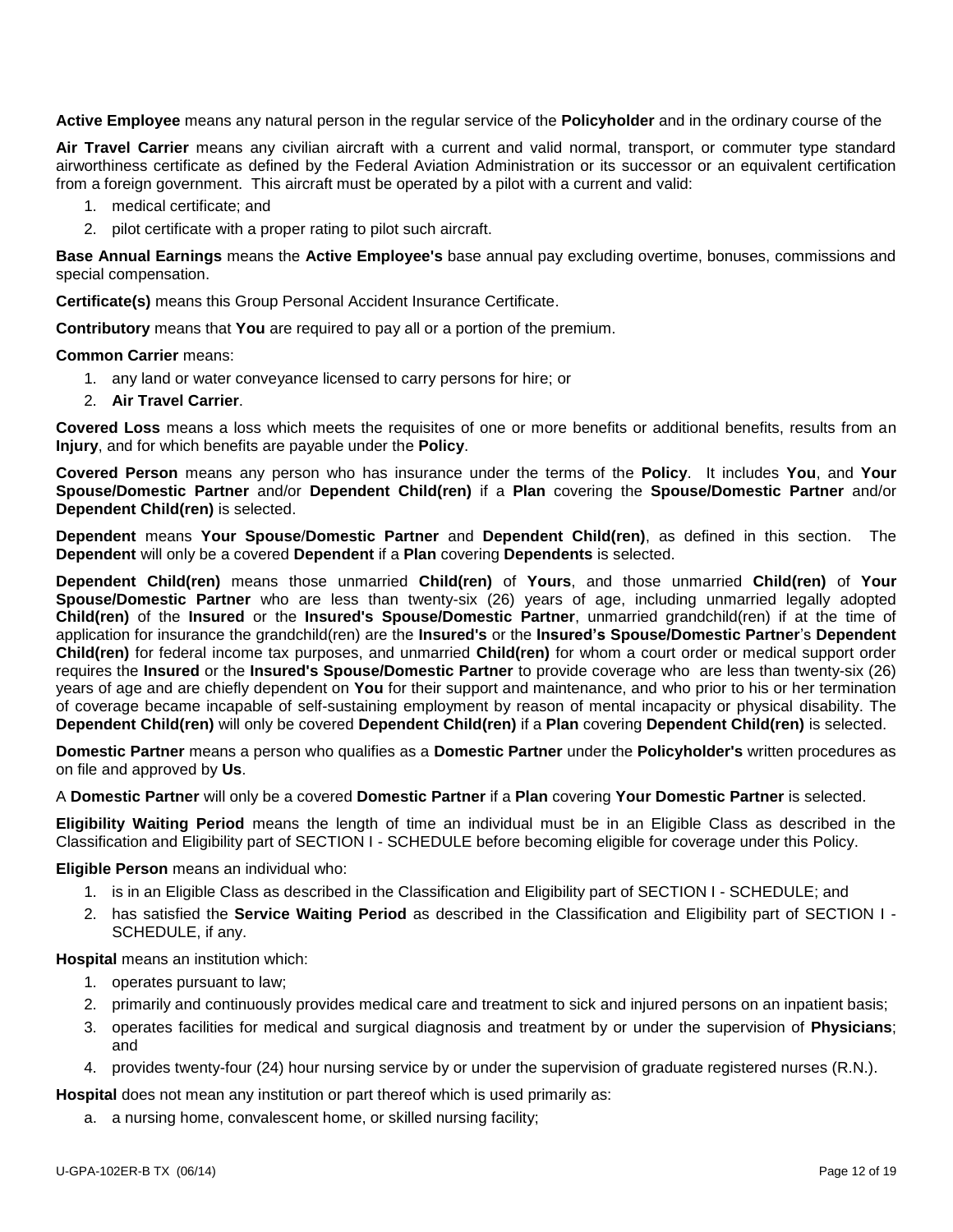**Active Employee** means any natural person in the regular service of the **Policyholder** and in the ordinary course of the

**Air Travel Carrier** means any civilian aircraft with a current and valid normal, transport, or commuter type standard airworthiness certificate as defined by the Federal Aviation Administration or its successor or an equivalent certification from a foreign government. This aircraft must be operated by a pilot with a current and valid:

- 1. medical certificate; and
- 2. pilot certificate with a proper rating to pilot such aircraft.

**Base Annual Earnings** means the **Active Employee's** base annual pay excluding overtime, bonuses, commissions and special compensation.

**Certificate(s)** means this Group Personal Accident Insurance Certificate.

**Contributory** means that **You** are required to pay all or a portion of the premium.

#### **Common Carrier** means:

- 1. any land or water conveyance licensed to carry persons for hire; or
- 2. **Air Travel Carrier**.

**Covered Loss** means a loss which meets the requisites of one or more benefits or additional benefits, results from an **Injury**, and for which benefits are payable under the **Policy**.

**Covered Person** means any person who has insurance under the terms of the **Policy**. It includes **You**, and **Your Spouse/Domestic Partner** and/or **Dependent Child(ren)** if a **Plan** covering the **Spouse/Domestic Partner** and/or **Dependent Child(ren)** is selected.

**Dependent** means **Your Spouse**/**Domestic Partner** and **Dependent Child(ren)**, as defined in this section. The **Dependent** will only be a covered **Dependent** if a **Plan** covering **Dependents** is selected.

**Dependent Child(ren)** means those unmarried **Child(ren)** of **Yours**, and those unmarried **Child(ren)** of **Your Spouse/Domestic Partner** who are less than twenty-six (26) years of age, including unmarried legally adopted **Child(ren)** of the **Insured** or the **Insured's Spouse/Domestic Partner**, unmarried grandchild(ren) if at the time of application for insurance the grandchild(ren) are the **Insured's** or the **Insured's Spouse/Domestic Partner**'s **Dependent Child(ren)** for federal income tax purposes, and unmarried **Child(ren)** for whom a court order or medical support order requires the **Insured** or the **Insured's Spouse/Domestic Partner** to provide coverage who are less than twenty-six (26) years of age and are chiefly dependent on **You** for their support and maintenance, and who prior to his or her termination of coverage became incapable of self-sustaining employment by reason of mental incapacity or physical disability. The **Dependent Child(ren)** will only be covered **Dependent Child(ren)** if a **Plan** covering **Dependent Child(ren)** is selected.

**Domestic Partner** means a person who qualifies as a **Domestic Partner** under the **Policyholder's** written procedures as on file and approved by **Us**.

A **Domestic Partner** will only be a covered **Domestic Partner** if a **Plan** covering **Your Domestic Partner** is selected.

**Eligibility Waiting Period** means the length of time an individual must be in an Eligible Class as described in the Classification and Eligibility part of SECTION I - SCHEDULE before becoming eligible for coverage under this Policy.

#### **Eligible Person** means an individual who:

- 1. is in an Eligible Class as described in the Classification and Eligibility part of SECTION I SCHEDULE; and
- 2. has satisfied the **Service Waiting Period** as described in the Classification and Eligibility part of SECTION I SCHEDULE, if any.

**Hospital** means an institution which:

- 1. operates pursuant to law;
- 2. primarily and continuously provides medical care and treatment to sick and injured persons on an inpatient basis;
- 3. operates facilities for medical and surgical diagnosis and treatment by or under the supervision of **Physicians**; and
- 4. provides twenty-four (24) hour nursing service by or under the supervision of graduate registered nurses (R.N.).

**Hospital** does not mean any institution or part thereof which is used primarily as:

a. a nursing home, convalescent home, or skilled nursing facility;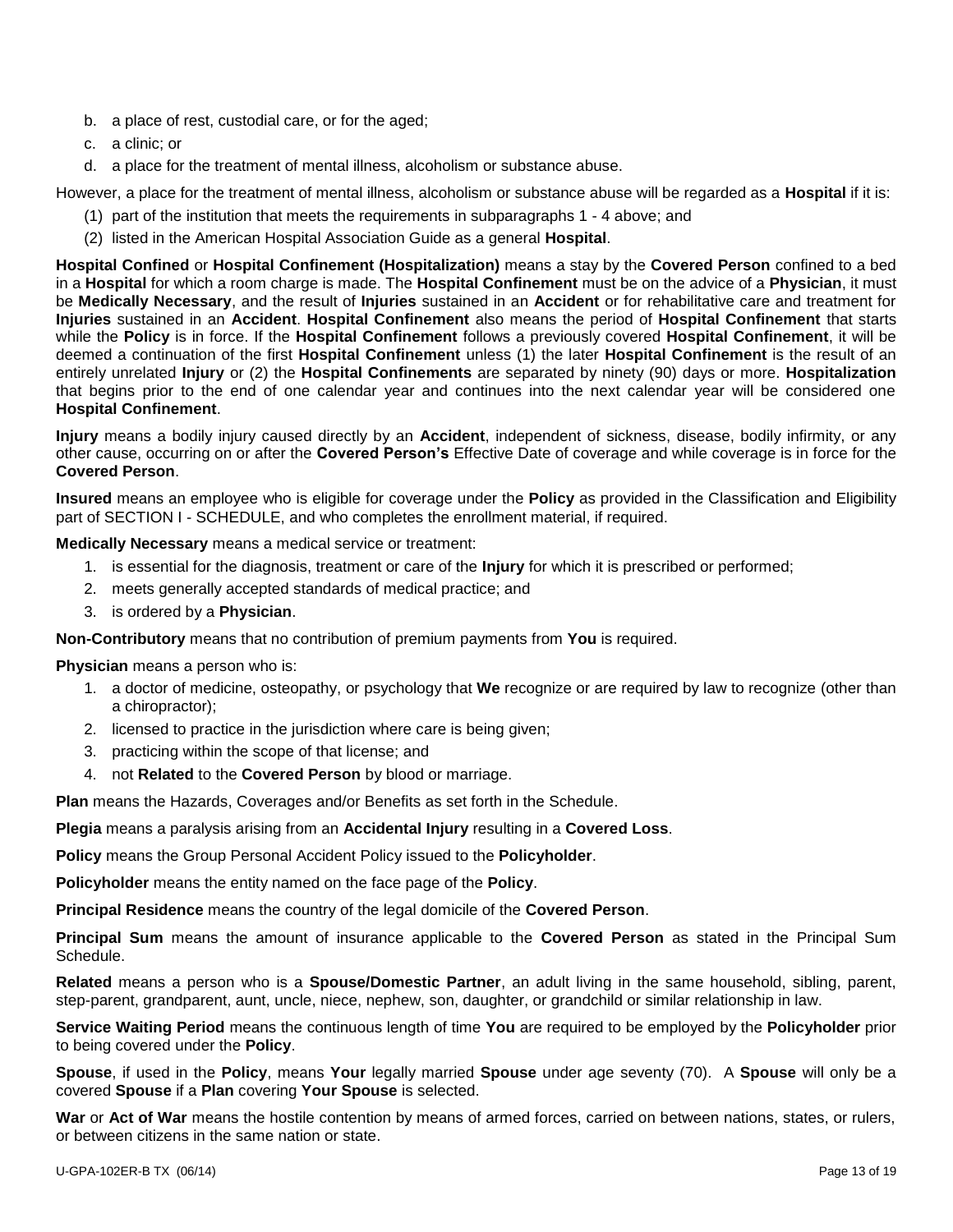- b. a place of rest, custodial care, or for the aged;
- c. a clinic; or
- d. a place for the treatment of mental illness, alcoholism or substance abuse.

However, a place for the treatment of mental illness, alcoholism or substance abuse will be regarded as a **Hospital** if it is:

- (1) part of the institution that meets the requirements in subparagraphs 1 4 above; and
- (2) listed in the American Hospital Association Guide as a general **Hospital**.

**Hospital Confined** or **Hospital Confinement (Hospitalization)** means a stay by the **Covered Person** confined to a bed in a **Hospital** for which a room charge is made. The **Hospital Confinement** must be on the advice of a **Physician**, it must be **Medically Necessary**, and the result of **Injuries** sustained in an **Accident** or for rehabilitative care and treatment for **Injuries** sustained in an **Accident**. **Hospital Confinement** also means the period of **Hospital Confinement** that starts while the **Policy** is in force. If the **Hospital Confinement** follows a previously covered **Hospital Confinement**, it will be deemed a continuation of the first **Hospital Confinement** unless (1) the later **Hospital Confinement** is the result of an entirely unrelated **Injury** or (2) the **Hospital Confinements** are separated by ninety (90) days or more. **Hospitalization** that begins prior to the end of one calendar year and continues into the next calendar year will be considered one **Hospital Confinement**.

**Injury** means a bodily injury caused directly by an **Accident**, independent of sickness, disease, bodily infirmity, or any other cause, occurring on or after the **Covered Person's** Effective Date of coverage and while coverage is in force for the **Covered Person**.

**Insured** means an employee who is eligible for coverage under the **Policy** as provided in the Classification and Eligibility part of SECTION I - SCHEDULE, and who completes the enrollment material, if required.

**Medically Necessary** means a medical service or treatment:

- 1. is essential for the diagnosis, treatment or care of the **Injury** for which it is prescribed or performed;
- 2. meets generally accepted standards of medical practice; and
- 3. is ordered by a **Physician**.

**Non-Contributory** means that no contribution of premium payments from **You** is required.

**Physician** means a person who is:

- 1. a doctor of medicine, osteopathy, or psychology that **We** recognize or are required by law to recognize (other than a chiropractor);
- 2. licensed to practice in the jurisdiction where care is being given;
- 3. practicing within the scope of that license; and
- 4. not **Related** to the **Covered Person** by blood or marriage.

**Plan** means the Hazards, Coverages and/or Benefits as set forth in the Schedule.

**Plegia** means a paralysis arising from an **Accidental Injury** resulting in a **Covered Loss**.

**Policy** means the Group Personal Accident Policy issued to the **Policyholder**.

**Policyholder** means the entity named on the face page of the **Policy**.

**Principal Residence** means the country of the legal domicile of the **Covered Person**.

**Principal Sum** means the amount of insurance applicable to the **Covered Person** as stated in the Principal Sum Schedule.

**Related** means a person who is a **Spouse/Domestic Partner**, an adult living in the same household, sibling, parent, step-parent, grandparent, aunt, uncle, niece, nephew, son, daughter, or grandchild or similar relationship in law.

**Service Waiting Period** means the continuous length of time **You** are required to be employed by the **Policyholder** prior to being covered under the **Policy**.

**Spouse**, if used in the **Policy**, means **Your** legally married **Spouse** under age seventy (70). A **Spouse** will only be a covered **Spouse** if a **Plan** covering **Your Spouse** is selected.

**War** or **Act of War** means the hostile contention by means of armed forces, carried on between nations, states, or rulers, or between citizens in the same nation or state.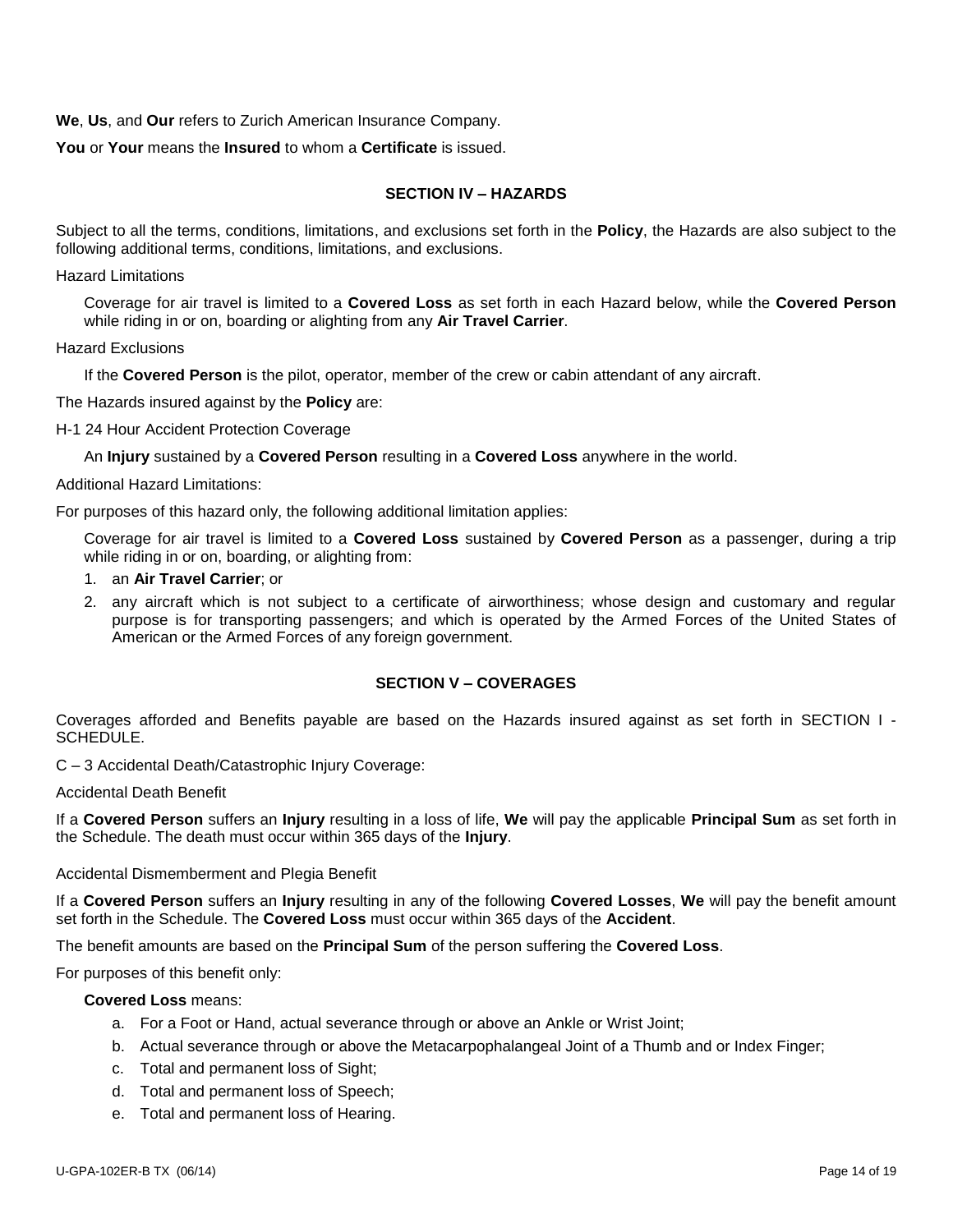**We**, **Us**, and **Our** refers to Zurich American Insurance Company.

**You** or **Your** means the **Insured** to whom a **Certificate** is issued.

### **SECTION IV – HAZARDS**

Subject to all the terms, conditions, limitations, and exclusions set forth in the **Policy**, the Hazards are also subject to the following additional terms, conditions, limitations, and exclusions.

Hazard Limitations

Coverage for air travel is limited to a **Covered Loss** as set forth in each Hazard below, while the **Covered Person** while riding in or on, boarding or alighting from any **Air Travel Carrier**.

#### Hazard Exclusions

If the **Covered Person** is the pilot, operator, member of the crew or cabin attendant of any aircraft.

The Hazards insured against by the **Policy** are:

H-1 24 Hour Accident Protection Coverage

An **Injury** sustained by a **Covered Person** resulting in a **Covered Loss** anywhere in the world.

Additional Hazard Limitations:

For purposes of this hazard only, the following additional limitation applies:

Coverage for air travel is limited to a **Covered Loss** sustained by **Covered Person** as a passenger, during a trip while riding in or on, boarding, or alighting from:

- 1. an **Air Travel Carrier**; or
- 2. any aircraft which is not subject to a certificate of airworthiness; whose design and customary and regular purpose is for transporting passengers; and which is operated by the Armed Forces of the United States of American or the Armed Forces of any foreign government.

#### **SECTION V – COVERAGES**

Coverages afforded and Benefits payable are based on the Hazards insured against as set forth in SECTION I - SCHEDULE.

C – 3 Accidental Death/Catastrophic Injury Coverage:

Accidental Death Benefit

If a **Covered Person** suffers an **Injury** resulting in a loss of life, **We** will pay the applicable **Principal Sum** as set forth in the Schedule. The death must occur within 365 days of the **Injury**.

Accidental Dismemberment and Plegia Benefit

If a **Covered Person** suffers an **Injury** resulting in any of the following **Covered Losses**, **We** will pay the benefit amount set forth in the Schedule. The **Covered Loss** must occur within 365 days of the **Accident**.

The benefit amounts are based on the **Principal Sum** of the person suffering the **Covered Loss**.

For purposes of this benefit only:

#### **Covered Loss** means:

- a. For a Foot or Hand, actual severance through or above an Ankle or Wrist Joint;
- b. Actual severance through or above the Metacarpophalangeal Joint of a Thumb and or Index Finger;
- c. Total and permanent loss of Sight;
- d. Total and permanent loss of Speech;
- e. Total and permanent loss of Hearing.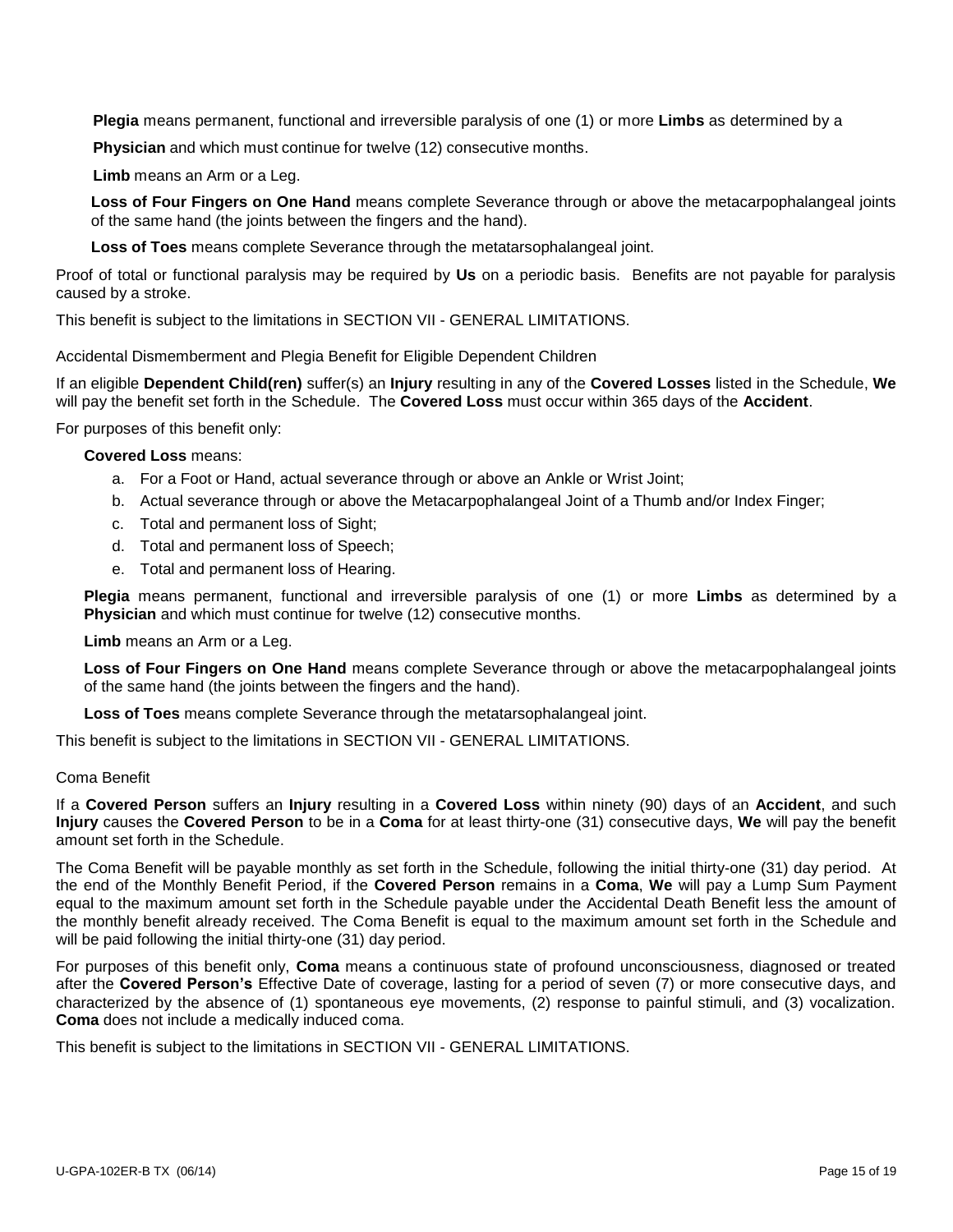**Plegia** means permanent, functional and irreversible paralysis of one (1) or more **Limbs** as determined by a

**Physician** and which must continue for twelve (12) consecutive months.

**Limb** means an Arm or a Leg.

**Loss of Four Fingers on One Hand** means complete Severance through or above the metacarpophalangeal joints of the same hand (the joints between the fingers and the hand).

**Loss of Toes** means complete Severance through the metatarsophalangeal joint.

Proof of total or functional paralysis may be required by **Us** on a periodic basis. Benefits are not payable for paralysis caused by a stroke.

This benefit is subject to the limitations in SECTION VII - GENERAL LIMITATIONS.

Accidental Dismemberment and Plegia Benefit for Eligible Dependent Children

If an eligible **Dependent Child(ren)** suffer(s) an **Injury** resulting in any of the **Covered Losses** listed in the Schedule, **We** will pay the benefit set forth in the Schedule. The **Covered Loss** must occur within 365 days of the **Accident**.

For purposes of this benefit only:

#### **Covered Loss** means:

- a. For a Foot or Hand, actual severance through or above an Ankle or Wrist Joint;
- b. Actual severance through or above the Metacarpophalangeal Joint of a Thumb and/or Index Finger;
- c. Total and permanent loss of Sight;
- d. Total and permanent loss of Speech;
- e. Total and permanent loss of Hearing.

**Plegia** means permanent, functional and irreversible paralysis of one (1) or more **Limbs** as determined by a **Physician** and which must continue for twelve (12) consecutive months.

**Limb** means an Arm or a Leg.

**Loss of Four Fingers on One Hand** means complete Severance through or above the metacarpophalangeal joints of the same hand (the joints between the fingers and the hand).

**Loss of Toes** means complete Severance through the metatarsophalangeal joint.

This benefit is subject to the limitations in SECTION VII - GENERAL LIMITATIONS.

#### Coma Benefit

If a **Covered Person** suffers an **Injury** resulting in a **Covered Loss** within ninety (90) days of an **Accident**, and such **Injury** causes the **Covered Person** to be in a **Coma** for at least thirty-one (31) consecutive days, **We** will pay the benefit amount set forth in the Schedule.

The Coma Benefit will be payable monthly as set forth in the Schedule, following the initial thirty-one (31) day period. At the end of the Monthly Benefit Period, if the **Covered Person** remains in a **Coma**, **We** will pay a Lump Sum Payment equal to the maximum amount set forth in the Schedule payable under the Accidental Death Benefit less the amount of the monthly benefit already received. The Coma Benefit is equal to the maximum amount set forth in the Schedule and will be paid following the initial thirty-one (31) day period.

For purposes of this benefit only, **Coma** means a continuous state of profound unconsciousness, diagnosed or treated after the **Covered Person's** Effective Date of coverage, lasting for a period of seven (7) or more consecutive days, and characterized by the absence of (1) spontaneous eye movements, (2) response to painful stimuli, and (3) vocalization. **Coma** does not include a medically induced coma.

This benefit is subject to the limitations in SECTION VII - GENERAL LIMITATIONS.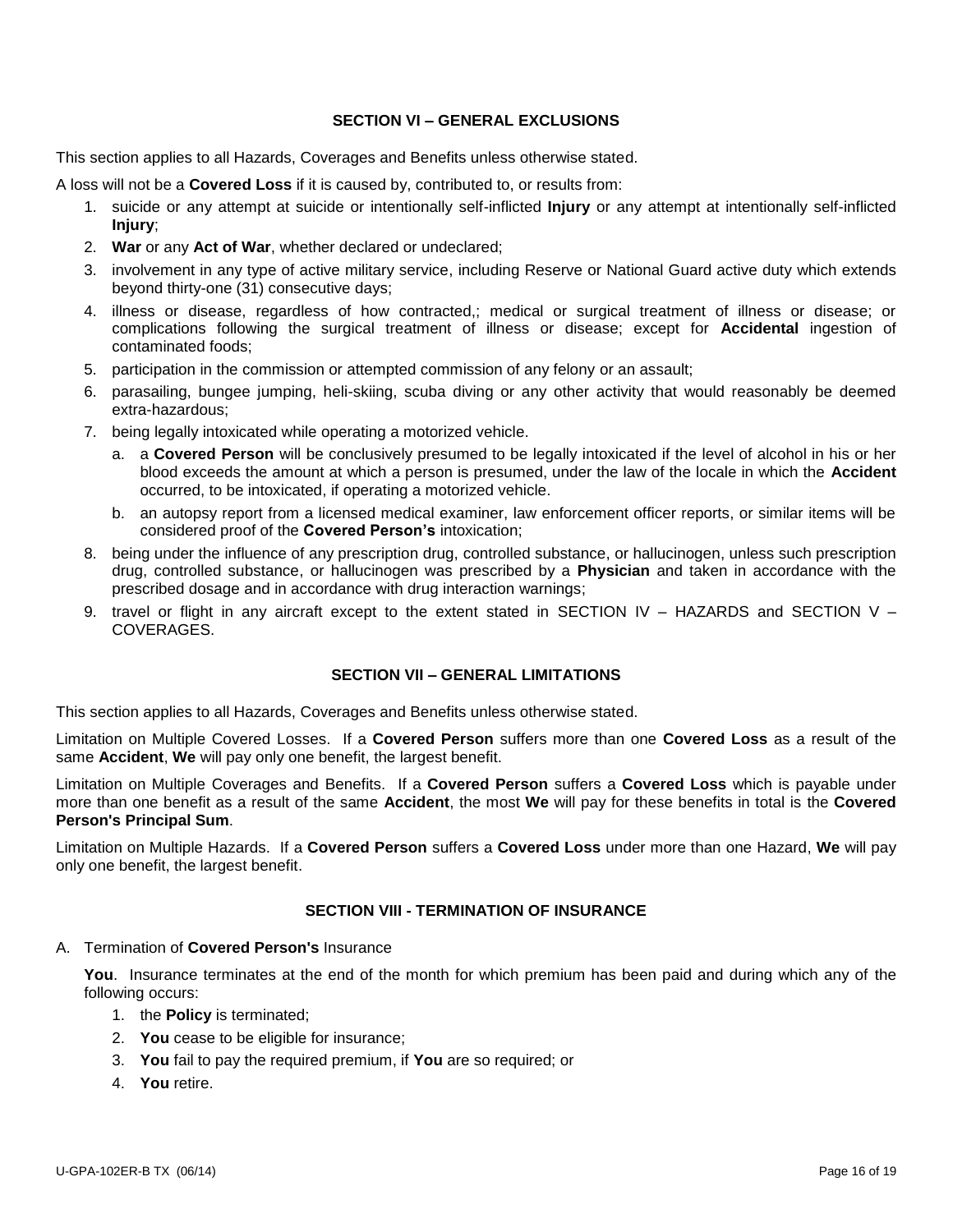## **SECTION VI – GENERAL EXCLUSIONS**

This section applies to all Hazards, Coverages and Benefits unless otherwise stated.

A loss will not be a **Covered Loss** if it is caused by, contributed to, or results from:

- 1. suicide or any attempt at suicide or intentionally self-inflicted **Injury** or any attempt at intentionally self-inflicted **Injury**;
- 2. **War** or any **Act of War**, whether declared or undeclared;
- 3. involvement in any type of active military service, including Reserve or National Guard active duty which extends beyond thirty-one (31) consecutive days;
- 4. illness or disease, regardless of how contracted,; medical or surgical treatment of illness or disease; or complications following the surgical treatment of illness or disease; except for **Accidental** ingestion of contaminated foods;
- 5. participation in the commission or attempted commission of any felony or an assault;
- 6. parasailing, bungee jumping, heli-skiing, scuba diving or any other activity that would reasonably be deemed extra-hazardous;
- 7. being legally intoxicated while operating a motorized vehicle.
	- a. a **Covered Person** will be conclusively presumed to be legally intoxicated if the level of alcohol in his or her blood exceeds the amount at which a person is presumed, under the law of the locale in which the **Accident** occurred, to be intoxicated, if operating a motorized vehicle.
	- b. an autopsy report from a licensed medical examiner, law enforcement officer reports, or similar items will be considered proof of the **Covered Person's** intoxication;
- 8. being under the influence of any prescription drug, controlled substance, or hallucinogen, unless such prescription drug, controlled substance, or hallucinogen was prescribed by a **Physician** and taken in accordance with the prescribed dosage and in accordance with drug interaction warnings;
- 9. travel or flight in any aircraft except to the extent stated in SECTION IV HAZARDS and SECTION V **COVERAGES**

### **SECTION VII – GENERAL LIMITATIONS**

This section applies to all Hazards, Coverages and Benefits unless otherwise stated.

Limitation on Multiple Covered Losses. If a **Covered Person** suffers more than one **Covered Loss** as a result of the same **Accident**, **We** will pay only one benefit, the largest benefit.

Limitation on Multiple Coverages and Benefits. If a **Covered Person** suffers a **Covered Loss** which is payable under more than one benefit as a result of the same **Accident**, the most **We** will pay for these benefits in total is the **Covered Person's Principal Sum**.

Limitation on Multiple Hazards. If a **Covered Person** suffers a **Covered Loss** under more than one Hazard, **We** will pay only one benefit, the largest benefit.

### **SECTION VIII - TERMINATION OF INSURANCE**

#### A. Termination of **Covered Person's** Insurance

**You**. Insurance terminates at the end of the month for which premium has been paid and during which any of the following occurs:

- 1. the **Policy** is terminated;
- 2. **You** cease to be eligible for insurance;
- 3. **You** fail to pay the required premium, if **You** are so required; or
- 4. **You** retire.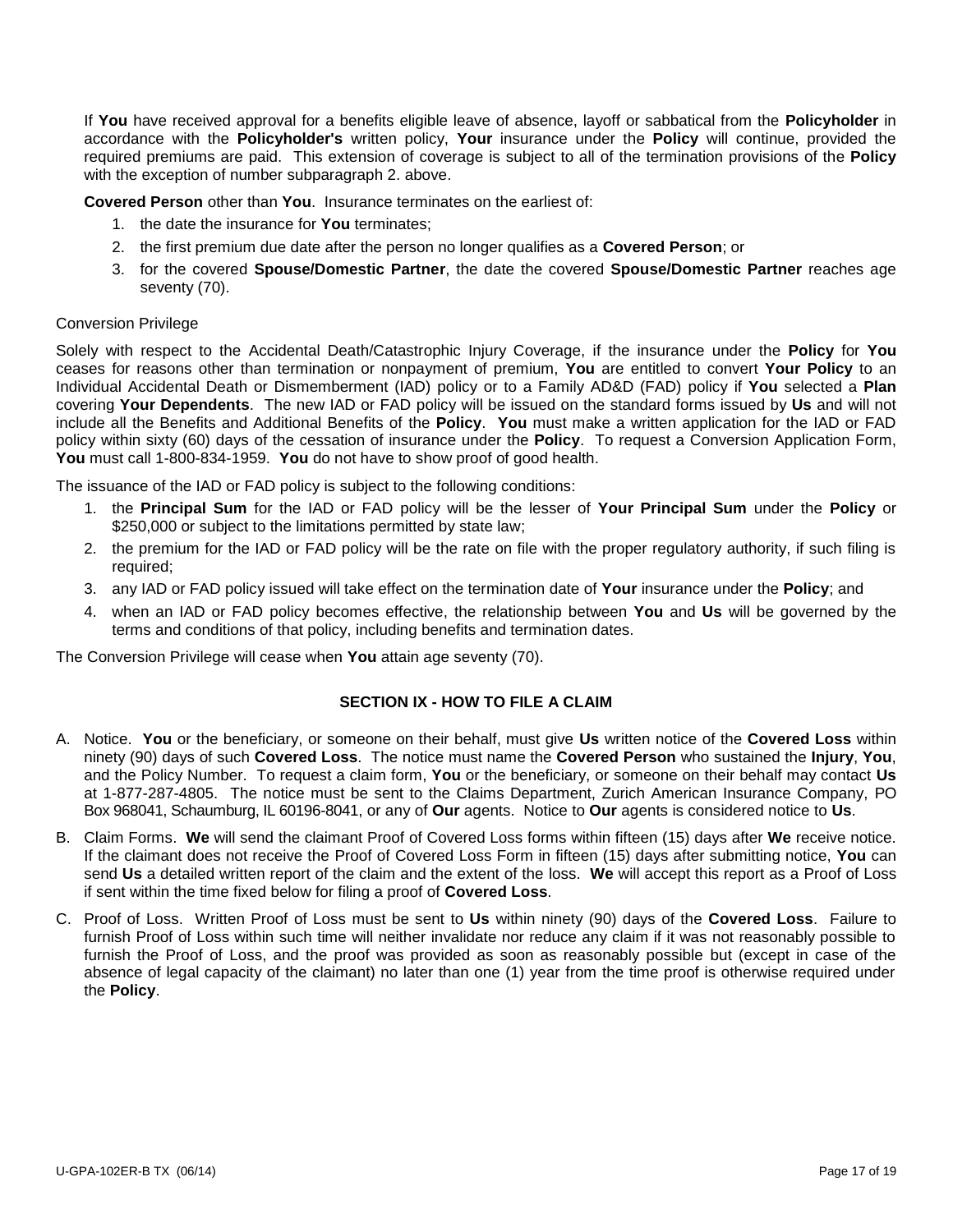If **You** have received approval for a benefits eligible leave of absence, layoff or sabbatical from the **Policyholder** in accordance with the **Policyholder's** written policy, **Your** insurance under the **Policy** will continue, provided the required premiums are paid. This extension of coverage is subject to all of the termination provisions of the **Policy** with the exception of number subparagraph 2. above.

**Covered Person** other than **You**. Insurance terminates on the earliest of:

- 1. the date the insurance for **You** terminates;
- 2. the first premium due date after the person no longer qualifies as a **Covered Person**; or
- 3. for the covered **Spouse/Domestic Partner**, the date the covered **Spouse/Domestic Partner** reaches age seventy (70).

#### Conversion Privilege

Solely with respect to the Accidental Death/Catastrophic Injury Coverage, if the insurance under the **Policy** for **You** ceases for reasons other than termination or nonpayment of premium, **You** are entitled to convert **Your Policy** to an Individual Accidental Death or Dismemberment (IAD) policy or to a Family AD&D (FAD) policy if **You** selected a **Plan** covering **Your Dependents**. The new IAD or FAD policy will be issued on the standard forms issued by **Us** and will not include all the Benefits and Additional Benefits of the **Policy**. **You** must make a written application for the IAD or FAD policy within sixty (60) days of the cessation of insurance under the **Policy**. To request a Conversion Application Form, **You** must call 1-800-834-1959. **You** do not have to show proof of good health.

The issuance of the IAD or FAD policy is subject to the following conditions:

- 1. the **Principal Sum** for the IAD or FAD policy will be the lesser of **Your Principal Sum** under the **Policy** or \$250,000 or subject to the limitations permitted by state law;
- 2. the premium for the IAD or FAD policy will be the rate on file with the proper regulatory authority, if such filing is required;
- 3. any IAD or FAD policy issued will take effect on the termination date of **Your** insurance under the **Policy**; and
- 4. when an IAD or FAD policy becomes effective, the relationship between **You** and **Us** will be governed by the terms and conditions of that policy, including benefits and termination dates.

The Conversion Privilege will cease when **You** attain age seventy (70).

### **SECTION IX - HOW TO FILE A CLAIM**

- A. Notice. **You** or the beneficiary, or someone on their behalf, must give **Us** written notice of the **Covered Loss** within ninety (90) days of such **Covered Loss**. The notice must name the **Covered Person** who sustained the **Injury**, **You**, and the Policy Number. To request a claim form, **You** or the beneficiary, or someone on their behalf may contact **Us** at 1-877-287-4805. The notice must be sent to the Claims Department, Zurich American Insurance Company, PO Box 968041, Schaumburg, IL 60196-8041, or any of **Our** agents. Notice to **Our** agents is considered notice to **Us**.
- B. Claim Forms. **We** will send the claimant Proof of Covered Loss forms within fifteen (15) days after **We** receive notice. If the claimant does not receive the Proof of Covered Loss Form in fifteen (15) days after submitting notice, **You** can send **Us** a detailed written report of the claim and the extent of the loss. **We** will accept this report as a Proof of Loss if sent within the time fixed below for filing a proof of **Covered Loss**.
- C. Proof of Loss. Written Proof of Loss must be sent to **Us** within ninety (90) days of the **Covered Loss**. Failure to furnish Proof of Loss within such time will neither invalidate nor reduce any claim if it was not reasonably possible to furnish the Proof of Loss, and the proof was provided as soon as reasonably possible but (except in case of the absence of legal capacity of the claimant) no later than one (1) year from the time proof is otherwise required under the **Policy**.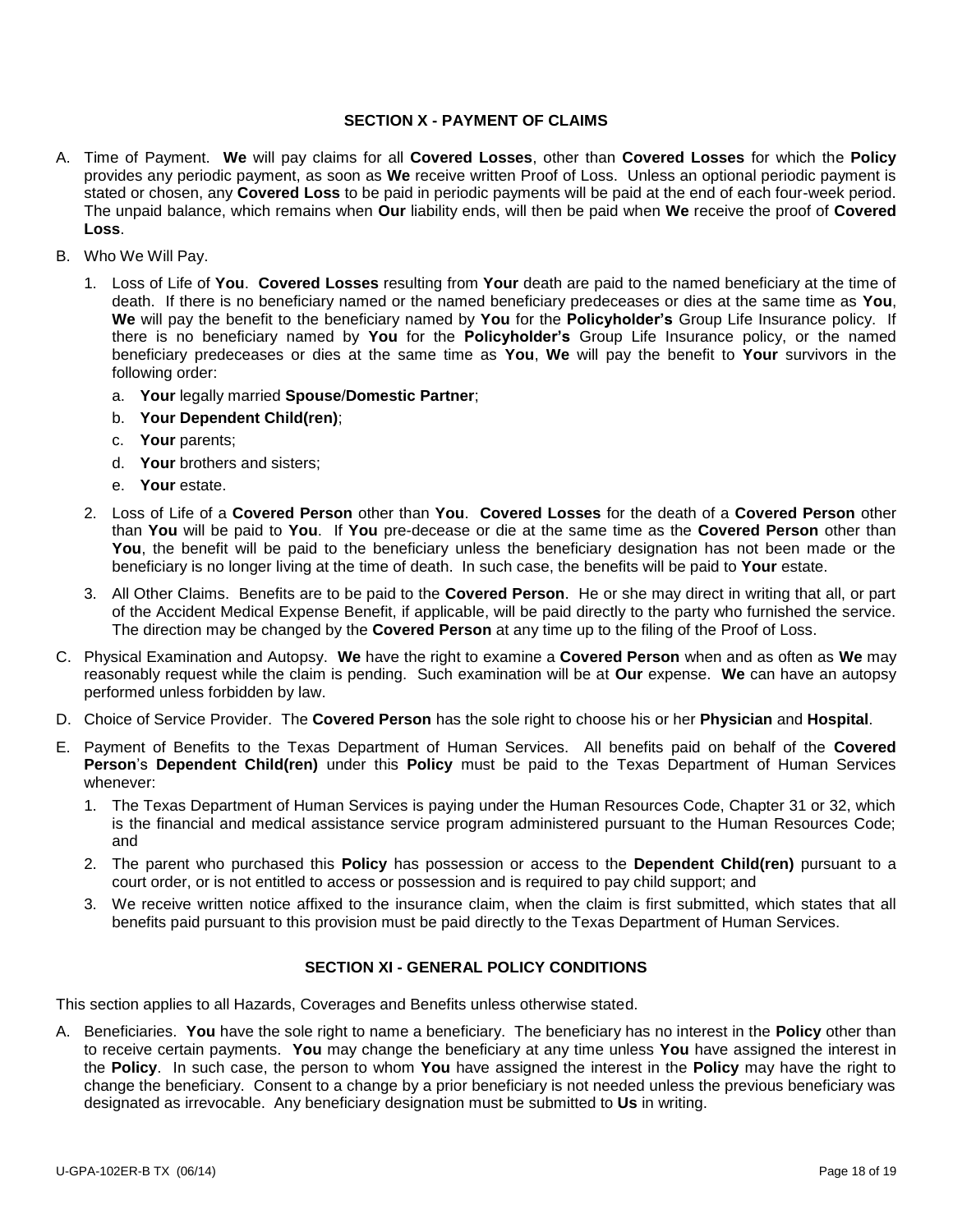#### **SECTION X - PAYMENT OF CLAIMS**

- A. Time of Payment. **We** will pay claims for all **Covered Losses**, other than **Covered Losses** for which the **Policy** provides any periodic payment, as soon as **We** receive written Proof of Loss. Unless an optional periodic payment is stated or chosen, any **Covered Loss** to be paid in periodic payments will be paid at the end of each four-week period. The unpaid balance, which remains when **Our** liability ends, will then be paid when **We** receive the proof of **Covered Loss**.
- B. Who We Will Pay.
	- 1. Loss of Life of **You**. **Covered Losses** resulting from **Your** death are paid to the named beneficiary at the time of death. If there is no beneficiary named or the named beneficiary predeceases or dies at the same time as **You**, **We** will pay the benefit to the beneficiary named by **You** for the **Policyholder's** Group Life Insurance policy. If there is no beneficiary named by **You** for the **Policyholder's** Group Life Insurance policy, or the named beneficiary predeceases or dies at the same time as **You**, **We** will pay the benefit to **Your** survivors in the following order:
		- a. **Your** legally married **Spouse**/**Domestic Partner**;
		- b. **Your Dependent Child(ren)**;
		- c. **Your** parents;
		- d. **Your** brothers and sisters;
		- e. **Your** estate.
	- 2. Loss of Life of a **Covered Person** other than **You**. **Covered Losses** for the death of a **Covered Person** other than **You** will be paid to **You**. If **You** pre-decease or die at the same time as the **Covered Person** other than You, the benefit will be paid to the beneficiary unless the beneficiary designation has not been made or the beneficiary is no longer living at the time of death. In such case, the benefits will be paid to **Your** estate.
	- 3. All Other Claims. Benefits are to be paid to the **Covered Person**. He or she may direct in writing that all, or part of the Accident Medical Expense Benefit, if applicable, will be paid directly to the party who furnished the service. The direction may be changed by the **Covered Person** at any time up to the filing of the Proof of Loss.
- C. Physical Examination and Autopsy. **We** have the right to examine a **Covered Person** when and as often as **We** may reasonably request while the claim is pending. Such examination will be at **Our** expense. **We** can have an autopsy performed unless forbidden by law.
- D. Choice of Service Provider. The **Covered Person** has the sole right to choose his or her **Physician** and **Hospital**.
- E. Payment of Benefits to the Texas Department of Human Services. All benefits paid on behalf of the **Covered Person**'s **Dependent Child(ren)** under this **Policy** must be paid to the Texas Department of Human Services whenever:
	- 1. The Texas Department of Human Services is paying under the Human Resources Code, Chapter 31 or 32, which is the financial and medical assistance service program administered pursuant to the Human Resources Code; and
	- 2. The parent who purchased this **Policy** has possession or access to the **Dependent Child(ren)** pursuant to a court order, or is not entitled to access or possession and is required to pay child support; and
	- 3. We receive written notice affixed to the insurance claim, when the claim is first submitted, which states that all benefits paid pursuant to this provision must be paid directly to the Texas Department of Human Services.

### **SECTION XI - GENERAL POLICY CONDITIONS**

This section applies to all Hazards, Coverages and Benefits unless otherwise stated.

A. Beneficiaries. **You** have the sole right to name a beneficiary. The beneficiary has no interest in the **Policy** other than to receive certain payments. **You** may change the beneficiary at any time unless **You** have assigned the interest in the **Policy**. In such case, the person to whom **You** have assigned the interest in the **Policy** may have the right to change the beneficiary. Consent to a change by a prior beneficiary is not needed unless the previous beneficiary was designated as irrevocable. Any beneficiary designation must be submitted to **Us** in writing.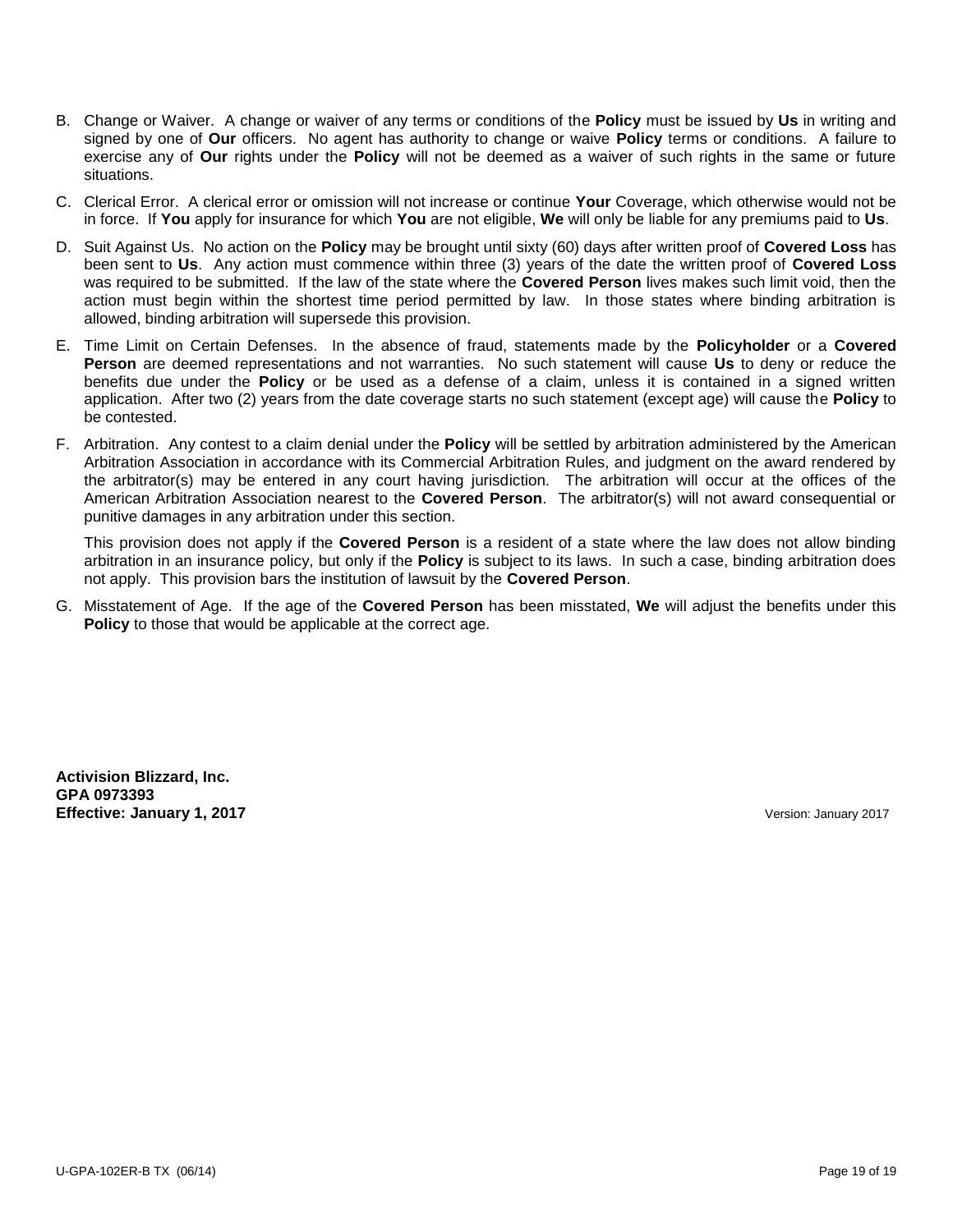- B. Change or Waiver. A change or waiver of any terms or conditions of the **Policy** must be issued by **Us** in writing and signed by one of **Our** officers. No agent has authority to change or waive **Policy** terms or conditions. A failure to exercise any of **Our** rights under the **Policy** will not be deemed as a waiver of such rights in the same or future situations.
- C. Clerical Error. A clerical error or omission will not increase or continue **Your** Coverage, which otherwise would not be in force. If **You** apply for insurance for which **You** are not eligible, **We** will only be liable for any premiums paid to **Us**.
- D. Suit Against Us. No action on the **Policy** may be brought until sixty (60) days after written proof of **Covered Loss** has been sent to **Us**. Any action must commence within three (3) years of the date the written proof of **Covered Loss** was required to be submitted. If the law of the state where the **Covered Person** lives makes such limit void, then the action must begin within the shortest time period permitted by law. In those states where binding arbitration is allowed, binding arbitration will supersede this provision.
- E. Time Limit on Certain Defenses. In the absence of fraud, statements made by the **Policyholder** or a **Covered Person** are deemed representations and not warranties. No such statement will cause **Us** to deny or reduce the benefits due under the **Policy** or be used as a defense of a claim, unless it is contained in a signed written application. After two (2) years from the date coverage starts no such statement (except age) will cause the **Policy** to be contested.
- F. Arbitration. Any contest to a claim denial under the **Policy** will be settled by arbitration administered by the American Arbitration Association in accordance with its Commercial Arbitration Rules, and judgment on the award rendered by the arbitrator(s) may be entered in any court having jurisdiction. The arbitration will occur at the offices of the American Arbitration Association nearest to the **Covered Person**. The arbitrator(s) will not award consequential or punitive damages in any arbitration under this section.

This provision does not apply if the **Covered Person** is a resident of a state where the law does not allow binding arbitration in an insurance policy, but only if the **Policy** is subject to its laws. In such a case, binding arbitration does not apply. This provision bars the institution of lawsuit by the **Covered Person**.

G. Misstatement of Age.If the age of the **Covered Person** has been misstated, **We** will adjust the benefits under this **Policy** to those that would be applicable at the correct age.

**Activision Blizzard, Inc. GPA 0973393 Effective: January 1, 2017** Version: January 2017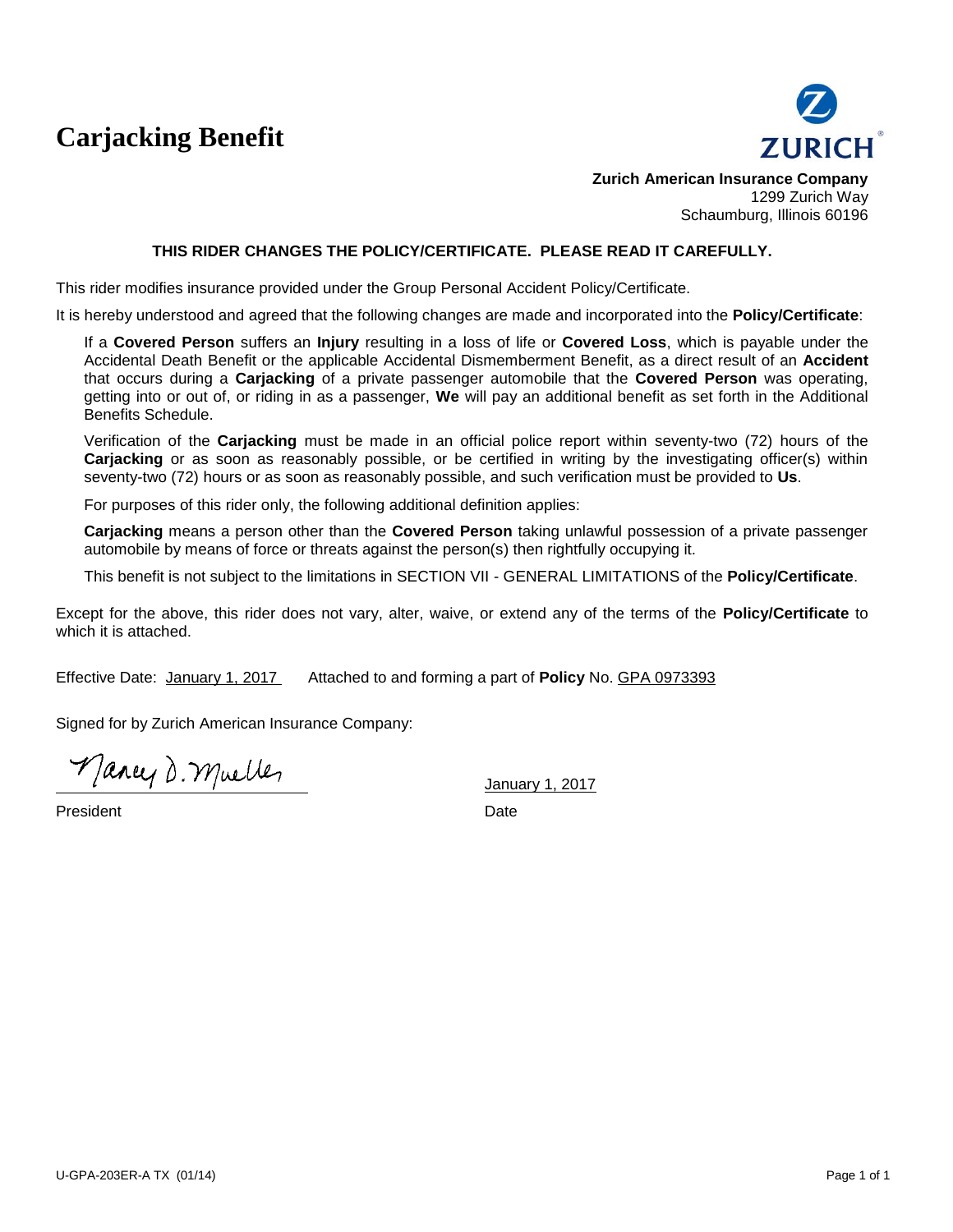# **Carjacking Benefit**



**Zurich American Insurance Company** 1299 Zurich Way Schaumburg, Illinois 60196

#### **THIS RIDER CHANGES THE POLICY/CERTIFICATE. PLEASE READ IT CAREFULLY.**

This rider modifies insurance provided under the Group Personal Accident Policy/Certificate.

It is hereby understood and agreed that the following changes are made and incorporated into the **Policy/Certificate**:

If a **Covered Person** suffers an **Injury** resulting in a loss of life or **Covered Loss**, which is payable under the Accidental Death Benefit or the applicable Accidental Dismemberment Benefit, as a direct result of an **Accident** that occurs during a **Carjacking** of a private passenger automobile that the **Covered Person** was operating, getting into or out of, or riding in as a passenger, **We** will pay an additional benefit as set forth in the Additional Benefits Schedule.

Verification of the **Carjacking** must be made in an official police report within seventy-two (72) hours of the **Carjacking** or as soon as reasonably possible, or be certified in writing by the investigating officer(s) within seventy-two (72) hours or as soon as reasonably possible, and such verification must be provided to **Us**.

For purposes of this rider only, the following additional definition applies:

**Carjacking** means a person other than the **Covered Person** taking unlawful possession of a private passenger automobile by means of force or threats against the person(s) then rightfully occupying it.

This benefit is not subject to the limitations in SECTION VII - GENERAL LIMITATIONS of the **Policy/Certificate**.

Except for the above, this rider does not vary, alter, waive, or extend any of the terms of the **Policy/Certificate** to which it is attached.

Effective Date: January 1, 2017 Attached to and forming a part of **Policy** No. GPA 0973393

Signed for by Zurich American Insurance Company:

Mancy D. Muelles

President Date **Date**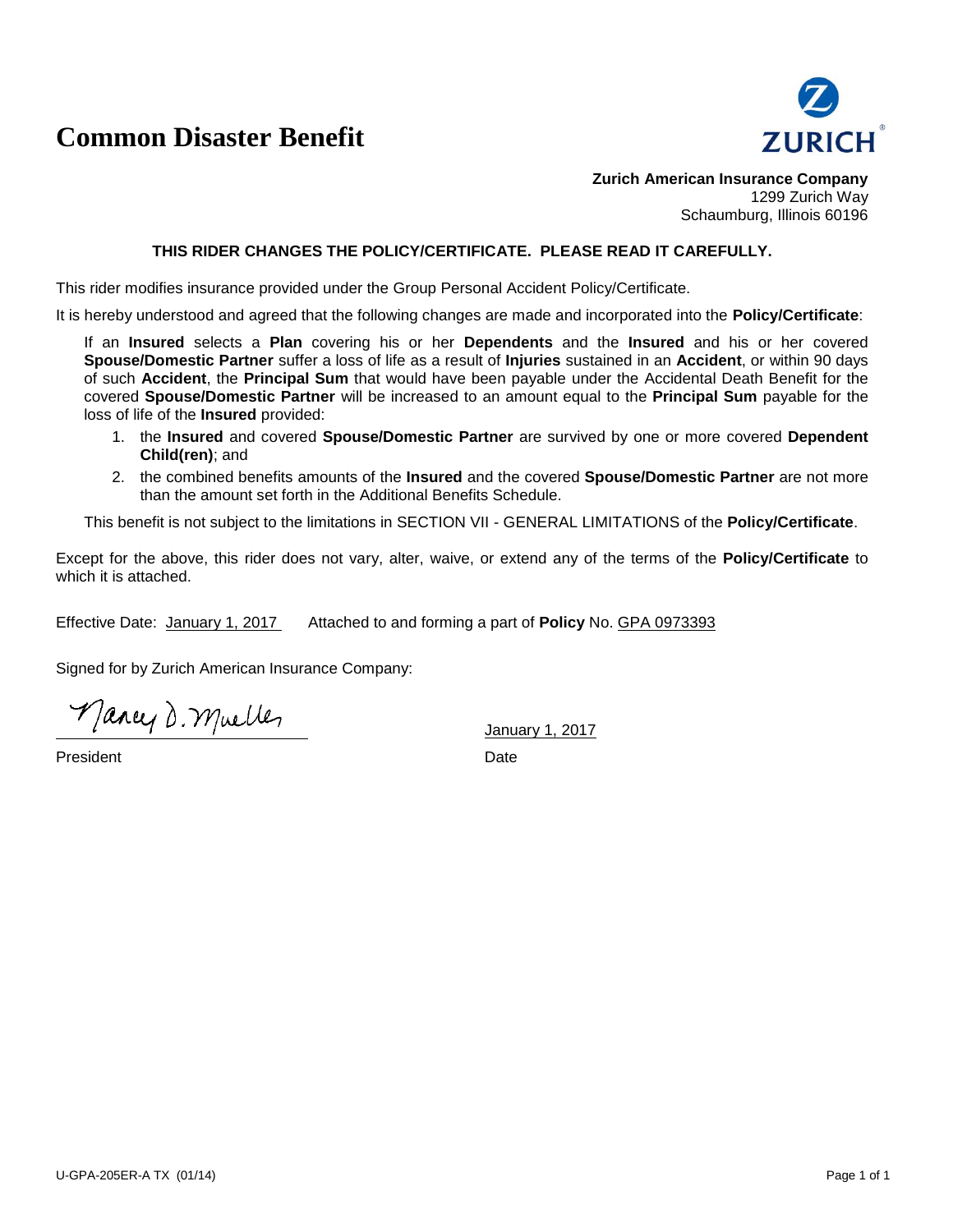## **Common Disaster Benefit**



**Zurich American Insurance Company** 1299 Zurich Way Schaumburg, Illinois 60196

#### **THIS RIDER CHANGES THE POLICY/CERTIFICATE. PLEASE READ IT CAREFULLY.**

This rider modifies insurance provided under the Group Personal Accident Policy/Certificate.

It is hereby understood and agreed that the following changes are made and incorporated into the **Policy/Certificate**:

If an **Insured** selects a **Plan** covering his or her **Dependents** and the **Insured** and his or her covered **Spouse/Domestic Partner** suffer a loss of life as a result of **Injuries** sustained in an **Accident**, or within 90 days of such **Accident**, the **Principal Sum** that would have been payable under the Accidental Death Benefit for the covered **Spouse/Domestic Partner** will be increased to an amount equal to the **Principal Sum** payable for the loss of life of the **Insured** provided:

- 1. the **Insured** and covered **Spouse/Domestic Partner** are survived by one or more covered **Dependent Child(ren)**; and
- 2. the combined benefits amounts of the **Insured** and the covered **Spouse/Domestic Partner** are not more than the amount set forth in the Additional Benefits Schedule.

This benefit is not subject to the limitations in SECTION VII - GENERAL LIMITATIONS of the **Policy/Certificate**.

Except for the above, this rider does not vary, alter, waive, or extend any of the terms of the **Policy/Certificate** to which it is attached.

Effective Date: January 1, 2017 Attached to and forming a part of **Policy** No. GPA 0973393

Signed for by Zurich American Insurance Company:

Mancy D. Mueller

**President** Date **Date**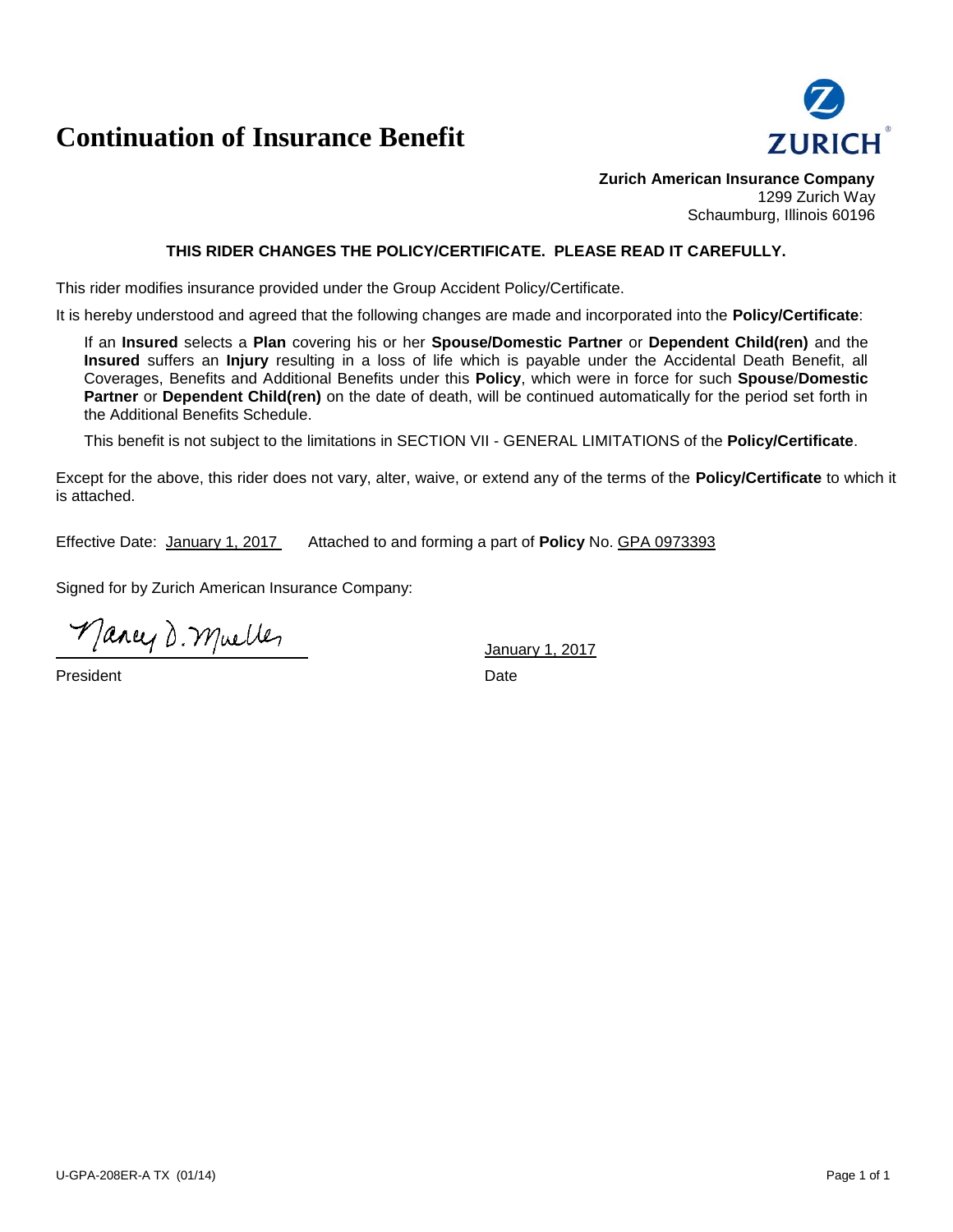## **Continuation of Insurance Benefit**



**Zurich American Insurance Company** 1299 Zurich Way Schaumburg, Illinois 60196

### **THIS RIDER CHANGES THE POLICY/CERTIFICATE. PLEASE READ IT CAREFULLY.**

This rider modifies insurance provided under the Group Accident Policy/Certificate.

It is hereby understood and agreed that the following changes are made and incorporated into the **Policy/Certificate**:

If an **Insured** selects a **Plan** covering his or her **Spouse/Domestic Partner** or **Dependent Child(ren)** and the **Insured** suffers an **Injury** resulting in a loss of life which is payable under the Accidental Death Benefit, all Coverages, Benefits and Additional Benefits under this **Policy**, which were in force for such **Spouse**/**Domestic Partner** or **Dependent Child(ren)** on the date of death, will be continued automatically for the period set forth in the Additional Benefits Schedule.

This benefit is not subject to the limitations in SECTION VII - GENERAL LIMITATIONS of the **Policy/Certificate**.

Except for the above, this rider does not vary, alter, waive, or extend any of the terms of the **Policy/Certificate** to which it is attached.

Effective Date: January 1, 2017 Attached to and forming a part of **Policy** No. GPA 0973393

Signed for by Zurich American Insurance Company:

Mancy D. Mueller

President Date Date Date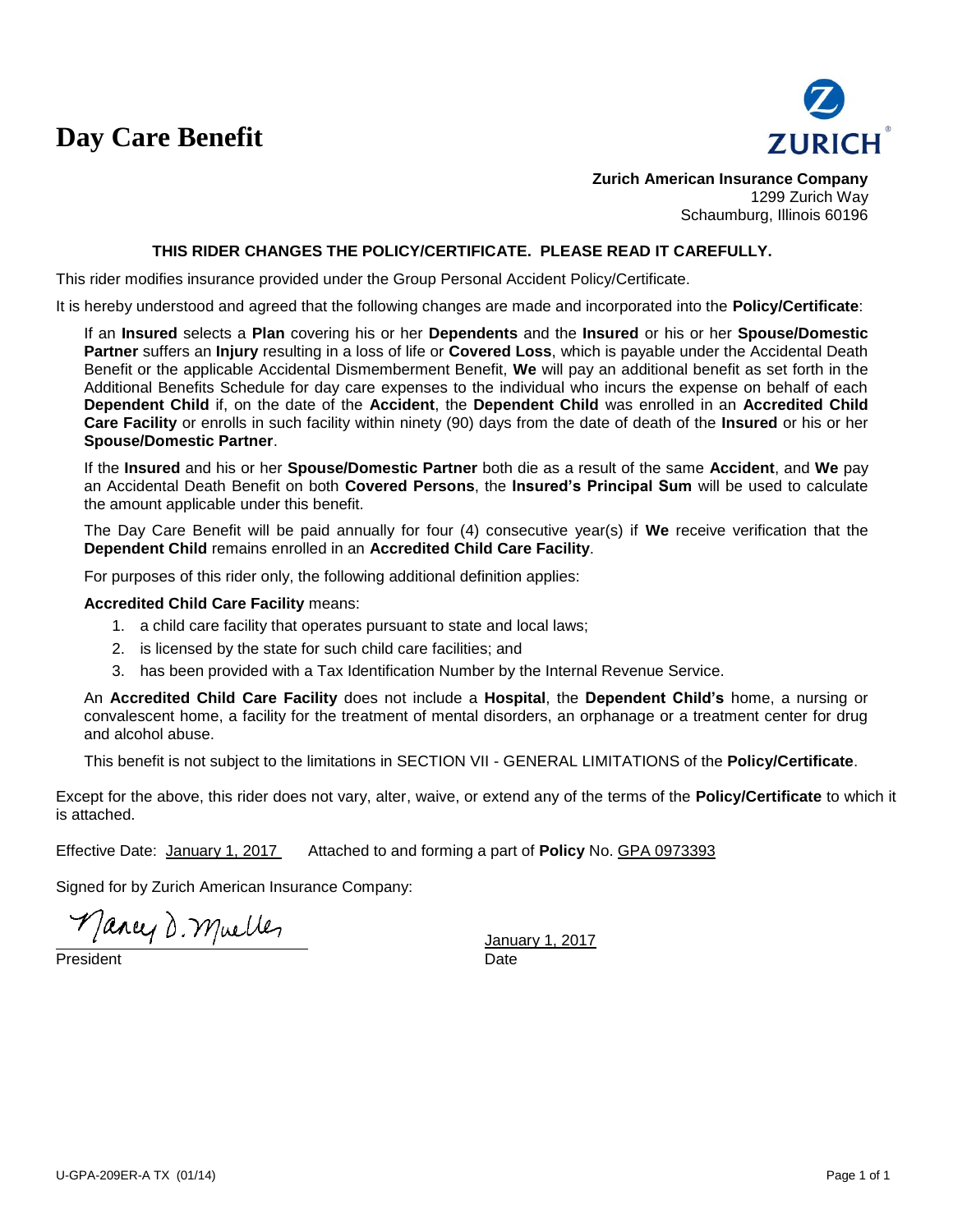# **Day Care Benefit**



**Zurich American Insurance Company** 1299 Zurich Way Schaumburg, Illinois 60196

#### **THIS RIDER CHANGES THE POLICY/CERTIFICATE. PLEASE READ IT CAREFULLY.**

This rider modifies insurance provided under the Group Personal Accident Policy/Certificate.

It is hereby understood and agreed that the following changes are made and incorporated into the **Policy/Certificate**:

If an **Insured** selects a **Plan** covering his or her **Dependents** and the **Insured** or his or her **Spouse/Domestic Partner** suffers an **Injury** resulting in a loss of life or **Covered Loss**, which is payable under the Accidental Death Benefit or the applicable Accidental Dismemberment Benefit, **We** will pay an additional benefit as set forth in the Additional Benefits Schedule for day care expenses to the individual who incurs the expense on behalf of each **Dependent Child** if, on the date of the **Accident**, the **Dependent Child** was enrolled in an **Accredited Child Care Facility** or enrolls in such facility within ninety (90) days from the date of death of the **Insured** or his or her **Spouse/Domestic Partner**.

If the **Insured** and his or her **Spouse/Domestic Partner** both die as a result of the same **Accident**, and **We** pay an Accidental Death Benefit on both **Covered Persons**, the **Insured's Principal Sum** will be used to calculate the amount applicable under this benefit.

The Day Care Benefit will be paid annually for four (4) consecutive year(s) if **We** receive verification that the **Dependent Child** remains enrolled in an **Accredited Child Care Facility**.

For purposes of this rider only, the following additional definition applies:

#### **Accredited Child Care Facility** means:

- 1. a child care facility that operates pursuant to state and local laws;
- 2. is licensed by the state for such child care facilities; and
- 3. has been provided with a Tax Identification Number by the Internal Revenue Service.

An **Accredited Child Care Facility** does not include a **Hospital**, the **Dependent Child's** home, a nursing or convalescent home, a facility for the treatment of mental disorders, an orphanage or a treatment center for drug and alcohol abuse.

This benefit is not subject to the limitations in SECTION VII - GENERAL LIMITATIONS of the **Policy/Certificate**.

Except for the above, this rider does not vary, alter, waive, or extend any of the terms of the **Policy/Certificate** to which it is attached.

Effective Date: January 1, 2017 Attached to and forming a part of **Policy** No. GPA 0973393

Signed for by Zurich American Insurance Company:

Mancy D. Mueller

President Date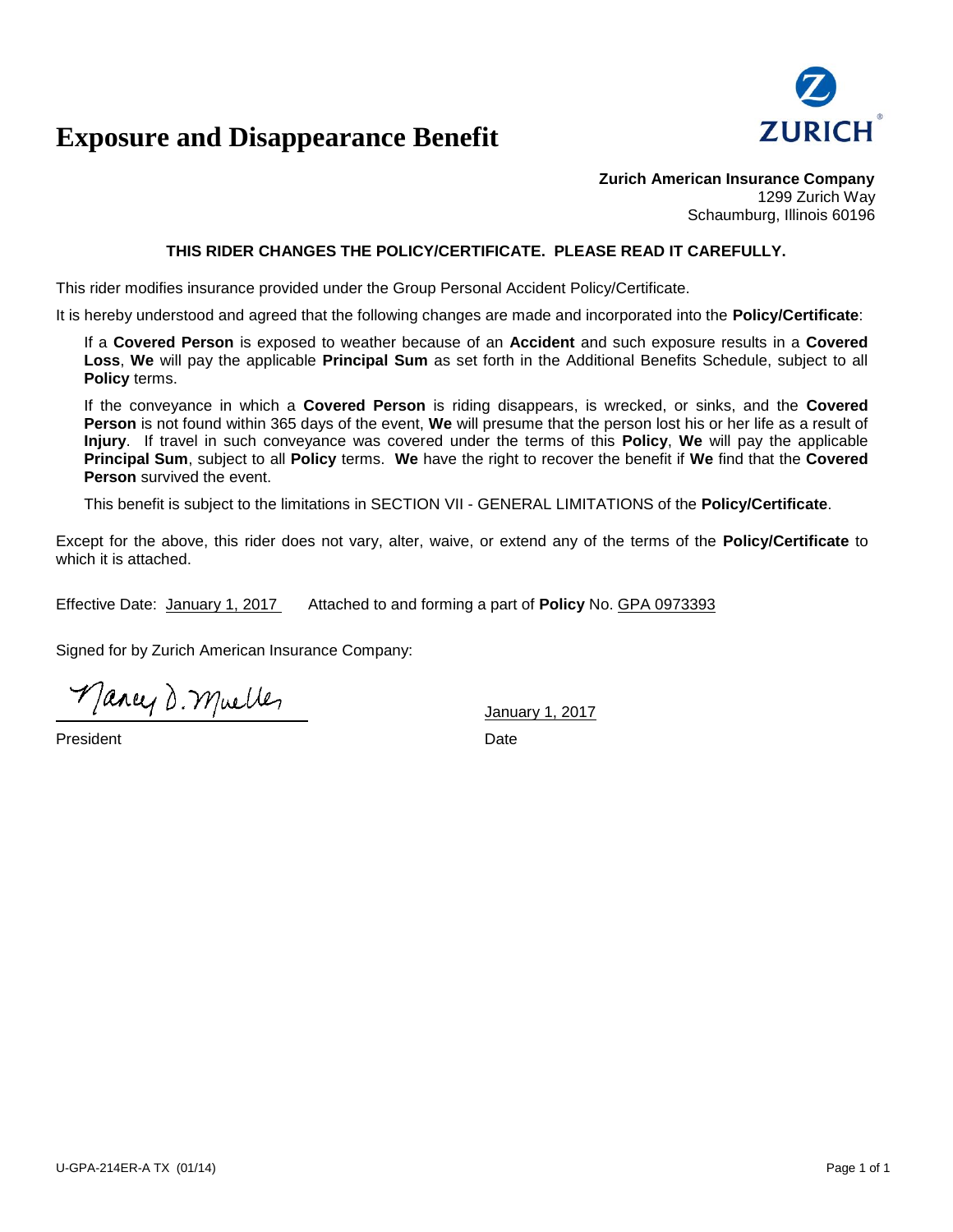

## **Exposure and Disappearance Benefit**

**Zurich American Insurance Company** 1299 Zurich Way Schaumburg, Illinois 60196

### **THIS RIDER CHANGES THE POLICY/CERTIFICATE. PLEASE READ IT CAREFULLY.**

This rider modifies insurance provided under the Group Personal Accident Policy/Certificate.

It is hereby understood and agreed that the following changes are made and incorporated into the **Policy/Certificate**:

If a **Covered Person** is exposed to weather because of an **Accident** and such exposure results in a **Covered Loss**, **We** will pay the applicable **Principal Sum** as set forth in the Additional Benefits Schedule, subject to all **Policy** terms.

If the conveyance in which a **Covered Person** is riding disappears, is wrecked, or sinks, and the **Covered Person** is not found within 365 days of the event, **We** will presume that the person lost his or her life as a result of **Injury**. If travel in such conveyance was covered under the terms of this **Policy**, **We** will pay the applicable **Principal Sum**, subject to all **Policy** terms. **We** have the right to recover the benefit if **We** find that the **Covered Person** survived the event.

This benefit is subject to the limitations in SECTION VII - GENERAL LIMITATIONS of the **Policy/Certificate**.

Except for the above, this rider does not vary, alter, waive, or extend any of the terms of the **Policy/Certificate** to which it is attached.

Effective Date: January 1, 2017 Attached to and forming a part of **Policy** No. GPA 0973393

Signed for by Zurich American Insurance Company:

Mancy D. Muelles

President Date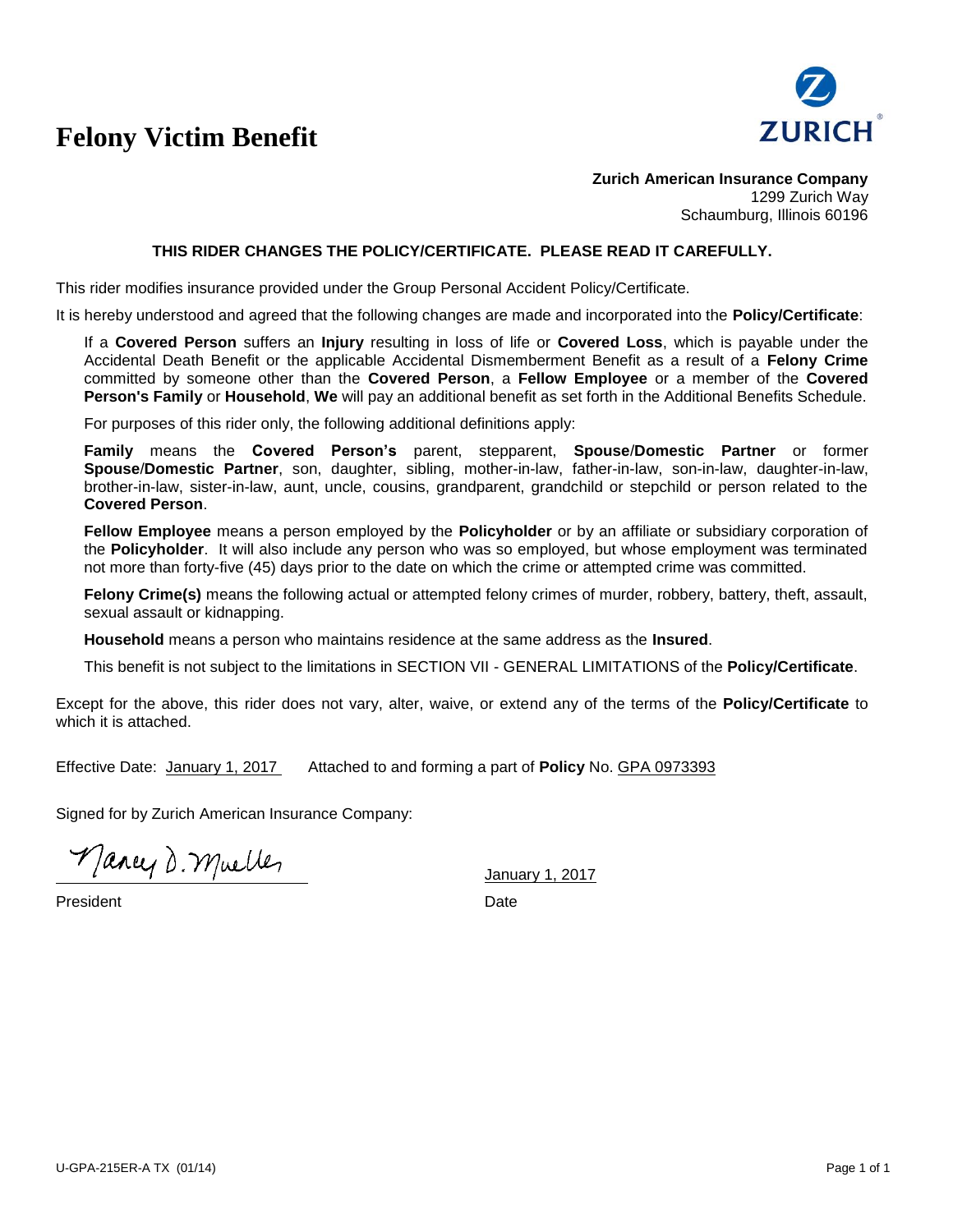# **Felony Victim Benefit**



**Zurich American Insurance Company** 1299 Zurich Way Schaumburg, Illinois 60196

#### **THIS RIDER CHANGES THE POLICY/CERTIFICATE. PLEASE READ IT CAREFULLY.**

This rider modifies insurance provided under the Group Personal Accident Policy/Certificate.

It is hereby understood and agreed that the following changes are made and incorporated into the **Policy/Certificate**:

If a **Covered Person** suffers an **Injury** resulting in loss of life or **Covered Loss**, which is payable under the Accidental Death Benefit or the applicable Accidental Dismemberment Benefit as a result of a **Felony Crime** committed by someone other than the **Covered Person**, a **Fellow Employee** or a member of the **Covered Person's Family** or **Household**, **We** will pay an additional benefit as set forth in the Additional Benefits Schedule.

For purposes of this rider only, the following additional definitions apply:

**Family** means the **Covered Person's** parent, stepparent, **Spouse**/**Domestic Partner** or former **Spouse**/**Domestic Partner**, son, daughter, sibling, mother-in-law, father-in-law, son-in-law, daughter-in-law, brother-in-law, sister-in-law, aunt, uncle, cousins, grandparent, grandchild or stepchild or person related to the **Covered Person**.

**Fellow Employee** means a person employed by the **Policyholder** or by an affiliate or subsidiary corporation of the **Policyholder**. It will also include any person who was so employed, but whose employment was terminated not more than forty-five (45) days prior to the date on which the crime or attempted crime was committed.

**Felony Crime(s)** means the following actual or attempted felony crimes of murder, robbery, battery, theft, assault, sexual assault or kidnapping.

**Household** means a person who maintains residence at the same address as the **Insured**.

This benefit is not subject to the limitations in SECTION VII - GENERAL LIMITATIONS of the **Policy/Certificate**.

Except for the above, this rider does not vary, alter, waive, or extend any of the terms of the **Policy/Certificate** to which it is attached.

Effective Date: January 1, 2017 Attached to and forming a part of **Policy** No. GPA 0973393

Signed for by Zurich American Insurance Company:

Mancy D. Muelles

**President** Date **Date**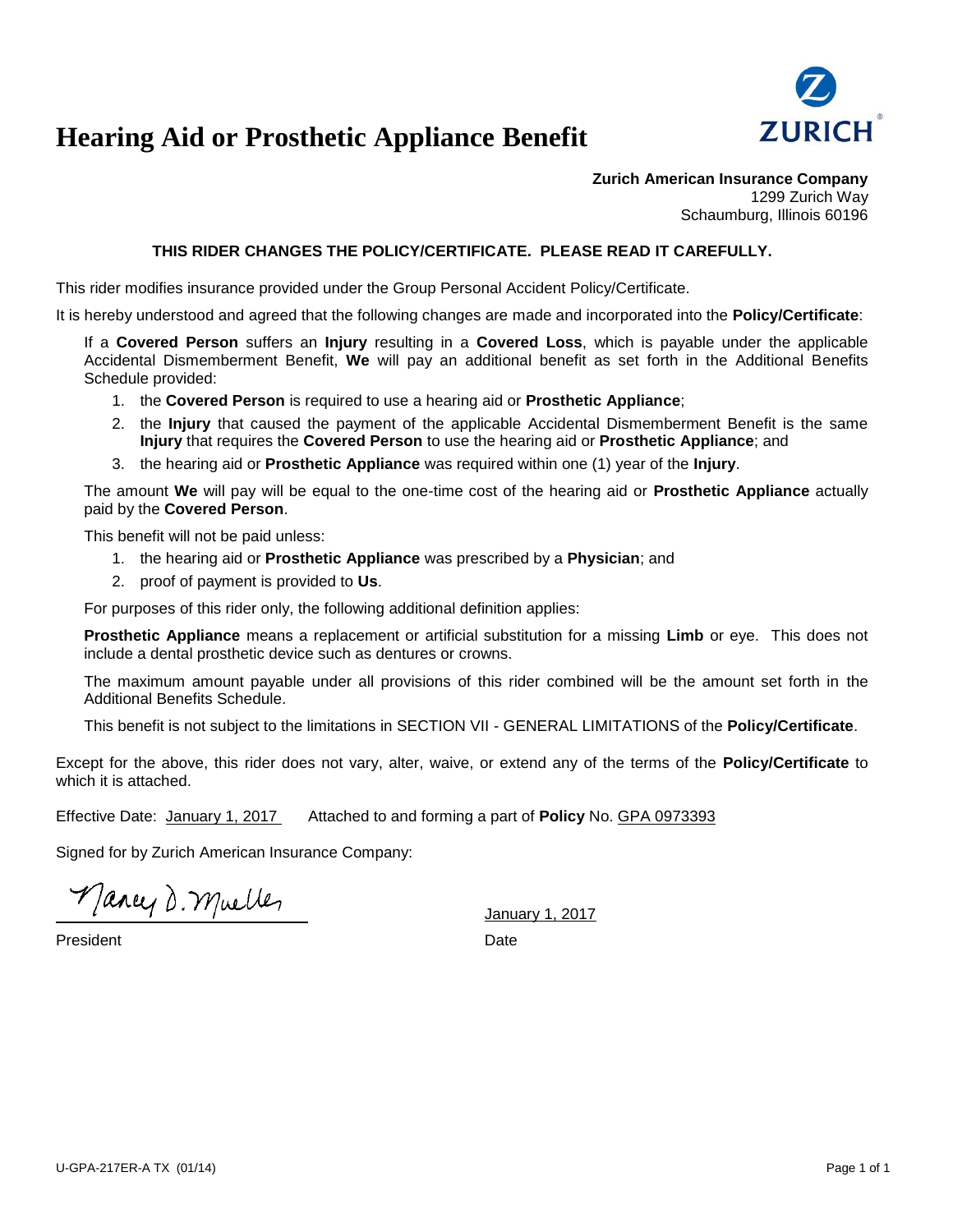

## **Hearing Aid or Prosthetic Appliance Benefit**

**Zurich American Insurance Company** 1299 Zurich Way Schaumburg, Illinois 60196

### **THIS RIDER CHANGES THE POLICY/CERTIFICATE. PLEASE READ IT CAREFULLY.**

This rider modifies insurance provided under the Group Personal Accident Policy/Certificate.

It is hereby understood and agreed that the following changes are made and incorporated into the **Policy/Certificate**:

If a **Covered Person** suffers an **Injury** resulting in a **Covered Loss**, which is payable under the applicable Accidental Dismemberment Benefit, **We** will pay an additional benefit as set forth in the Additional Benefits Schedule provided:

- 1. the **Covered Person** is required to use a hearing aid or **Prosthetic Appliance**;
- 2. the **Injury** that caused the payment of the applicable Accidental Dismemberment Benefit is the same **Injury** that requires the **Covered Person** to use the hearing aid or **Prosthetic Appliance**; and
- 3. the hearing aid or **Prosthetic Appliance** was required within one (1) year of the **Injury**.

The amount **We** will pay will be equal to the one-time cost of the hearing aid or **Prosthetic Appliance** actually paid by the **Covered Person**.

This benefit will not be paid unless:

- 1. the hearing aid or **Prosthetic Appliance** was prescribed by a **Physician**; and
- 2. proof of payment is provided to **Us**.

For purposes of this rider only, the following additional definition applies:

**Prosthetic Appliance** means a replacement or artificial substitution for a missing **Limb** or eye. This does not include a dental prosthetic device such as dentures or crowns.

The maximum amount payable under all provisions of this rider combined will be the amount set forth in the Additional Benefits Schedule.

This benefit is not subject to the limitations in SECTION VII - GENERAL LIMITATIONS of the **Policy/Certificate**.

Except for the above, this rider does not vary, alter, waive, or extend any of the terms of the **Policy/Certificate** to which it is attached.

Effective Date: January 1, 2017 Attached to and forming a part of **Policy** No. GPA 0973393

Signed for by Zurich American Insurance Company:

Mancy D. Muelles

January 1, 2017

President Date Date Date Date Date Date Date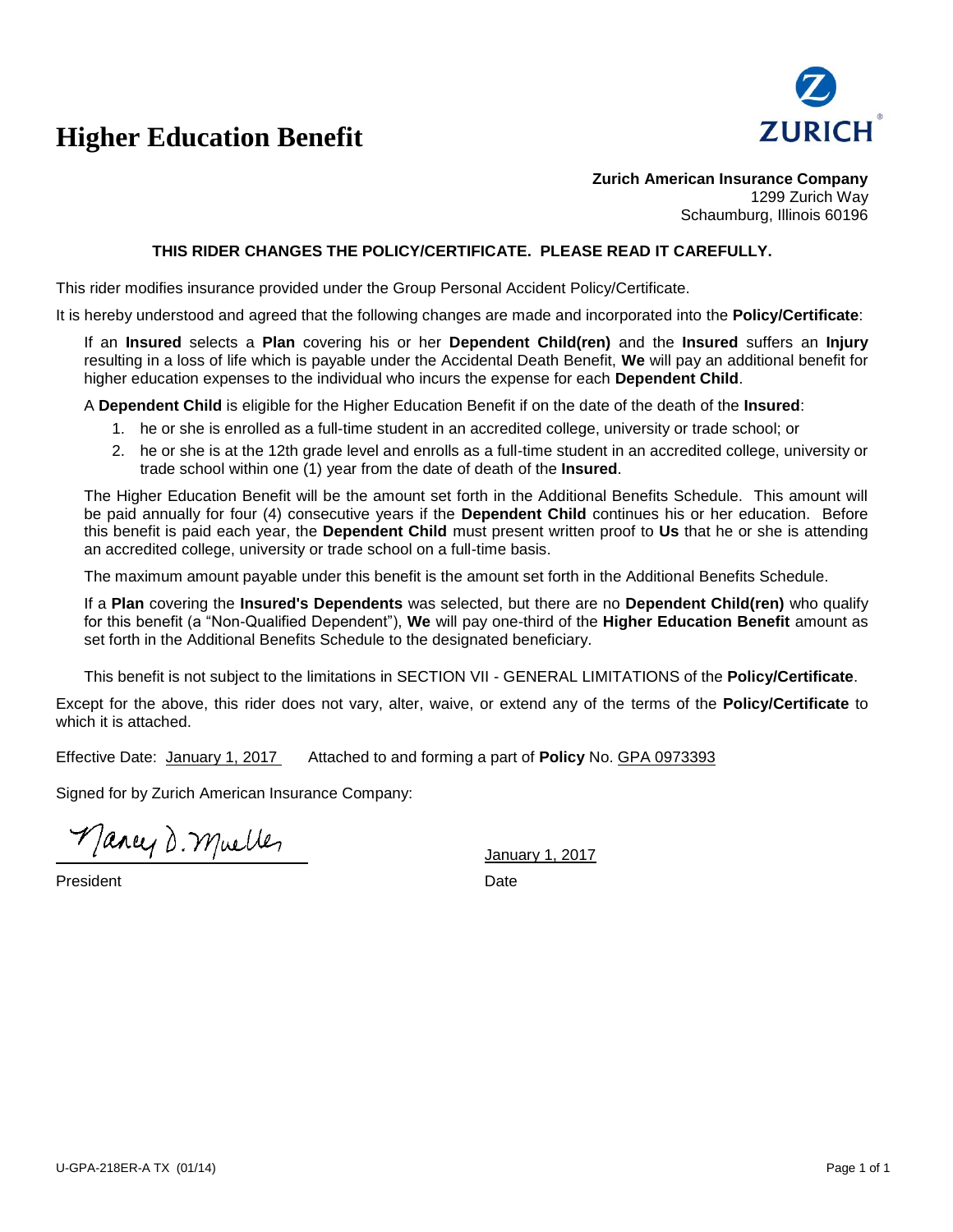# **Higher Education Benefit**



**Zurich American Insurance Company** 1299 Zurich Way Schaumburg, Illinois 60196

#### **THIS RIDER CHANGES THE POLICY/CERTIFICATE. PLEASE READ IT CAREFULLY.**

This rider modifies insurance provided under the Group Personal Accident Policy/Certificate.

It is hereby understood and agreed that the following changes are made and incorporated into the **Policy/Certificate**:

If an **Insured** selects a **Plan** covering his or her **Dependent Child(ren)** and the **Insured** suffers an **Injury** resulting in a loss of life which is payable under the Accidental Death Benefit, **We** will pay an additional benefit for higher education expenses to the individual who incurs the expense for each **Dependent Child**.

A **Dependent Child** is eligible for the Higher Education Benefit if on the date of the death of the **Insured**:

- 1. he or she is enrolled as a full-time student in an accredited college, university or trade school; or
- 2. he or she is at the 12th grade level and enrolls as a full-time student in an accredited college, university or trade school within one (1) year from the date of death of the **Insured**.

The Higher Education Benefit will be the amount set forth in the Additional Benefits Schedule. This amount will be paid annually for four (4) consecutive years if the **Dependent Child** continues his or her education. Before this benefit is paid each year, the **Dependent Child** must present written proof to **Us** that he or she is attending an accredited college, university or trade school on a full-time basis.

The maximum amount payable under this benefit is the amount set forth in the Additional Benefits Schedule.

If a **Plan** covering the **Insured's Dependents** was selected, but there are no **Dependent Child(ren)** who qualify for this benefit (a "Non-Qualified Dependent"), **We** will pay one-third of the **Higher Education Benefit** amount as set forth in the Additional Benefits Schedule to the designated beneficiary.

This benefit is not subject to the limitations in SECTION VII - GENERAL LIMITATIONS of the **Policy/Certificate**.

Except for the above, this rider does not vary, alter, waive, or extend any of the terms of the **Policy/Certificate** to which it is attached.

Effective Date: January 1, 2017 Attached to and forming a part of **Policy** No. GPA 0973393

Signed for by Zurich American Insurance Company:

Mancy D. Muelles

January 1, 2017

President **Date**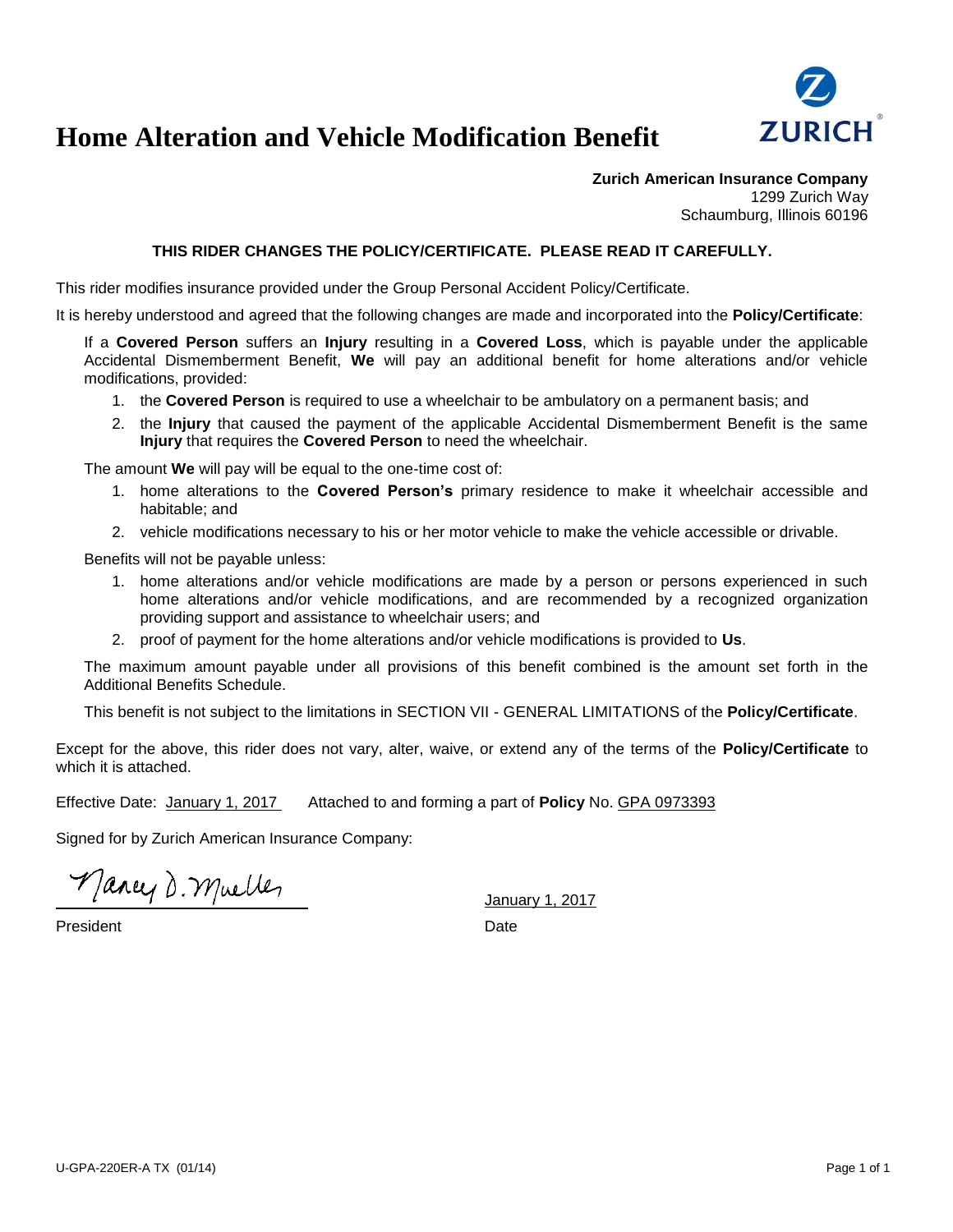

## **Home Alteration and Vehicle Modification Benefit**

**Zurich American Insurance Company** 1299 Zurich Way Schaumburg, Illinois 60196

#### **THIS RIDER CHANGES THE POLICY/CERTIFICATE. PLEASE READ IT CAREFULLY.**

This rider modifies insurance provided under the Group Personal Accident Policy/Certificate.

It is hereby understood and agreed that the following changes are made and incorporated into the **Policy/Certificate**:

If a **Covered Person** suffers an **Injury** resulting in a **Covered Loss**, which is payable under the applicable Accidental Dismemberment Benefit, **We** will pay an additional benefit for home alterations and/or vehicle modifications, provided:

- 1. the **Covered Person** is required to use a wheelchair to be ambulatory on a permanent basis; and
- 2. the **Injury** that caused the payment of the applicable Accidental Dismemberment Benefit is the same **Injury** that requires the **Covered Person** to need the wheelchair.

The amount **We** will pay will be equal to the one-time cost of:

- 1. home alterations to the **Covered Person's** primary residence to make it wheelchair accessible and habitable; and
- 2. vehicle modifications necessary to his or her motor vehicle to make the vehicle accessible or drivable.

Benefits will not be payable unless:

- 1. home alterations and/or vehicle modifications are made by a person or persons experienced in such home alterations and/or vehicle modifications, and are recommended by a recognized organization providing support and assistance to wheelchair users; and
- 2. proof of payment for the home alterations and/or vehicle modifications is provided to **Us**.

The maximum amount payable under all provisions of this benefit combined is the amount set forth in the Additional Benefits Schedule.

This benefit is not subject to the limitations in SECTION VII - GENERAL LIMITATIONS of the **Policy/Certificate**.

Except for the above, this rider does not vary, alter, waive, or extend any of the terms of the **Policy/Certificate** to which it is attached.

Effective Date: January 1, 2017 Attached to and forming a part of **Policy** No. GPA 0973393

Signed for by Zurich American Insurance Company:

Mancy D. Mueller

President Date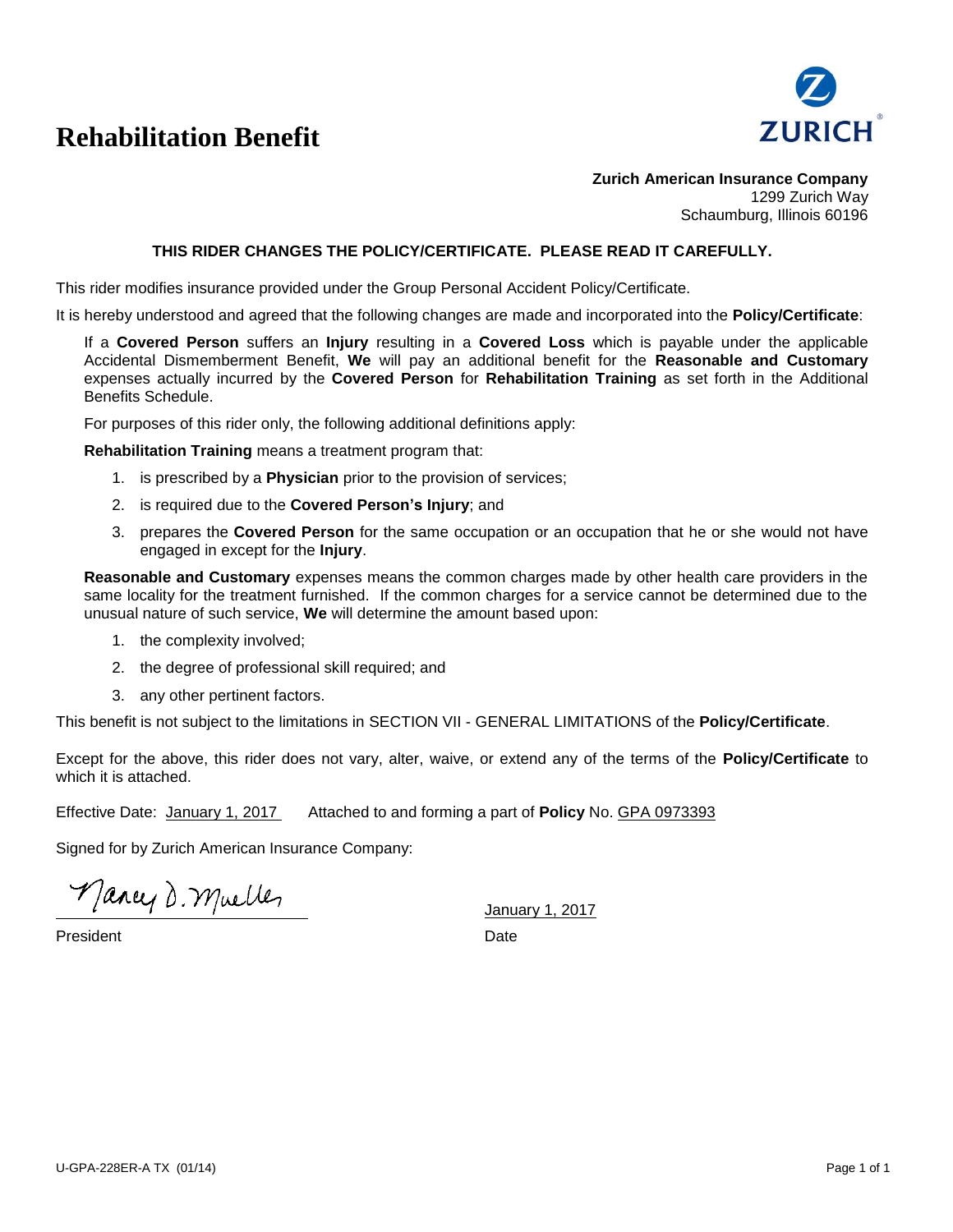## **Rehabilitation Benefit**



**Zurich American Insurance Company** 1299 Zurich Way Schaumburg, Illinois 60196

#### **THIS RIDER CHANGES THE POLICY/CERTIFICATE. PLEASE READ IT CAREFULLY.**

This rider modifies insurance provided under the Group Personal Accident Policy/Certificate.

It is hereby understood and agreed that the following changes are made and incorporated into the **Policy/Certificate**:

If a **Covered Person** suffers an **Injury** resulting in a **Covered Loss** which is payable under the applicable Accidental Dismemberment Benefit, **We** will pay an additional benefit for the **Reasonable and Customary** expenses actually incurred by the **Covered Person** for **Rehabilitation Training** as set forth in the Additional Benefits Schedule.

For purposes of this rider only, the following additional definitions apply:

**Rehabilitation Training** means a treatment program that:

- 1. is prescribed by a **Physician** prior to the provision of services;
- 2. is required due to the **Covered Person's Injury**; and
- 3. prepares the **Covered Person** for the same occupation or an occupation that he or she would not have engaged in except for the **Injury**.

**Reasonable and Customary** expenses means the common charges made by other health care providers in the same locality for the treatment furnished. If the common charges for a service cannot be determined due to the unusual nature of such service, **We** will determine the amount based upon:

- 1. the complexity involved;
- 2. the degree of professional skill required; and
- 3. any other pertinent factors.

This benefit is not subject to the limitations in SECTION VII - GENERAL LIMITATIONS of the **Policy/Certificate**.

Except for the above, this rider does not vary, alter, waive, or extend any of the terms of the **Policy/Certificate** to which it is attached.

Effective Date: January 1, 2017 Attached to and forming a part of **Policy** No. GPA 0973393

Signed for by Zurich American Insurance Company:

Mancy D. Muelles

January 1, 2017

**President** Date **Date**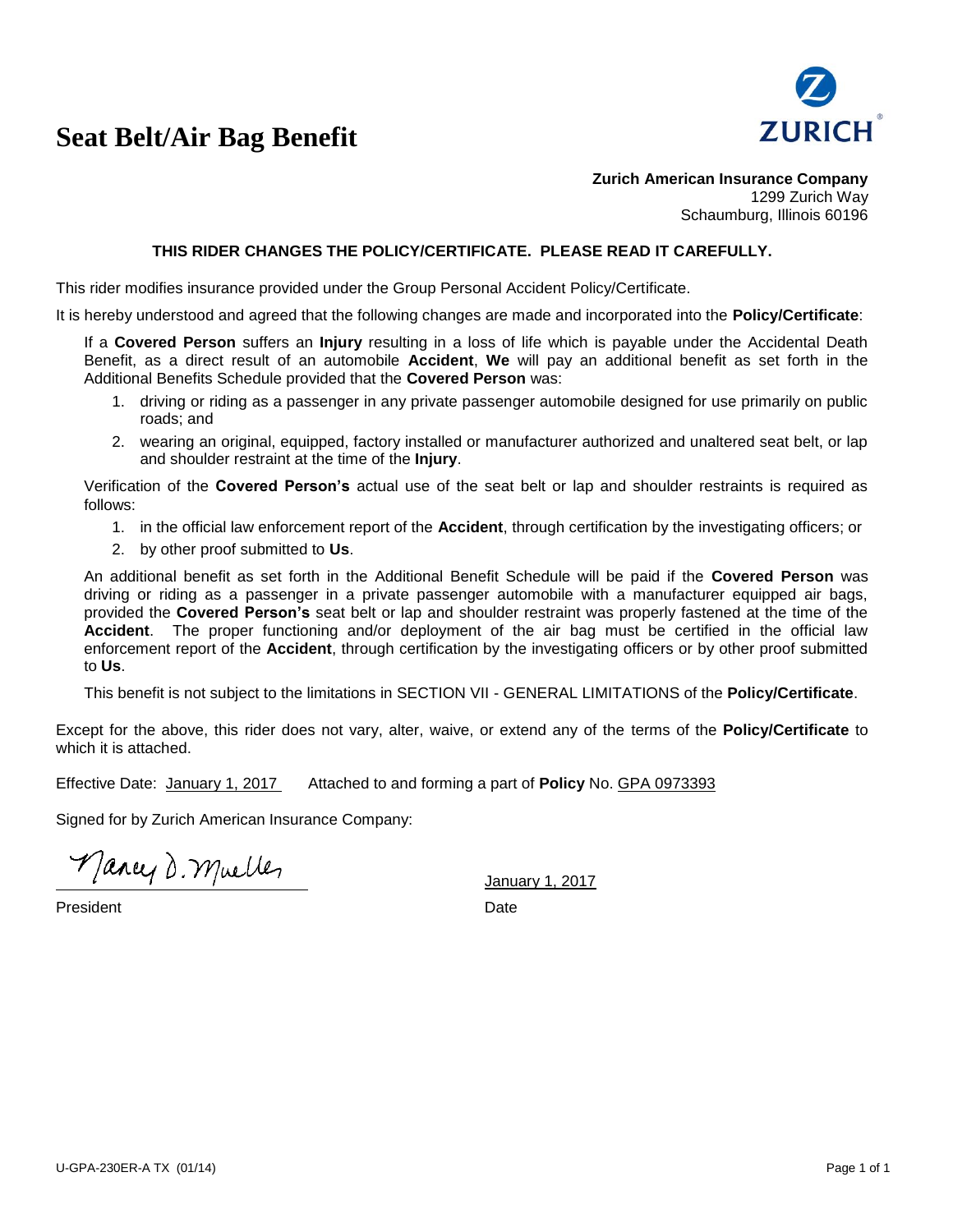## **Seat Belt/Air Bag Benefit**



**Zurich American Insurance Company** 1299 Zurich Way Schaumburg, Illinois 60196

#### **THIS RIDER CHANGES THE POLICY/CERTIFICATE. PLEASE READ IT CAREFULLY.**

This rider modifies insurance provided under the Group Personal Accident Policy/Certificate.

It is hereby understood and agreed that the following changes are made and incorporated into the **Policy/Certificate**:

If a **Covered Person** suffers an **Injury** resulting in a loss of life which is payable under the Accidental Death Benefit, as a direct result of an automobile **Accident**, **We** will pay an additional benefit as set forth in the Additional Benefits Schedule provided that the **Covered Person** was:

- 1. driving or riding as a passenger in any private passenger automobile designed for use primarily on public roads; and
- 2. wearing an original, equipped, factory installed or manufacturer authorized and unaltered seat belt, or lap and shoulder restraint at the time of the **Injury**.

Verification of the **Covered Person's** actual use of the seat belt or lap and shoulder restraints is required as follows:

- 1. in the official law enforcement report of the **Accident**, through certification by the investigating officers; or
- 2. by other proof submitted to **Us**.

An additional benefit as set forth in the Additional Benefit Schedule will be paid if the **Covered Person** was driving or riding as a passenger in a private passenger automobile with a manufacturer equipped air bags, provided the **Covered Person's** seat belt or lap and shoulder restraint was properly fastened at the time of the **Accident**. The proper functioning and/or deployment of the air bag must be certified in the official law enforcement report of the **Accident**, through certification by the investigating officers or by other proof submitted to **Us**.

This benefit is not subject to the limitations in SECTION VII - GENERAL LIMITATIONS of the **Policy/Certificate**.

Except for the above, this rider does not vary, alter, waive, or extend any of the terms of the **Policy/Certificate** to which it is attached.

Effective Date: January 1, 2017 Attached to and forming a part of **Policy** No. GPA 0973393

Signed for by Zurich American Insurance Company:

Mancy D. Muelles

President Date Date Date Date Date Date Date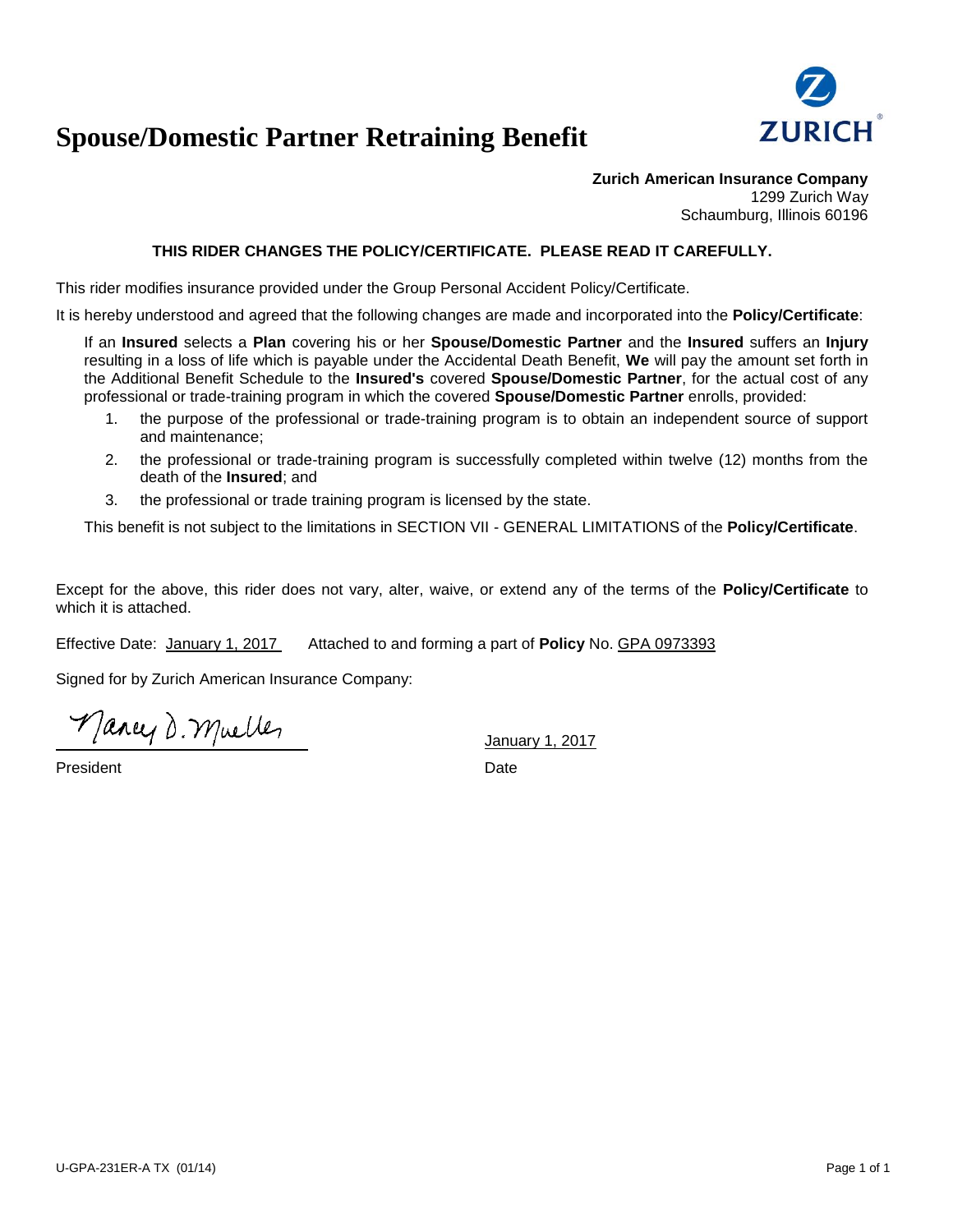

## **Spouse/Domestic Partner Retraining Benefit**

**Zurich American Insurance Company** 1299 Zurich Way Schaumburg, Illinois 60196

### **THIS RIDER CHANGES THE POLICY/CERTIFICATE. PLEASE READ IT CAREFULLY.**

This rider modifies insurance provided under the Group Personal Accident Policy/Certificate.

It is hereby understood and agreed that the following changes are made and incorporated into the **Policy/Certificate**:

If an **Insured** selects a **Plan** covering his or her **Spouse/Domestic Partner** and the **Insured** suffers an **Injury**  resulting in a loss of life which is payable under the Accidental Death Benefit, **We** will pay the amount set forth in the Additional Benefit Schedule to the **Insured's** covered **Spouse/Domestic Partner**, for the actual cost of any professional or trade-training program in which the covered **Spouse/Domestic Partner** enrolls, provided:

- 1. the purpose of the professional or trade-training program is to obtain an independent source of support and maintenance;
- 2. the professional or trade-training program is successfully completed within twelve (12) months from the death of the **Insured**; and
- 3. the professional or trade training program is licensed by the state.

This benefit is not subject to the limitations in SECTION VII - GENERAL LIMITATIONS of the **Policy/Certificate**.

Except for the above, this rider does not vary, alter, waive, or extend any of the terms of the **Policy/Certificate** to which it is attached.

Effective Date: January 1, 2017 Attached to and forming a part of **Policy** No. GPA 0973393

Signed for by Zurich American Insurance Company:

Mancy D. Muelles

President Date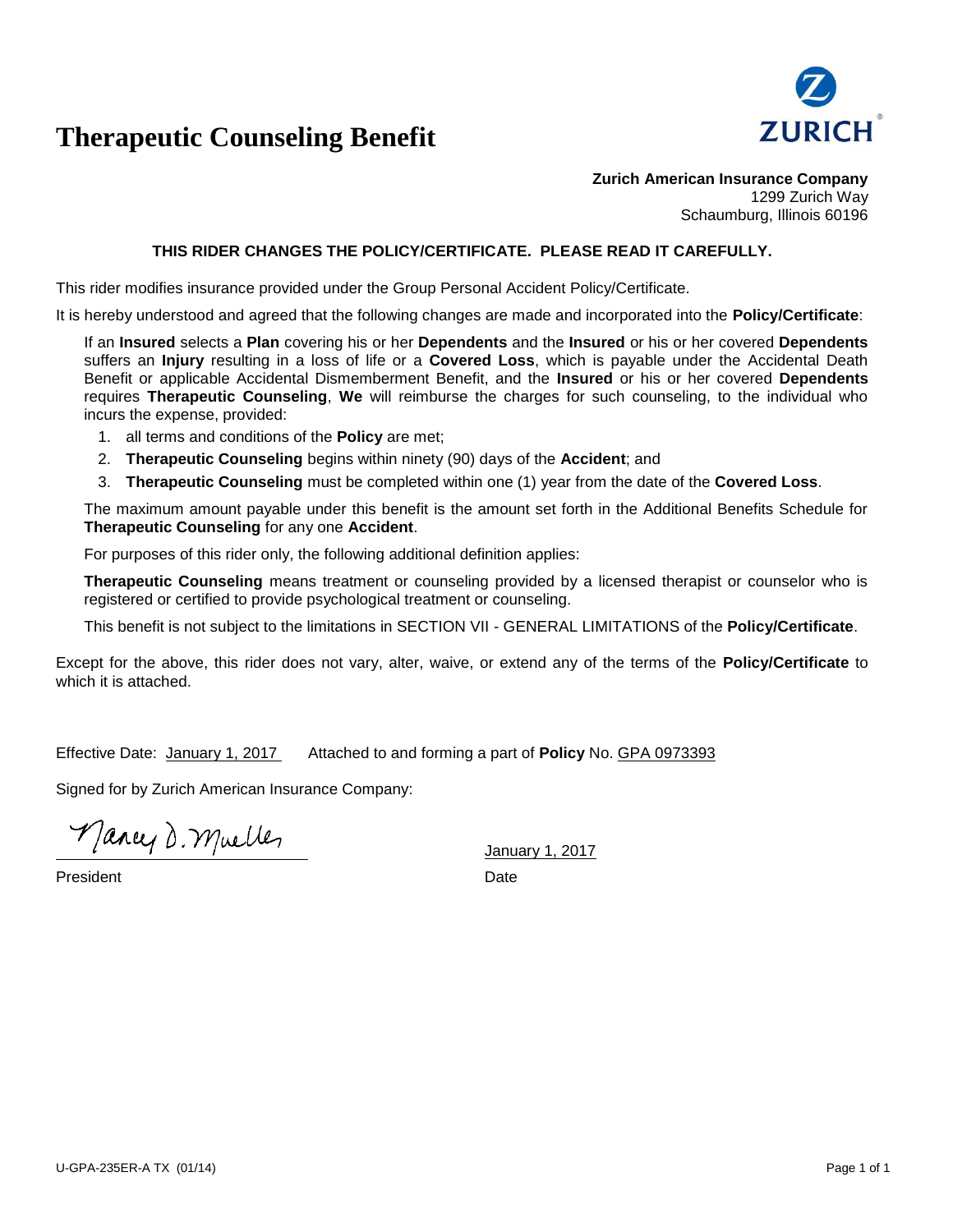

## **Therapeutic Counseling Benefit**

**Zurich American Insurance Company** 1299 Zurich Way Schaumburg, Illinois 60196

#### **THIS RIDER CHANGES THE POLICY/CERTIFICATE. PLEASE READ IT CAREFULLY.**

This rider modifies insurance provided under the Group Personal Accident Policy/Certificate.

It is hereby understood and agreed that the following changes are made and incorporated into the **Policy/Certificate**:

If an **Insured** selects a **Plan** covering his or her **Dependents** and the **Insured** or his or her covered **Dependents** suffers an **Injury** resulting in a loss of life or a **Covered Loss**, which is payable under the Accidental Death Benefit or applicable Accidental Dismemberment Benefit, and the **Insured** or his or her covered **Dependents** requires **Therapeutic Counseling**, **We** will reimburse the charges for such counseling, to the individual who incurs the expense, provided:

1. all terms and conditions of the **Policy** are met;

- 2. **Therapeutic Counseling** begins within ninety (90) days of the **Accident**; and
- 3. **Therapeutic Counseling** must be completed within one (1) year from the date of the **Covered Loss**.

The maximum amount payable under this benefit is the amount set forth in the Additional Benefits Schedule for **Therapeutic Counseling** for any one **Accident**.

For purposes of this rider only, the following additional definition applies:

**Therapeutic Counseling** means treatment or counseling provided by a licensed therapist or counselor who is registered or certified to provide psychological treatment or counseling.

This benefit is not subject to the limitations in SECTION VII - GENERAL LIMITATIONS of the **Policy/Certificate**.

Except for the above, this rider does not vary, alter, waive, or extend any of the terms of the **Policy/Certificate** to which it is attached.

Effective Date: January 1, 2017 Attached to and forming a part of **Policy** No. GPA 0973393

Signed for by Zurich American Insurance Company:

Mancy D. Muelles

President **Date**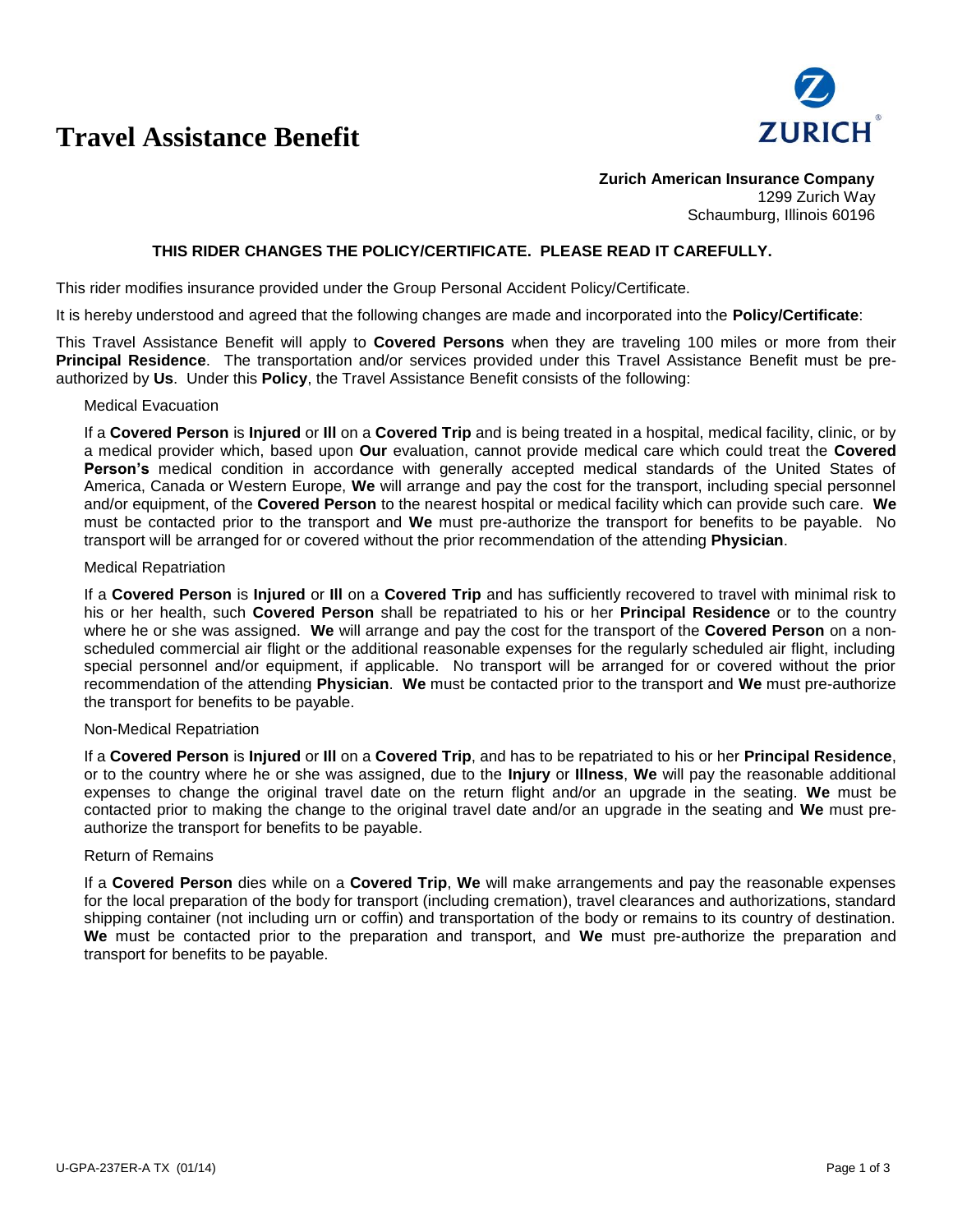## **Travel Assistance Benefit**



**Zurich American Insurance Company** 1299 Zurich Way Schaumburg, Illinois 60196

#### **THIS RIDER CHANGES THE POLICY/CERTIFICATE. PLEASE READ IT CAREFULLY.**

This rider modifies insurance provided under the Group Personal Accident Policy/Certificate.

It is hereby understood and agreed that the following changes are made and incorporated into the **Policy/Certificate**:

This Travel Assistance Benefit will apply to **Covered Persons** when they are traveling 100 miles or more from their **Principal Residence**. The transportation and/or services provided under this Travel Assistance Benefit must be preauthorized by **Us**. Under this **Policy**, the Travel Assistance Benefit consists of the following:

#### Medical Evacuation

If a **Covered Person** is **Injured** or **Ill** on a **Covered Trip** and is being treated in a hospital, medical facility, clinic, or by a medical provider which, based upon **Our** evaluation, cannot provide medical care which could treat the **Covered Person's** medical condition in accordance with generally accepted medical standards of the United States of America, Canada or Western Europe, **We** will arrange and pay the cost for the transport, including special personnel and/or equipment, of the **Covered Person** to the nearest hospital or medical facility which can provide such care. **We** must be contacted prior to the transport and **We** must pre-authorize the transport for benefits to be payable. No transport will be arranged for or covered without the prior recommendation of the attending **Physician**.

#### Medical Repatriation

If a **Covered Person** is **Injured** or **Ill** on a **Covered Trip** and has sufficiently recovered to travel with minimal risk to his or her health, such **Covered Person** shall be repatriated to his or her **Principal Residence** or to the country where he or she was assigned. **We** will arrange and pay the cost for the transport of the **Covered Person** on a nonscheduled commercial air flight or the additional reasonable expenses for the regularly scheduled air flight, including special personnel and/or equipment, if applicable. No transport will be arranged for or covered without the prior recommendation of the attending **Physician**. **We** must be contacted prior to the transport and **We** must pre-authorize the transport for benefits to be payable.

#### Non-Medical Repatriation

If a **Covered Person** is **Injured** or **Ill** on a **Covered Trip**, and has to be repatriated to his or her **Principal Residence**, or to the country where he or she was assigned, due to the **Injury** or **Illness**, **We** will pay the reasonable additional expenses to change the original travel date on the return flight and/or an upgrade in the seating. **We** must be contacted prior to making the change to the original travel date and/or an upgrade in the seating and **We** must preauthorize the transport for benefits to be payable.

#### Return of Remains

If a **Covered Person** dies while on a **Covered Trip**, **We** will make arrangements and pay the reasonable expenses for the local preparation of the body for transport (including cremation), travel clearances and authorizations, standard shipping container (not including urn or coffin) and transportation of the body or remains to its country of destination. **We** must be contacted prior to the preparation and transport, and **We** must pre-authorize the preparation and transport for benefits to be payable.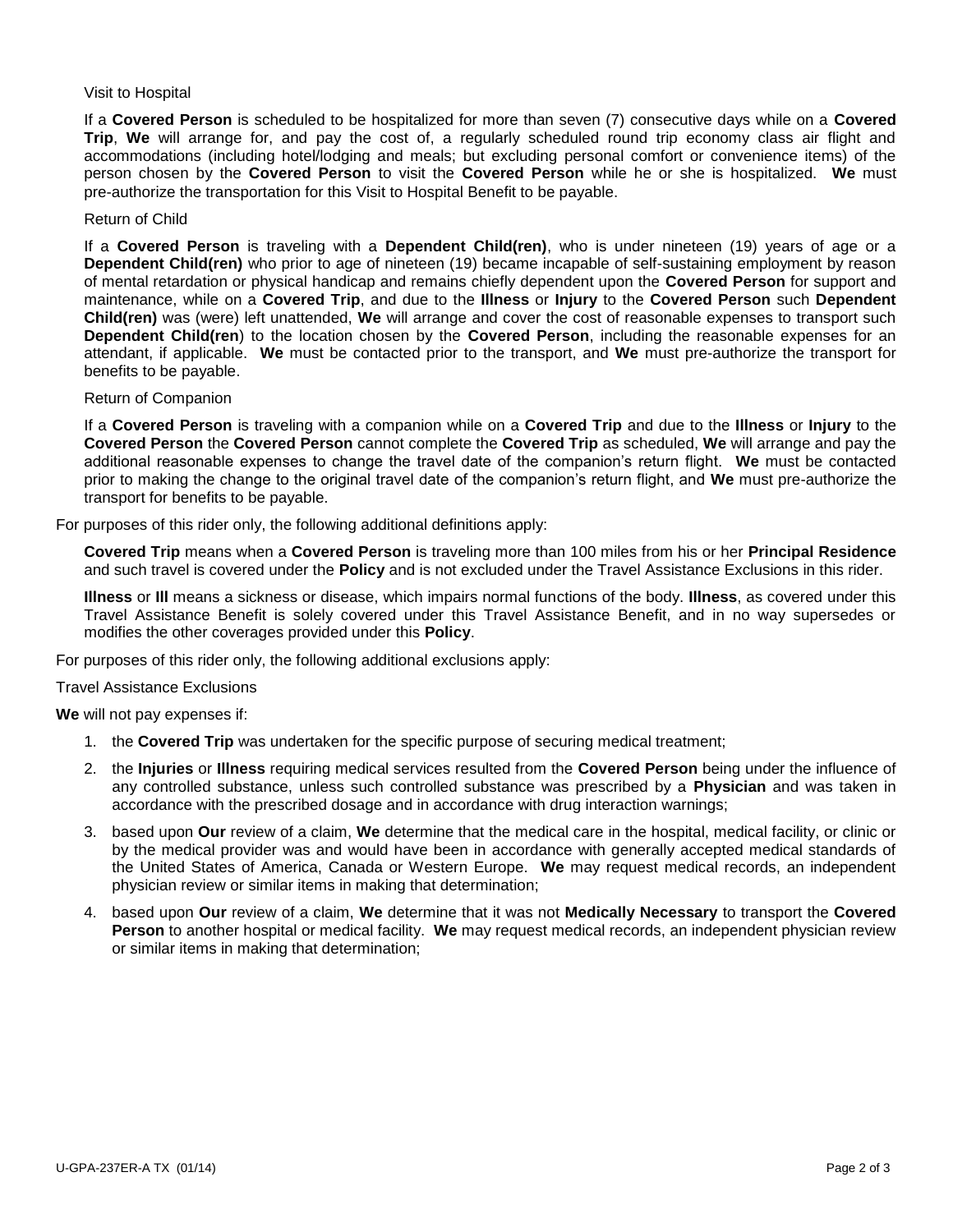#### Visit to Hospital

If a **Covered Person** is scheduled to be hospitalized for more than seven (7) consecutive days while on a **Covered Trip**, **We** will arrange for, and pay the cost of, a regularly scheduled round trip economy class air flight and accommodations (including hotel/lodging and meals; but excluding personal comfort or convenience items) of the person chosen by the **Covered Person** to visit the **Covered Person** while he or she is hospitalized. **We** must pre-authorize the transportation for this Visit to Hospital Benefit to be payable.

#### Return of Child

If a **Covered Person** is traveling with a **Dependent Child(ren)**, who is under nineteen (19) years of age or a **Dependent Child(ren)** who prior to age of nineteen (19) became incapable of self-sustaining employment by reason of mental retardation or physical handicap and remains chiefly dependent upon the **Covered Person** for support and maintenance, while on a **Covered Trip**, and due to the **Illness** or **Injury** to the **Covered Person** such **Dependent Child(ren)** was (were) left unattended, **We** will arrange and cover the cost of reasonable expenses to transport such **Dependent Child(ren**) to the location chosen by the **Covered Person**, including the reasonable expenses for an attendant, if applicable. **We** must be contacted prior to the transport, and **We** must pre-authorize the transport for benefits to be payable.

#### Return of Companion

If a **Covered Person** is traveling with a companion while on a **Covered Trip** and due to the **Illness** or **Injury** to the **Covered Person** the **Covered Person** cannot complete the **Covered Trip** as scheduled, **We** will arrange and pay the additional reasonable expenses to change the travel date of the companion's return flight. **We** must be contacted prior to making the change to the original travel date of the companion's return flight, and **We** must pre-authorize the transport for benefits to be payable.

For purposes of this rider only, the following additional definitions apply:

**Covered Trip** means when a **Covered Person** is traveling more than 100 miles from his or her **Principal Residence** and such travel is covered under the **Policy** and is not excluded under the Travel Assistance Exclusions in this rider.

**Illness** or **Ill** means a sickness or disease, which impairs normal functions of the body. **Illness**, as covered under this Travel Assistance Benefit is solely covered under this Travel Assistance Benefit, and in no way supersedes or modifies the other coverages provided under this **Policy**.

For purposes of this rider only, the following additional exclusions apply:

Travel Assistance Exclusions

**We** will not pay expenses if:

- 1. the **Covered Trip** was undertaken for the specific purpose of securing medical treatment;
- 2. the **Injuries** or **Illness** requiring medical services resulted from the **Covered Person** being under the influence of any controlled substance, unless such controlled substance was prescribed by a **Physician** and was taken in accordance with the prescribed dosage and in accordance with drug interaction warnings;
- 3. based upon **Our** review of a claim, **We** determine that the medical care in the hospital, medical facility, or clinic or by the medical provider was and would have been in accordance with generally accepted medical standards of the United States of America, Canada or Western Europe. **We** may request medical records, an independent physician review or similar items in making that determination;
- 4. based upon **Our** review of a claim, **We** determine that it was not **Medically Necessary** to transport the **Covered Person** to another hospital or medical facility. **We** may request medical records, an independent physician review or similar items in making that determination;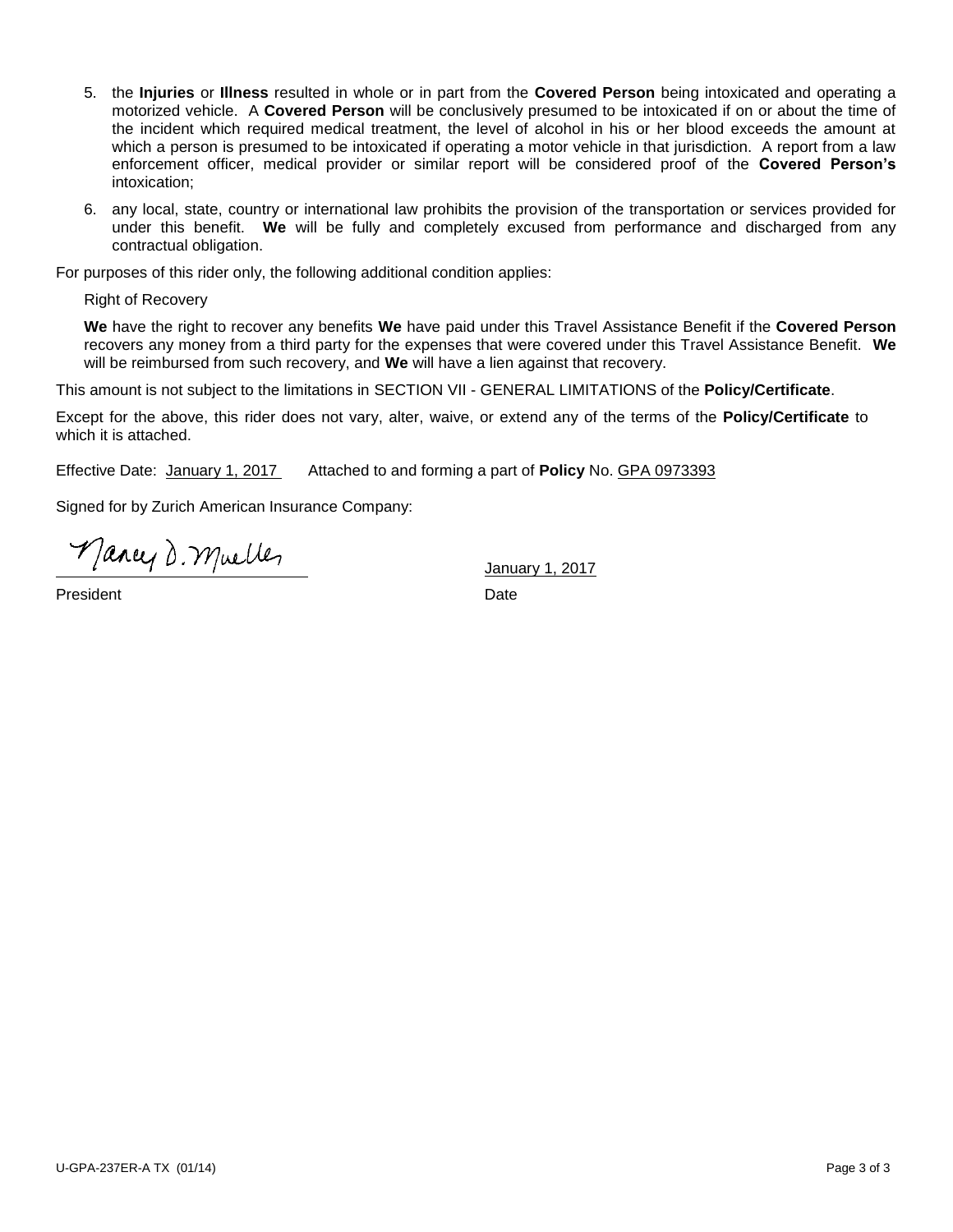- 5. the **Injuries** or **Illness** resulted in whole or in part from the **Covered Person** being intoxicated and operating a motorized vehicle. A **Covered Person** will be conclusively presumed to be intoxicated if on or about the time of the incident which required medical treatment, the level of alcohol in his or her blood exceeds the amount at which a person is presumed to be intoxicated if operating a motor vehicle in that jurisdiction. A report from a law enforcement officer, medical provider or similar report will be considered proof of the **Covered Person's** intoxication;
- 6. any local, state, country or international law prohibits the provision of the transportation or services provided for under this benefit. **We** will be fully and completely excused from performance and discharged from any contractual obligation.

For purposes of this rider only, the following additional condition applies:

Right of Recovery

**We** have the right to recover any benefits **We** have paid under this Travel Assistance Benefit if the **Covered Person** recovers any money from a third party for the expenses that were covered under this Travel Assistance Benefit. **We** will be reimbursed from such recovery, and **We** will have a lien against that recovery.

This amount is not subject to the limitations in SECTION VII - GENERAL LIMITATIONS of the **Policy/Certificate**.

Except for the above, this rider does not vary, alter, waive, or extend any of the terms of the **Policy/Certificate** to which it is attached.

Effective Date: January 1, 2017 Attached to and forming a part of **Policy** No. GPA 0973393

Signed for by Zurich American Insurance Company:

Mancy D. Muelles

President **Date**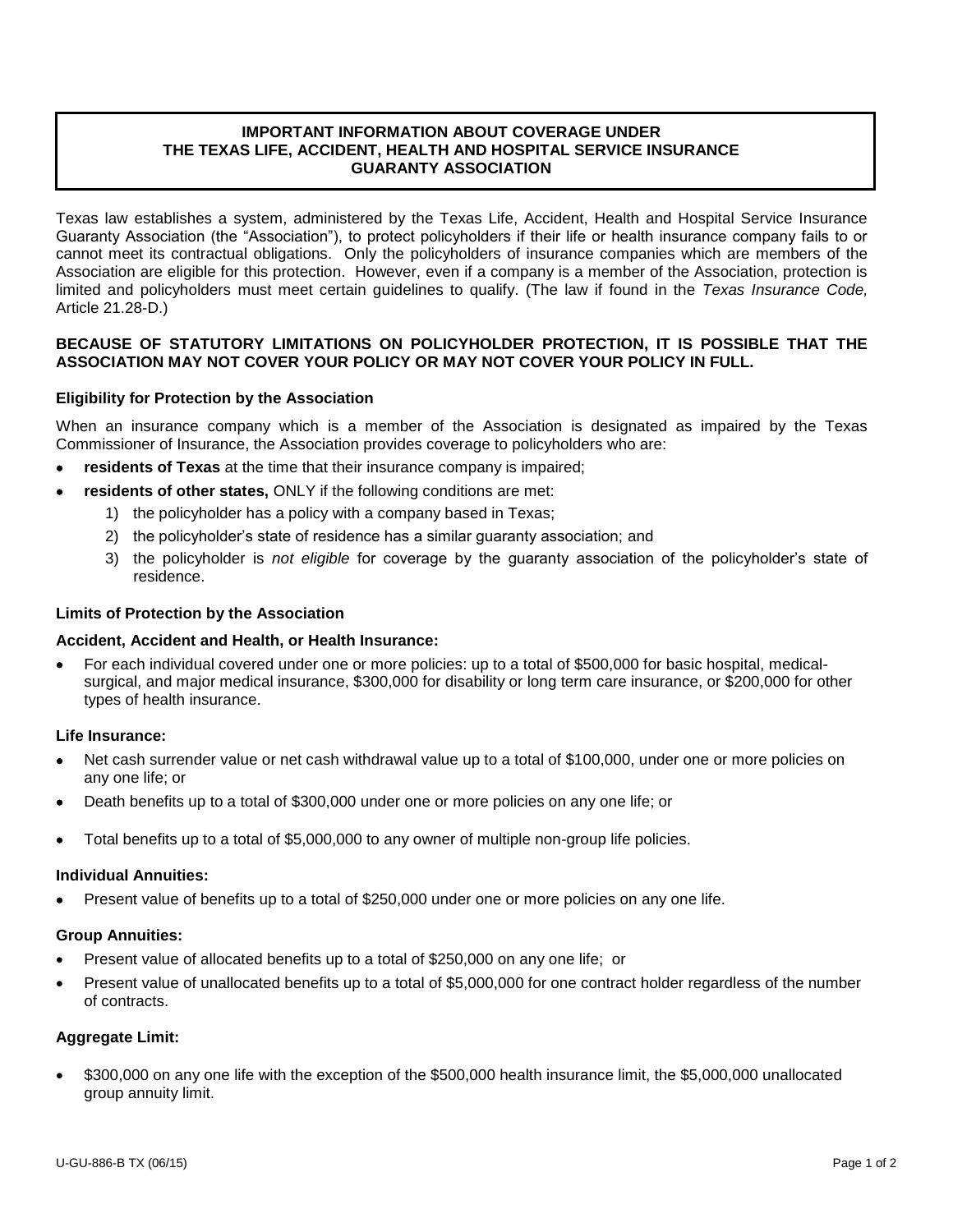### **IMPORTANT INFORMATION ABOUT COVERAGE UNDER THE TEXAS LIFE, ACCIDENT, HEALTH AND HOSPITAL SERVICE INSURANCE GUARANTY ASSOCIATION**

Texas law establishes a system, administered by the Texas Life, Accident, Health and Hospital Service Insurance Guaranty Association (the "Association"), to protect policyholders if their life or health insurance company fails to or cannot meet its contractual obligations. Only the policyholders of insurance companies which are members of the Association are eligible for this protection. However, even if a company is a member of the Association, protection is limited and policyholders must meet certain guidelines to qualify. (The law if found in the *Texas Insurance Code,*  Article 21.28-D.)

#### **BECAUSE OF STATUTORY LIMITATIONS ON POLICYHOLDER PROTECTION, IT IS POSSIBLE THAT THE ASSOCIATION MAY NOT COVER YOUR POLICY OR MAY NOT COVER YOUR POLICY IN FULL.**

#### **Eligibility for Protection by the Association**

When an insurance company which is a member of the Association is designated as impaired by the Texas Commissioner of Insurance, the Association provides coverage to policyholders who are:

- **residents of Texas** at the time that their insurance company is impaired;
- **residents of other states,** ONLY if the following conditions are met:
	- 1) the policyholder has a policy with a company based in Texas;
	- 2) the policyholder's state of residence has a similar guaranty association; and
	- 3) the policyholder is *not eligible* for coverage by the guaranty association of the policyholder's state of residence.

#### **Limits of Protection by the Association**

#### **Accident, Accident and Health, or Health Insurance:**

 For each individual covered under one or more policies: up to a total of \$500,000 for basic hospital, medicalsurgical, and major medical insurance, \$300,000 for disability or long term care insurance, or \$200,000 for other types of health insurance.

#### **Life Insurance:**

- Net cash surrender value or net cash withdrawal value up to a total of \$100,000, under one or more policies on any one life; or
- Death benefits up to a total of \$300,000 under one or more policies on any one life; or
- Total benefits up to a total of \$5,000,000 to any owner of multiple non-group life policies.

#### **Individual Annuities:**

Present value of benefits up to a total of \$250,000 under one or more policies on any one life.

#### **Group Annuities:**

- Present value of allocated benefits up to a total of \$250,000 on any one life; or
- Present value of unallocated benefits up to a total of \$5,000,000 for one contract holder regardless of the number of contracts.

#### **Aggregate Limit:**

 \$300,000 on any one life with the exception of the \$500,000 health insurance limit, the \$5,000,000 unallocated group annuity limit.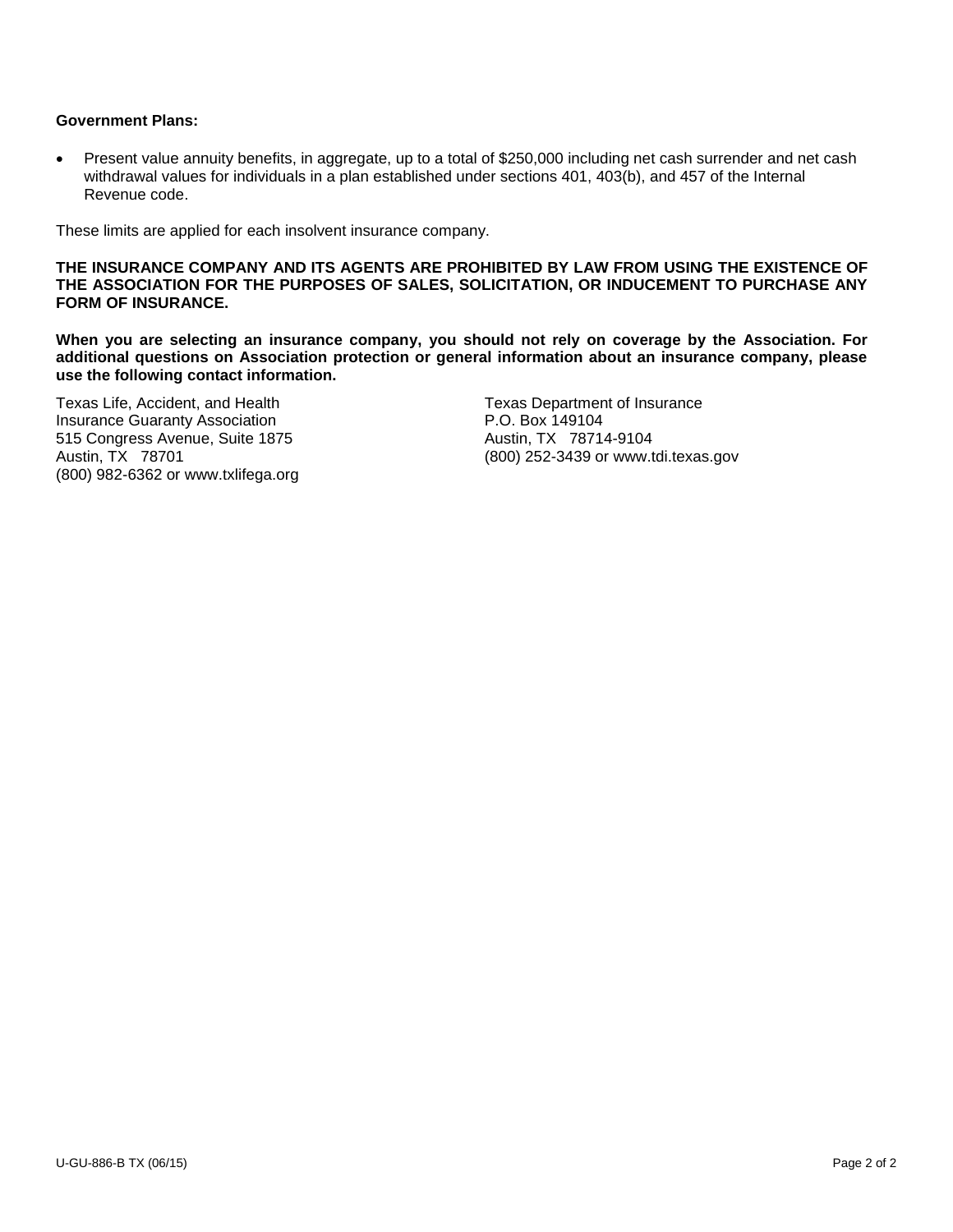### **Government Plans:**

 Present value annuity benefits, in aggregate, up to a total of \$250,000 including net cash surrender and net cash withdrawal values for individuals in a plan established under sections 401, 403(b), and 457 of the Internal Revenue code.

These limits are applied for each insolvent insurance company.

**THE INSURANCE COMPANY AND ITS AGENTS ARE PROHIBITED BY LAW FROM USING THE EXISTENCE OF THE ASSOCIATION FOR THE PURPOSES OF SALES, SOLICITATION, OR INDUCEMENT TO PURCHASE ANY FORM OF INSURANCE.**

**When you are selecting an insurance company, you should not rely on coverage by the Association. For additional questions on Association protection or general information about an insurance company, please use the following contact information.**

**Insurance Guaranty Association** 515 Congress Avenue, Suite 1875 **Austin, TX 78714-9104** Austin, TX 78714-9104 (800) 982-6362 or www.txlifega.org

Texas Life, Accident, and Health Texas Department of Insurance<br>
Insurance Guaranty Association<br>
Texas Department of Insurance Austin, TX 78701 (800) 252-3439 or www.tdi.texas.gov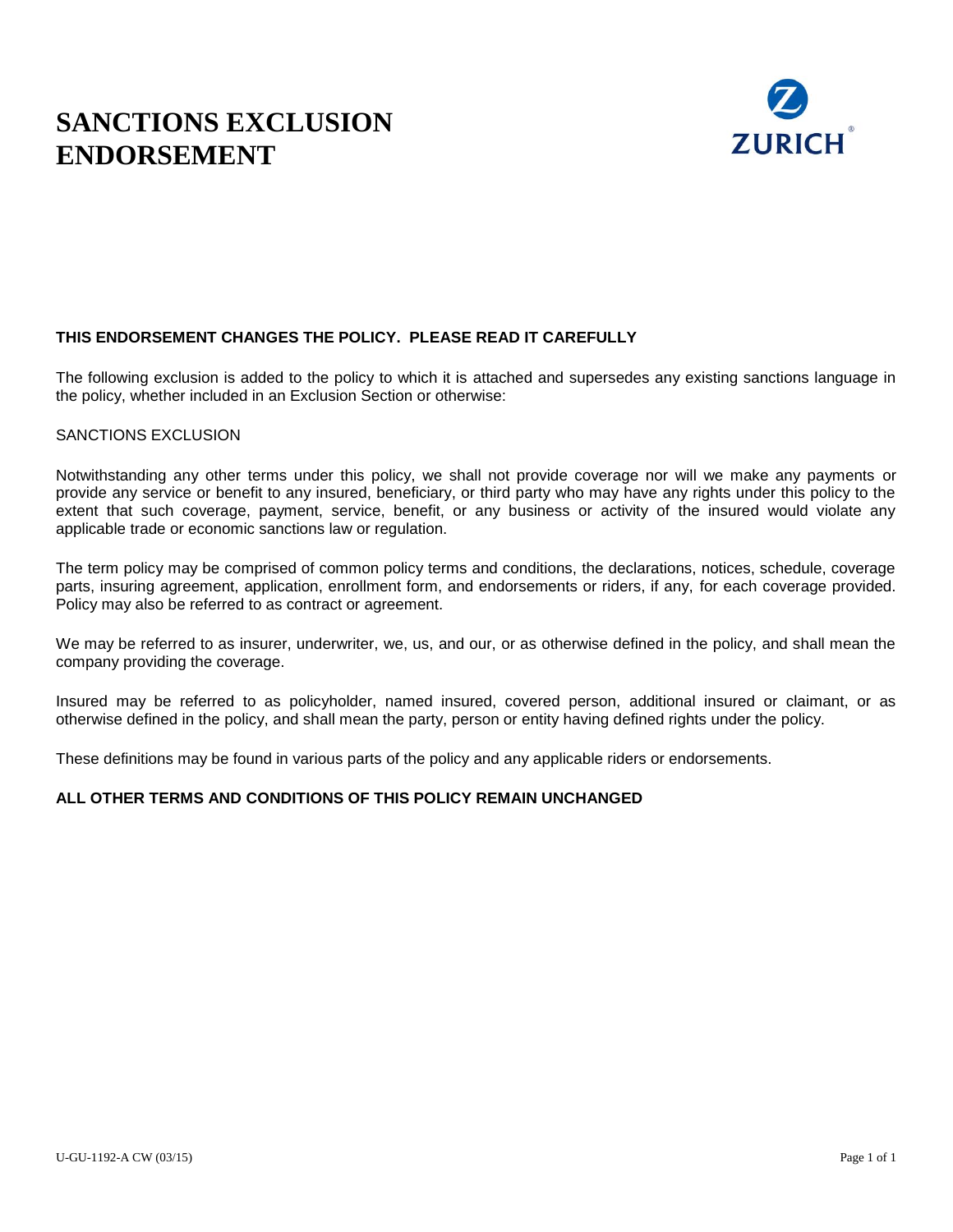# **SANCTIONS EXCLUSION ENDORSEMENT**



### **THIS ENDORSEMENT CHANGES THE POLICY. PLEASE READ IT CAREFULLY**

The following exclusion is added to the policy to which it is attached and supersedes any existing sanctions language in the policy, whether included in an Exclusion Section or otherwise:

#### SANCTIONS EXCLUSION

Notwithstanding any other terms under this policy, we shall not provide coverage nor will we make any payments or provide any service or benefit to any insured, beneficiary, or third party who may have any rights under this policy to the extent that such coverage, payment, service, benefit, or any business or activity of the insured would violate any applicable trade or economic sanctions law or regulation.

The term policy may be comprised of common policy terms and conditions, the declarations, notices, schedule, coverage parts, insuring agreement, application, enrollment form, and endorsements or riders, if any, for each coverage provided. Policy may also be referred to as contract or agreement.

We may be referred to as insurer, underwriter, we, us, and our, or as otherwise defined in the policy, and shall mean the company providing the coverage.

Insured may be referred to as policyholder, named insured, covered person, additional insured or claimant, or as otherwise defined in the policy, and shall mean the party, person or entity having defined rights under the policy.

These definitions may be found in various parts of the policy and any applicable riders or endorsements.

#### **ALL OTHER TERMS AND CONDITIONS OF THIS POLICY REMAIN UNCHANGED**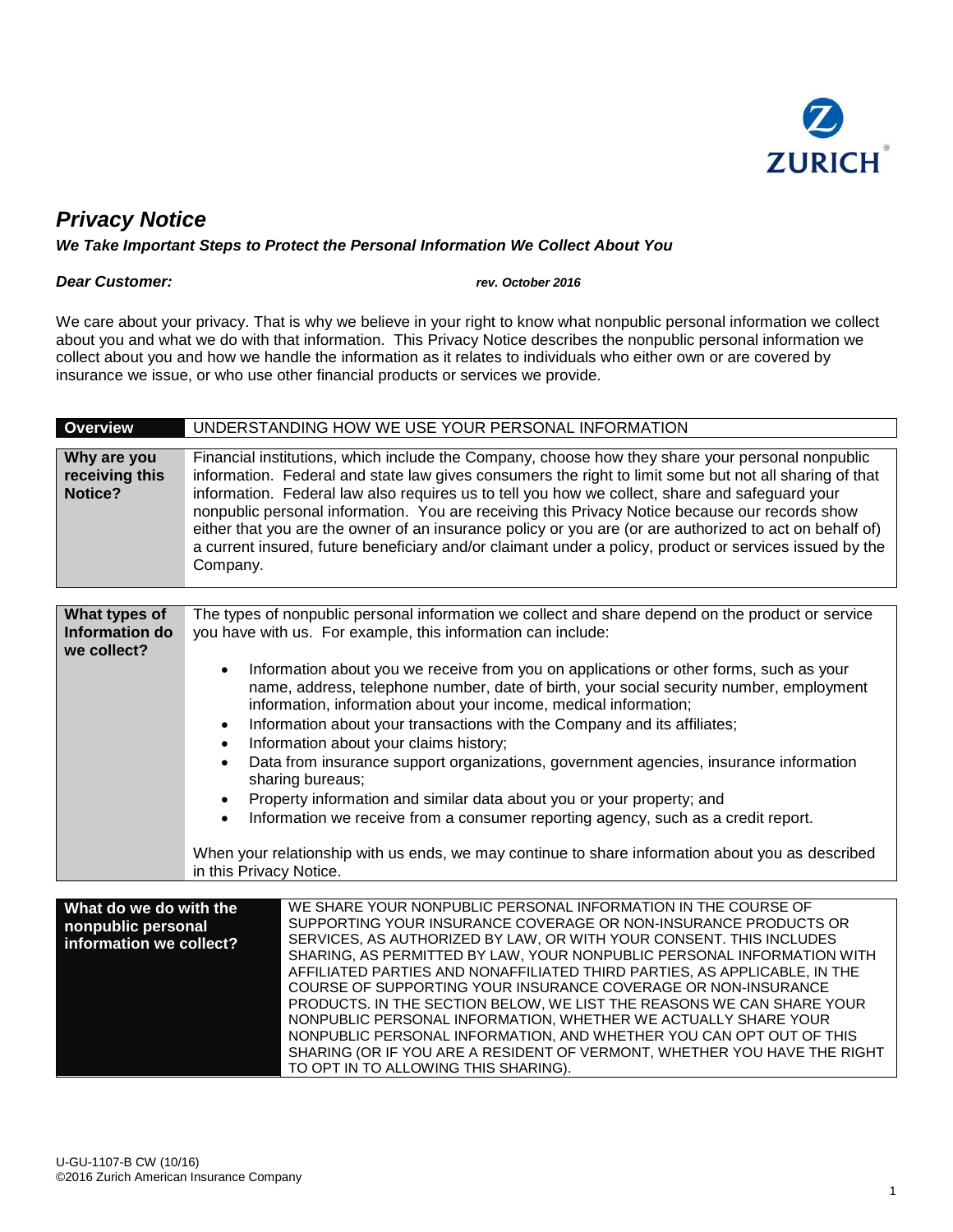

## *Privacy Notice*

#### *We Take Important Steps to Protect the Personal Information We Collect About You*

#### *Dear Customer: rev. October 2016*

We care about your privacy. That is why we believe in your right to know what nonpublic personal information we collect about you and what we do with that information. This Privacy Notice describes the nonpublic personal information we collect about you and how we handle the information as it relates to individuals who either own or are covered by insurance we issue, or who use other financial products or services we provide.

| <b>Overview</b>                                                         | UNDERSTANDING HOW WE USE YOUR PERSONAL INFORMATION                                                                                                                                                                                                                                                                                                                                                                                                                                                                                                                                                                                                                                                                                                                                                              |
|-------------------------------------------------------------------------|-----------------------------------------------------------------------------------------------------------------------------------------------------------------------------------------------------------------------------------------------------------------------------------------------------------------------------------------------------------------------------------------------------------------------------------------------------------------------------------------------------------------------------------------------------------------------------------------------------------------------------------------------------------------------------------------------------------------------------------------------------------------------------------------------------------------|
| Why are you<br>receiving this<br>Notice?                                | Financial institutions, which include the Company, choose how they share your personal nonpublic<br>information. Federal and state law gives consumers the right to limit some but not all sharing of that<br>information. Federal law also requires us to tell you how we collect, share and safeguard your<br>nonpublic personal information. You are receiving this Privacy Notice because our records show<br>either that you are the owner of an insurance policy or you are (or are authorized to act on behalf of)<br>a current insured, future beneficiary and/or claimant under a policy, product or services issued by the<br>Company.                                                                                                                                                                |
|                                                                         |                                                                                                                                                                                                                                                                                                                                                                                                                                                                                                                                                                                                                                                                                                                                                                                                                 |
| What types of<br>Information do<br>we collect?                          | The types of nonpublic personal information we collect and share depend on the product or service<br>you have with us. For example, this information can include:                                                                                                                                                                                                                                                                                                                                                                                                                                                                                                                                                                                                                                               |
|                                                                         | Information about you we receive from you on applications or other forms, such as your<br>name, address, telephone number, date of birth, your social security number, employment<br>information, information about your income, medical information;<br>Information about your transactions with the Company and its affiliates;<br>$\bullet$<br>Information about your claims history;<br>$\bullet$<br>Data from insurance support organizations, government agencies, insurance information<br>sharing bureaus;<br>Property information and similar data about you or your property; and<br>Information we receive from a consumer reporting agency, such as a credit report.<br>When your relationship with us ends, we may continue to share information about you as described<br>in this Privacy Notice. |
|                                                                         | WE SHARE YOUR NONPUBLIC PERSONAL INFORMATION IN THE COURSE OF                                                                                                                                                                                                                                                                                                                                                                                                                                                                                                                                                                                                                                                                                                                                                   |
| What do we do with the<br>nonpublic personal<br>information we collect? | SUPPORTING YOUR INSURANCE COVERAGE OR NON-INSURANCE PRODUCTS OR<br>SERVICES, AS AUTHORIZED BY LAW, OR WITH YOUR CONSENT. THIS INCLUDES<br>SHARING, AS PERMITTED BY LAW, YOUR NONPUBLIC PERSONAL INFORMATION WITH<br>AFFILIATED PARTIES AND NONAFFILIATED THIRD PARTIES, AS APPLICABLE, IN THE<br>COURSE OF SUPPORTING YOUR INSURANCE COVERAGE OR NON-INSURANCE<br>PRODUCTS. IN THE SECTION BELOW, WE LIST THE REASONS WE CAN SHARE YOUR<br>NONPUBLIC PERSONAL INFORMATION, WHETHER WE ACTUALLY SHARE YOUR<br>NONPUBLIC PERSONAL INFORMATION, AND WHETHER YOU CAN OPT OUT OF THIS                                                                                                                                                                                                                                |

TO OPT IN TO ALLOWING THIS SHARING).

SHARING (OR IF YOU ARE A RESIDENT OF VERMONT, WHETHER YOU HAVE THE RIGHT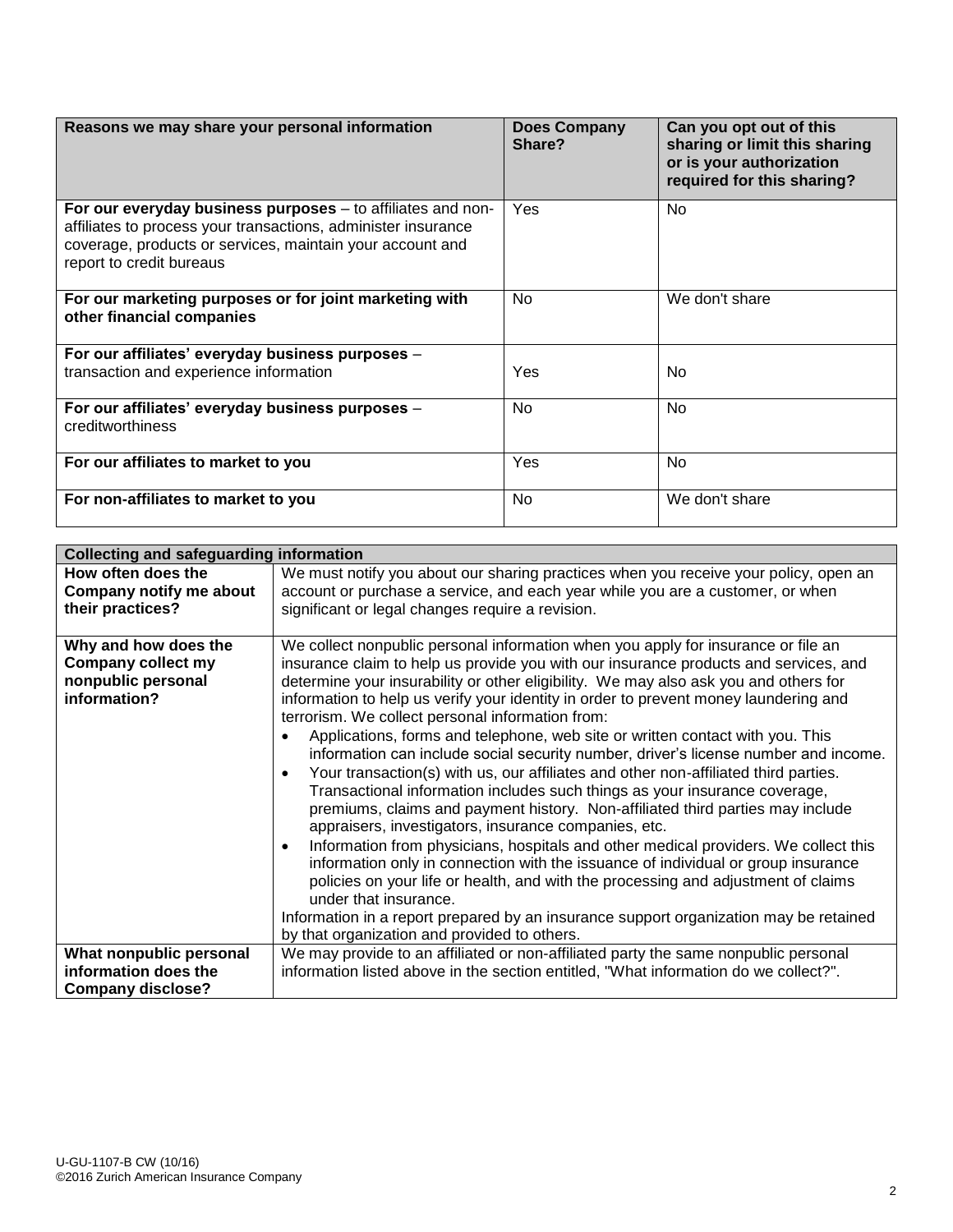| Reasons we may share your personal information                                                                                                                                                                        | <b>Does Company</b><br>Share? | Can you opt out of this<br>sharing or limit this sharing<br>or is your authorization<br>required for this sharing? |
|-----------------------------------------------------------------------------------------------------------------------------------------------------------------------------------------------------------------------|-------------------------------|--------------------------------------------------------------------------------------------------------------------|
| For our everyday business purposes – to affiliates and non-<br>affiliates to process your transactions, administer insurance<br>coverage, products or services, maintain your account and<br>report to credit bureaus | Yes                           | <b>No</b>                                                                                                          |
| For our marketing purposes or for joint marketing with<br>other financial companies                                                                                                                                   | No                            | We don't share                                                                                                     |
| For our affiliates' everyday business purposes -                                                                                                                                                                      |                               |                                                                                                                    |
| transaction and experience information                                                                                                                                                                                | Yes                           | No.                                                                                                                |
| For our affiliates' everyday business purposes -<br>creditworthiness                                                                                                                                                  | No                            | <b>No</b>                                                                                                          |
| For our affiliates to market to you                                                                                                                                                                                   | Yes                           | No                                                                                                                 |
| For non-affiliates to market to you                                                                                                                                                                                   | <b>No</b>                     | We don't share                                                                                                     |

| <b>Collecting and safeguarding information</b>                                          |                                                                                                                                                                                                                                                                                                                                                                                                                                                                                                                                                                                                                                                                                                                                                                                                                                                                                                                                                                                                                                                                                                                                                                                                                                                                                                                                                                                |  |
|-----------------------------------------------------------------------------------------|--------------------------------------------------------------------------------------------------------------------------------------------------------------------------------------------------------------------------------------------------------------------------------------------------------------------------------------------------------------------------------------------------------------------------------------------------------------------------------------------------------------------------------------------------------------------------------------------------------------------------------------------------------------------------------------------------------------------------------------------------------------------------------------------------------------------------------------------------------------------------------------------------------------------------------------------------------------------------------------------------------------------------------------------------------------------------------------------------------------------------------------------------------------------------------------------------------------------------------------------------------------------------------------------------------------------------------------------------------------------------------|--|
| How often does the<br>Company notify me about<br>their practices?                       | We must notify you about our sharing practices when you receive your policy, open an<br>account or purchase a service, and each year while you are a customer, or when<br>significant or legal changes require a revision.                                                                                                                                                                                                                                                                                                                                                                                                                                                                                                                                                                                                                                                                                                                                                                                                                                                                                                                                                                                                                                                                                                                                                     |  |
| Why and how does the<br><b>Company collect my</b><br>nonpublic personal<br>information? | We collect nonpublic personal information when you apply for insurance or file an<br>insurance claim to help us provide you with our insurance products and services, and<br>determine your insurability or other eligibility. We may also ask you and others for<br>information to help us verify your identity in order to prevent money laundering and<br>terrorism. We collect personal information from:<br>Applications, forms and telephone, web site or written contact with you. This<br>$\bullet$<br>information can include social security number, driver's license number and income.<br>Your transaction(s) with us, our affiliates and other non-affiliated third parties.<br>$\bullet$<br>Transactional information includes such things as your insurance coverage,<br>premiums, claims and payment history. Non-affiliated third parties may include<br>appraisers, investigators, insurance companies, etc.<br>Information from physicians, hospitals and other medical providers. We collect this<br>$\bullet$<br>information only in connection with the issuance of individual or group insurance<br>policies on your life or health, and with the processing and adjustment of claims<br>under that insurance.<br>Information in a report prepared by an insurance support organization may be retained<br>by that organization and provided to others. |  |
| What nonpublic personal<br>information does the<br><b>Company disclose?</b>             | We may provide to an affiliated or non-affiliated party the same nonpublic personal<br>information listed above in the section entitled, "What information do we collect?".                                                                                                                                                                                                                                                                                                                                                                                                                                                                                                                                                                                                                                                                                                                                                                                                                                                                                                                                                                                                                                                                                                                                                                                                    |  |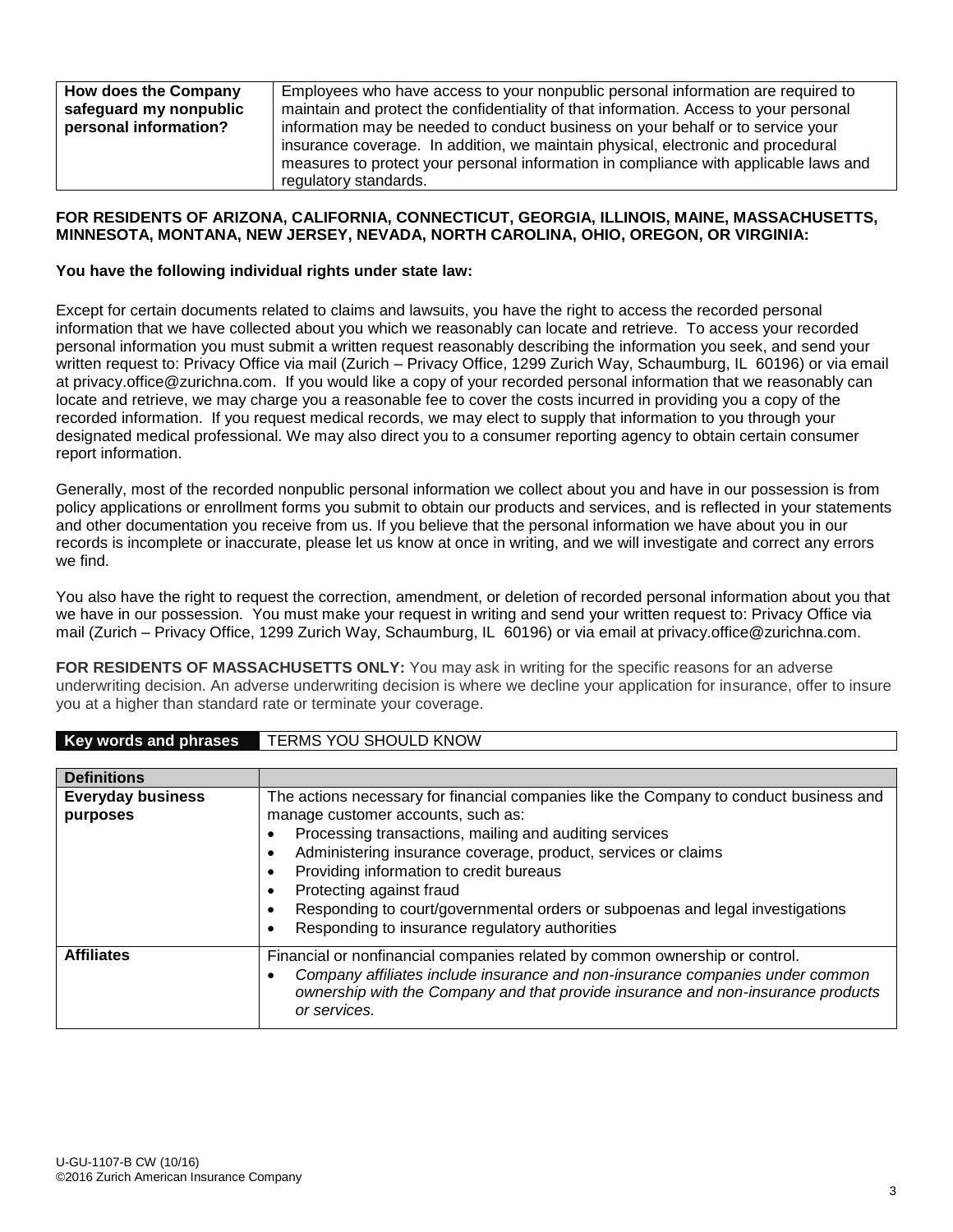| How does the Company   | Employees who have access to your nonpublic personal information are required to      |
|------------------------|---------------------------------------------------------------------------------------|
| safeguard my nonpublic | maintain and protect the confidentiality of that information. Access to your personal |
| personal information?  | information may be needed to conduct business on your behalf or to service your       |
|                        | insurance coverage. In addition, we maintain physical, electronic and procedural      |
|                        | measures to protect your personal information in compliance with applicable laws and  |
|                        | regulatory standards.                                                                 |

#### **FOR RESIDENTS OF ARIZONA, CALIFORNIA, CONNECTICUT, GEORGIA, ILLINOIS, MAINE, MASSACHUSETTS, MINNESOTA, MONTANA, NEW JERSEY, NEVADA, NORTH CAROLINA, OHIO, OREGON, OR VIRGINIA:**

#### **You have the following individual rights under state law:**

**Key words and phrases** TERMS YOU SHOULD KNOW

Except for certain documents related to claims and lawsuits, you have the right to access the recorded personal information that we have collected about you which we reasonably can locate and retrieve. To access your recorded personal information you must submit a written request reasonably describing the information you seek, and send your written request to: Privacy Office via mail (Zurich – Privacy Office, 1299 Zurich Way, Schaumburg, IL 60196) or via email at privacy.office@zurichna.com. If you would like a copy of your recorded personal information that we reasonably can locate and retrieve, we may charge you a reasonable fee to cover the costs incurred in providing you a copy of the recorded information. If you request medical records, we may elect to supply that information to you through your designated medical professional. We may also direct you to a consumer reporting agency to obtain certain consumer report information.

Generally, most of the recorded nonpublic personal information we collect about you and have in our possession is from policy applications or enrollment forms you submit to obtain our products and services, and is reflected in your statements and other documentation you receive from us. If you believe that the personal information we have about you in our records is incomplete or inaccurate, please let us know at once in writing, and we will investigate and correct any errors we find.

You also have the right to request the correction, amendment, or deletion of recorded personal information about you that we have in our possession. You must make your request in writing and send your written request to: Privacy Office via mail (Zurich – Privacy Office, 1299 Zurich Way, Schaumburg, IL 60196) or via email at privacy.office@zurichna.com.

**FOR RESIDENTS OF MASSACHUSETTS ONLY:** You may ask in writing for the specific reasons for an adverse underwriting decision. An adverse underwriting decision is where we decline your application for insurance, offer to insure you at a higher than standard rate or terminate your coverage.

|                                      | <b>INTERNATIONAL PROGRAMMENT CONTROLLER INTO THE STATE OF THE STATE OF THE STATE OF THE STATE OF THE STATE OF THE STATE OF THE STATE OF THE STATE OF THE STATE OF THE STATE OF THE STATE OF THE STATE OF THE STATE OF THE STATE </b>                                                                                                                                                                                                                              |
|--------------------------------------|-------------------------------------------------------------------------------------------------------------------------------------------------------------------------------------------------------------------------------------------------------------------------------------------------------------------------------------------------------------------------------------------------------------------------------------------------------------------|
|                                      |                                                                                                                                                                                                                                                                                                                                                                                                                                                                   |
| <b>Definitions</b>                   |                                                                                                                                                                                                                                                                                                                                                                                                                                                                   |
| <b>Everyday business</b><br>purposes | The actions necessary for financial companies like the Company to conduct business and<br>manage customer accounts, such as:<br>Processing transactions, mailing and auditing services<br>Administering insurance coverage, product, services or claims<br>Providing information to credit bureaus<br>Protecting against fraud<br>Responding to court/governmental orders or subpoenas and legal investigations<br>Responding to insurance regulatory authorities |
| <b>Affiliates</b>                    | Financial or nonfinancial companies related by common ownership or control.<br>Company affiliates include insurance and non-insurance companies under common<br>ownership with the Company and that provide insurance and non-insurance products<br>or services.                                                                                                                                                                                                  |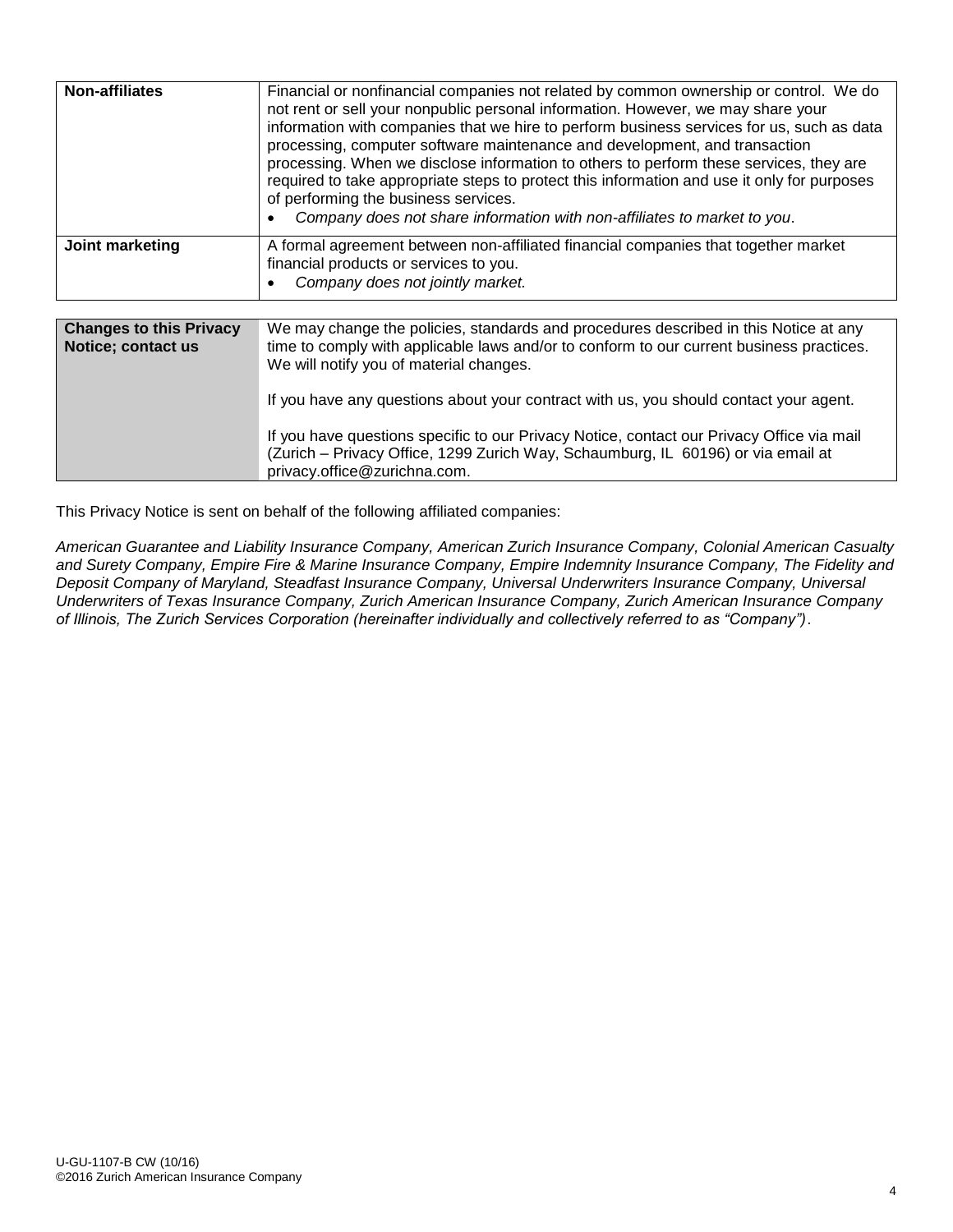| <b>Non-affiliates</b>                                | Financial or nonfinancial companies not related by common ownership or control. We do<br>not rent or sell your nonpublic personal information. However, we may share your<br>information with companies that we hire to perform business services for us, such as data<br>processing, computer software maintenance and development, and transaction<br>processing. When we disclose information to others to perform these services, they are<br>required to take appropriate steps to protect this information and use it only for purposes<br>of performing the business services.<br>Company does not share information with non-affiliates to market to you. |
|------------------------------------------------------|-------------------------------------------------------------------------------------------------------------------------------------------------------------------------------------------------------------------------------------------------------------------------------------------------------------------------------------------------------------------------------------------------------------------------------------------------------------------------------------------------------------------------------------------------------------------------------------------------------------------------------------------------------------------|
| Joint marketing                                      | A formal agreement between non-affiliated financial companies that together market<br>financial products or services to you.<br>Company does not jointly market.                                                                                                                                                                                                                                                                                                                                                                                                                                                                                                  |
| <b>Changes to this Privacy</b><br>Notice; contact us | We may change the policies, standards and procedures described in this Notice at any<br>time to comply with applicable laws and/or to conform to our current business practices.<br>We will notify you of material changes.<br>If you have any questions about your contract with us, you should contact your agent.<br>If you have questions specific to our Privacy Notice, contact our Privacy Office via mail<br>(Zurich - Privacy Office, 1299 Zurich Way, Schaumburg, IL 60196) or via email at                                                                                                                                                             |

This Privacy Notice is sent on behalf of the following affiliated companies:

privacy.office@zurichna.com.

*American Guarantee and Liability Insurance Company, American Zurich Insurance Company, Colonial American Casualty and Surety Company, Empire Fire & Marine Insurance Company, Empire Indemnity Insurance Company, The Fidelity and Deposit Company of Maryland, Steadfast Insurance Company, Universal Underwriters Insurance Company, Universal Underwriters of Texas Insurance Company, Zurich American Insurance Company, Zurich American Insurance Company of Illinois, The Zurich Services Corporation (hereinafter individually and collectively referred to as "Company")*.